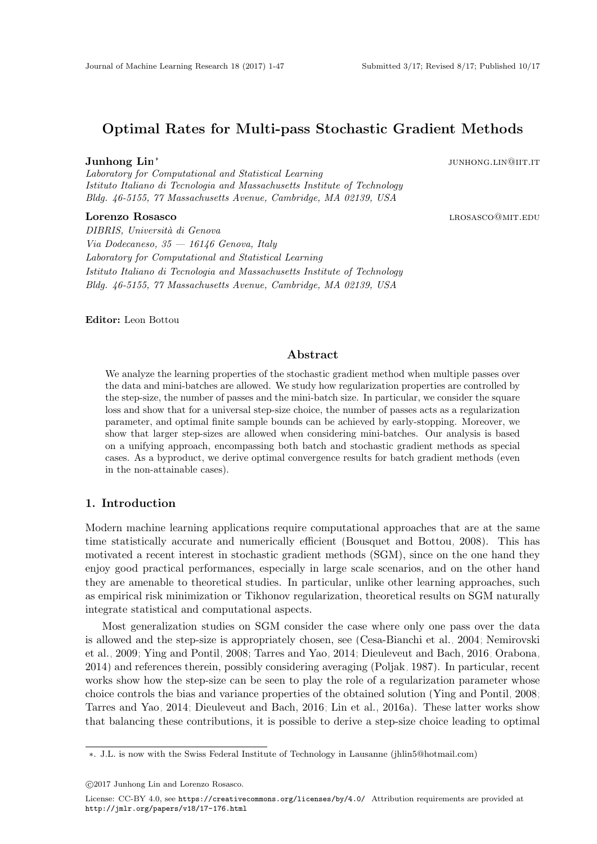## Optimal Rates for Multi-pass Stochastic Gradient Methods

#### Junhong Lin<sup>∗</sup>

Laboratory for Computational and Statistical Learning Istituto Italiano di Tecnologia and Massachusetts Institute of Technology Bldg. 46-5155, 77 Massachusetts Avenue, Cambridge, MA 02139, USA

## **Lorenzo Rosasco** la componente de la componente de la componente de la componente de la componente de la componente de la componente de la componente de la componente de la componente de la componente de la componente de

DIBRIS, Università di Genova Via Dodecaneso,  $35 - 16146$  Genova, Italy Laboratory for Computational and Statistical Learning Istituto Italiano di Tecnologia and Massachusetts Institute of Technology Bldg. 46-5155, 77 Massachusetts Avenue, Cambridge, MA 02139, USA

Editor: Leon Bottou

## Abstract

We analyze the learning properties of the stochastic gradient method when multiple passes over the data and mini-batches are allowed. We study how regularization properties are controlled by the step-size, the number of passes and the mini-batch size. In particular, we consider the square loss and show that for a universal step-size choice, the number of passes acts as a regularization parameter, and optimal finite sample bounds can be achieved by early-stopping. Moreover, we show that larger step-sizes are allowed when considering mini-batches. Our analysis is based on a unifying approach, encompassing both batch and stochastic gradient methods as special cases. As a byproduct, we derive optimal convergence results for batch gradient methods (even in the non-attainable cases).

## 1. Introduction

Modern machine learning applications require computational approaches that are at the same time statistically accurate and numerically efficient [\(Bousquet and Bottou, 2008\)](#page-44-0). This has motivated a recent interest in stochastic gradient methods (SGM), since on the one hand they enjoy good practical performances, especially in large scale scenarios, and on the other hand they are amenable to theoretical studies. In particular, unlike other learning approaches, such as empirical risk minimization or Tikhonov regularization, theoretical results on SGM naturally integrate statistical and computational aspects.

Most generalization studies on SGM consider the case where only one pass over the data is allowed and the step-size is appropriately chosen, see [\(Cesa-Bianchi et al., 2004;](#page-44-1) [Nemirovski](#page-45-0) [et al., 2009;](#page-45-0) [Ying and Pontil, 2008;](#page-46-0) [Tarres and Yao, 2014;](#page-45-1) [Dieuleveut and Bach, 2016;](#page-44-2) [Orabona,](#page-45-2) [2014\)](#page-45-2) and references therein, possibly considering averaging [\(Poljak, 1987\)](#page-45-3). In particular, recent works show how the step-size can be seen to play the role of a regularization parameter whose choice controls the bias and variance properties of the obtained solution [\(Ying and Pontil, 2008;](#page-46-0) [Tarres and Yao, 2014;](#page-45-1) [Dieuleveut and Bach, 2016;](#page-44-2) [Lin et al., 2016a\)](#page-44-3). These latter works show that balancing these contributions, it is possible to derive a step-size choice leading to optimal

junhong.lin@iit.it

<sup>∗</sup>. J.L. is now with the Swiss Federal Institute of Technology in Lausanne (jhlin5@hotmail.com)

c 2017 Junhong Lin and Lorenzo Rosasco.

License: CC-BY 4.0, see <https://creativecommons.org/licenses/by/4.0/>. Attribution requirements are provided at <http://jmlr.org/papers/v18/17-176.html>.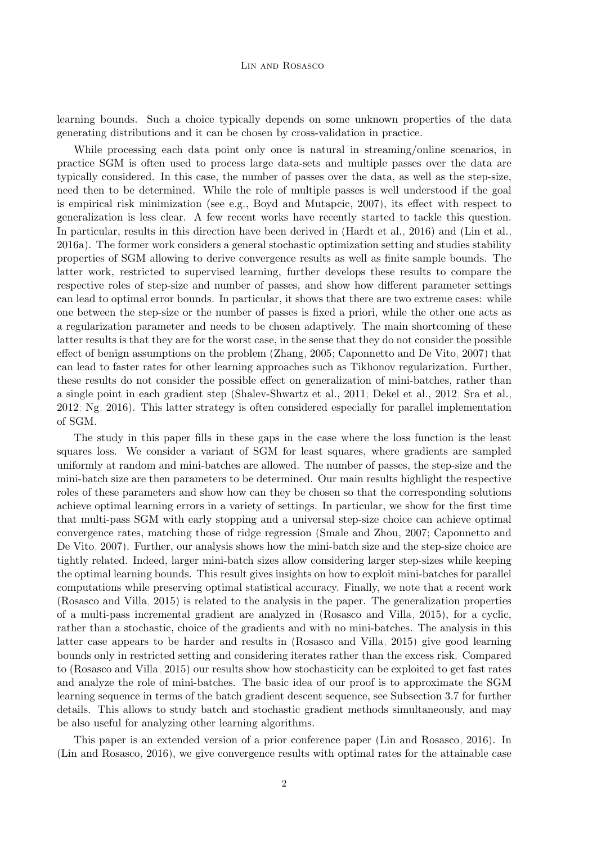#### Lin and Rosasco

learning bounds. Such a choice typically depends on some unknown properties of the data generating distributions and it can be chosen by cross-validation in practice.

While processing each data point only once is natural in streaming/online scenarios, in practice SGM is often used to process large data-sets and multiple passes over the data are typically considered. In this case, the number of passes over the data, as well as the step-size, need then to be determined. While the role of multiple passes is well understood if the goal is empirical risk minimization (see e.g., [Boyd and Mutapcic, 2007\)](#page-44-4), its effect with respect to generalization is less clear. A few recent works have recently started to tackle this question. In particular, results in this direction have been derived in [\(Hardt et al., 2016\)](#page-44-5) and [\(Lin et al.,](#page-44-3) [2016a\)](#page-44-3). The former work considers a general stochastic optimization setting and studies stability properties of SGM allowing to derive convergence results as well as finite sample bounds. The latter work, restricted to supervised learning, further develops these results to compare the respective roles of step-size and number of passes, and show how different parameter settings can lead to optimal error bounds. In particular, it shows that there are two extreme cases: while one between the step-size or the number of passes is fixed a priori, while the other one acts as a regularization parameter and needs to be chosen adaptively. The main shortcoming of these latter results is that they are for the worst case, in the sense that they do not consider the possible effect of benign assumptions on the problem [\(Zhang, 2005;](#page-46-1) [Caponnetto and De Vito, 2007\)](#page-44-6) that can lead to faster rates for other learning approaches such as Tikhonov regularization. Further, these results do not consider the possible effect on generalization of mini-batches, rather than a single point in each gradient step [\(Shalev-Shwartz et al., 2011;](#page-45-4) [Dekel et al., 2012;](#page-44-7) [Sra et al.,](#page-45-5) [2012;](#page-45-5) [Ng, 2016\)](#page-45-6). This latter strategy is often considered especially for parallel implementation of SGM.

The study in this paper fills in these gaps in the case where the loss function is the least squares loss. We consider a variant of SGM for least squares, where gradients are sampled uniformly at random and mini-batches are allowed. The number of passes, the step-size and the mini-batch size are then parameters to be determined. Our main results highlight the respective roles of these parameters and show how can they be chosen so that the corresponding solutions achieve optimal learning errors in a variety of settings. In particular, we show for the first time that multi-pass SGM with early stopping and a universal step-size choice can achieve optimal convergence rates, matching those of ridge regression [\(Smale and Zhou, 2007;](#page-45-7) [Caponnetto and](#page-44-6) [De Vito, 2007\)](#page-44-6). Further, our analysis shows how the mini-batch size and the step-size choice are tightly related. Indeed, larger mini-batch sizes allow considering larger step-sizes while keeping the optimal learning bounds. This result gives insights on how to exploit mini-batches for parallel computations while preserving optimal statistical accuracy. Finally, we note that a recent work [\(Rosasco and Villa, 2015\)](#page-45-8) is related to the analysis in the paper. The generalization properties of a multi-pass incremental gradient are analyzed in [\(Rosasco and Villa, 2015\)](#page-45-8), for a cyclic, rather than a stochastic, choice of the gradients and with no mini-batches. The analysis in this latter case appears to be harder and results in [\(Rosasco and Villa, 2015\)](#page-45-8) give good learning bounds only in restricted setting and considering iterates rather than the excess risk. Compared to [\(Rosasco and Villa, 2015\)](#page-45-8) our results show how stochasticity can be exploited to get fast rates and analyze the role of mini-batches. The basic idea of our proof is to approximate the SGM learning sequence in terms of the batch gradient descent sequence, see Subsection [3.7](#page-12-0) for further details. This allows to study batch and stochastic gradient methods simultaneously, and may be also useful for analyzing other learning algorithms.

This paper is an extended version of a prior conference paper [\(Lin and Rosasco, 2016\)](#page-44-8). In [\(Lin and Rosasco, 2016\)](#page-44-8), we give convergence results with optimal rates for the attainable case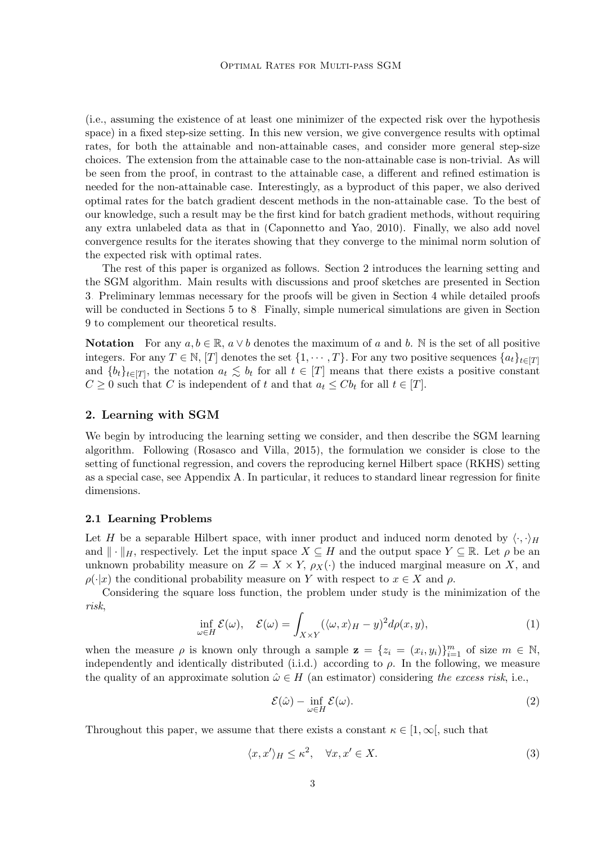(i.e., assuming the existence of at least one minimizer of the expected risk over the hypothesis space) in a fixed step-size setting. In this new version, we give convergence results with optimal rates, for both the attainable and non-attainable cases, and consider more general step-size choices. The extension from the attainable case to the non-attainable case is non-trivial. As will be seen from the proof, in contrast to the attainable case, a different and refined estimation is needed for the non-attainable case. Interestingly, as a byproduct of this paper, we also derived optimal rates for the batch gradient descent methods in the non-attainable case. To the best of our knowledge, such a result may be the first kind for batch gradient methods, without requiring any extra unlabeled data as that in [\(Caponnetto and Yao, 2010\)](#page-44-9). Finally, we also add novel convergence results for the iterates showing that they converge to the minimal norm solution of the expected risk with optimal rates.

The rest of this paper is organized as follows. Section [2](#page-2-0) introduces the learning setting and the SGM algorithm. Main results with discussions and proof sketches are presented in Section [3.](#page-3-0) Preliminary lemmas necessary for the proofs will be given in Section [4](#page-13-0) while detailed proofs will be conducted in Sections [5](#page-15-0) to [8.](#page-35-0) Finally, simple numerical simulations are given in Section [9](#page-36-0) to complement our theoretical results.

**Notation** For any  $a, b \in \mathbb{R}$ ,  $a \vee b$  denotes the maximum of a and b. N is the set of all positive integers. For any  $T \in \mathbb{N}$ , [T] denotes the set  $\{1, \dots, T\}$ . For any two positive sequences  $\{a_t\}_{t \in [T]}$ and  $\{b_t\}_{t\in[T]}$ , the notation  $a_t \leq b_t$  for all  $t \in [T]$  means that there exists a positive constant  $C \geq 0$  such that C is independent of t and that  $a_t \leq C b_t$  for all  $t \in [T]$ .

## <span id="page-2-0"></span>2. Learning with SGM

We begin by introducing the learning setting we consider, and then describe the SGM learning algorithm. Following [\(Rosasco and Villa, 2015\)](#page-45-8), the formulation we consider is close to the setting of functional regression, and covers the reproducing kernel Hilbert space (RKHS) setting as a special case, see Appendix [A.](#page-37-0) In particular, it reduces to standard linear regression for finite dimensions.

#### 2.1 Learning Problems

Let H be a separable Hilbert space, with inner product and induced norm denoted by  $\langle \cdot, \cdot \rangle_H$ and  $\|\cdot\|_H$ , respectively. Let the input space  $X \subseteq H$  and the output space  $Y \subseteq \mathbb{R}$ . Let  $\rho$  be an unknown probability measure on  $Z = X \times Y$ ,  $\rho_X(\cdot)$  the induced marginal measure on X, and  $\rho(\cdot|x)$  the conditional probability measure on Y with respect to  $x \in X$  and  $\rho$ .

<span id="page-2-2"></span>Considering the square loss function, the problem under study is the minimization of the risk,

$$
\inf_{\omega \in H} \mathcal{E}(\omega), \quad \mathcal{E}(\omega) = \int_{X \times Y} (\langle \omega, x \rangle_H - y)^2 d\rho(x, y), \tag{1}
$$

when the measure  $\rho$  is known only through a sample  $\mathbf{z} = \{z_i = (x_i, y_i)\}_{i=1}^m$  of size  $m \in \mathbb{N}$ , independently and identically distributed (i.i.d.) according to  $\rho$ . In the following, we measure the quality of an approximate solution  $\hat{\omega} \in H$  (an estimator) considering the excess risk, i.e.,

<span id="page-2-1"></span>
$$
\mathcal{E}(\hat{\omega}) - \inf_{\omega \in H} \mathcal{E}(\omega). \tag{2}
$$

Throughout this paper, we assume that there exists a constant  $\kappa \in [1,\infty]$ , such that

$$
\langle x, x' \rangle_H \le \kappa^2, \quad \forall x, x' \in X. \tag{3}
$$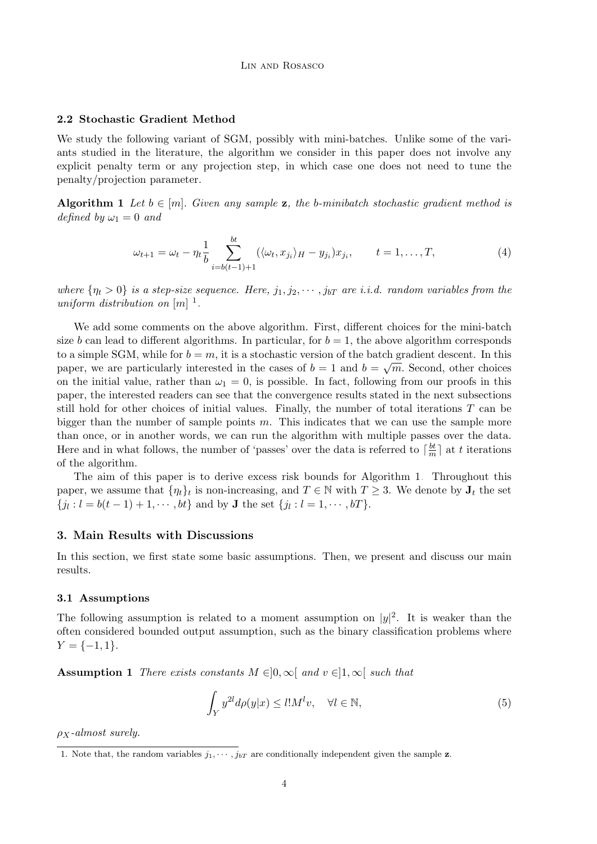## 2.2 Stochastic Gradient Method

We study the following variant of SGM, possibly with mini-batches. Unlike some of the variants studied in the literature, the algorithm we consider in this paper does not involve any explicit penalty term or any projection step, in which case one does not need to tune the penalty/projection parameter.

Algorithm 1 Let  $b \in [m]$ . Given any sample z, the b-minibatch stochastic gradient method is defined by  $\omega_1 = 0$  and

<span id="page-3-4"></span><span id="page-3-2"></span>
$$
\omega_{t+1} = \omega_t - \eta_t \frac{1}{b} \sum_{i=b(t-1)+1}^{bt} (\langle \omega_t, x_{j_i} \rangle_H - y_{j_i}) x_{j_i}, \qquad t = 1, \dots, T,
$$
\n
$$
(4)
$$

where  $\{\eta_t > 0\}$  is a step-size sequence. Here,  $j_1, j_2, \cdots, j_{bT}$  are i.i.d. random variables from the uniform distribution on  $[m]$ <sup>[1](#page-3-1)</sup>.

We add some comments on the above algorithm. First, different choices for the mini-batch size b can lead to different algorithms. In particular, for  $b = 1$ , the above algorithm corresponds to a simple SGM, while for  $b = m$ , it is a stochastic version of the batch gradient descent. In this paper, we are particularly interested in the cases of  $b=1$  and  $b=\sqrt{m}$ . Second, other choices on the initial value, rather than  $\omega_1 = 0$ , is possible. In fact, following from our proofs in this paper, the interested readers can see that the convergence results stated in the next subsections still hold for other choices of initial values. Finally, the number of total iterations T can be bigger than the number of sample points  $m$ . This indicates that we can use the sample more than once, or in another words, we can run the algorithm with multiple passes over the data. Here and in what follows, the number of 'passes' over the data is referred to  $\lceil \frac{bt}{m} \rceil$  $\frac{bt}{m}$  at t iterations of the algorithm.

The aim of this paper is to derive excess risk bounds for Algorithm [1.](#page-3-2) Throughout this paper, we assume that  $\{\eta_t\}_t$  is non-increasing, and  $T \in \mathbb{N}$  with  $T \geq 3$ . We denote by  $J_t$  the set  ${j_l : l = b(t-1) + 1, \cdots, bt}$  and by **J** the set  ${j_l : l = 1, \cdots, bT}$ .

## <span id="page-3-0"></span>3. Main Results with Discussions

In this section, we first state some basic assumptions. Then, we present and discuss our main results.

## 3.1 Assumptions

The following assumption is related to a moment assumption on  $|y|^2$ . It is weaker than the often considered bounded output assumption, such as the binary classification problems where  $Y = \{-1, 1\}.$ 

<span id="page-3-3"></span>**Assumption 1** There exists constants  $M \in ]0, \infty[$  and  $v \in ]1, \infty[$  such that

<span id="page-3-5"></span>
$$
\int_{Y} y^{2l} d\rho(y|x) \le l! M^{l} v, \quad \forall l \in \mathbb{N},\tag{5}
$$

 $\rho_X$ -almost surely.

<span id="page-3-1"></span><sup>1.</sup> Note that, the random variables  $j_1, \dots, j_{bT}$  are conditionally independent given the sample **z**.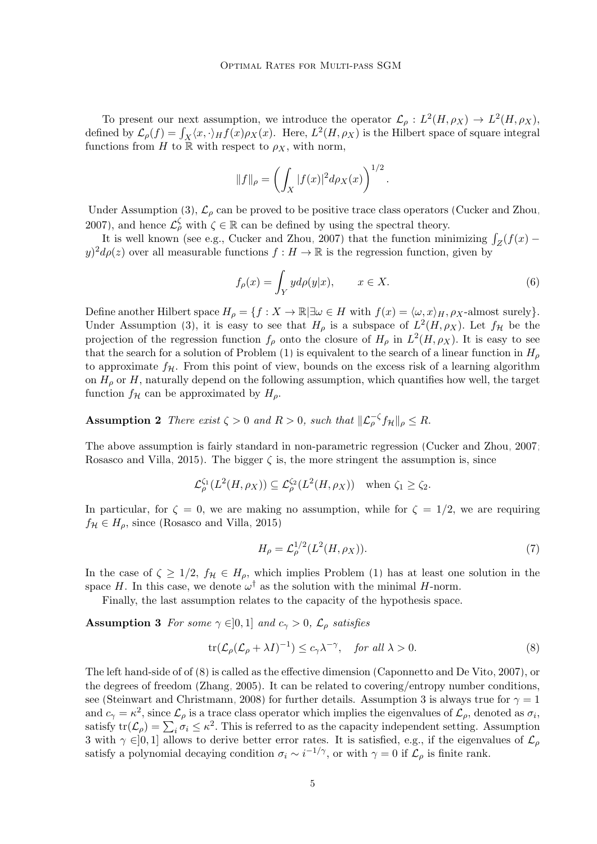To present our next assumption, we introduce the operator  $\mathcal{L}_{\rho}: L^2(H, \rho_X) \to L^2(H, \rho_X)$ , defined by  $\mathcal{L}_{\rho}(f) = \int_X \langle x, \cdot \rangle_H f(x) \rho_X(x)$ . Here,  $L^2(H, \rho_X)$  is the Hilbert space of square integral functions from H to R with respect to  $\rho_X$ , with norm,

$$
||f||_{\rho} = \left(\int_X |f(x)|^2 d\rho_X(x)\right)^{1/2}
$$

Under Assumption [\(3\)](#page-2-1),  $\mathcal{L}_{\rho}$  can be proved to be positive trace class operators [\(Cucker and Zhou,](#page-44-10) [2007\)](#page-44-10), and hence  $\mathcal{L}_{\rho}^{\zeta}$  with  $\zeta \in \mathbb{R}$  can be defined by using the spectral theory.

It is well known (see e.g., [Cucker and Zhou, 2007\)](#page-44-10) that the function minimizing  $\int_Z (f(x)$  $y^2 d\rho(z)$  over all measurable functions  $f: H \to \mathbb{R}$  is the regression function, given by

$$
f_{\rho}(x) = \int_{Y} y d\rho(y|x), \qquad x \in X. \tag{6}
$$

<span id="page-4-3"></span>.

Define another Hilbert space  $H_{\rho} = \{f : X \to \mathbb{R} \mid \exists \omega \in H \text{ with } f(x) = \langle \omega, x \rangle_H, \rho_X\text{-almost surely}\}.$ Under Assumption [\(3\)](#page-2-1), it is easy to see that  $H_{\rho}$  is a subspace of  $L^2(H, \rho_X)$ . Let  $f_{\mathcal{H}}$  be the projection of the regression function  $f_{\rho}$  onto the closure of  $H_{\rho}$  in  $L^2(H, \rho_X)$ . It is easy to see that the search for a solution of Problem [\(1\)](#page-2-2) is equivalent to the search of a linear function in  $H_{\rho}$ to approximate  $f_{\mathcal{H}}$ . From this point of view, bounds on the excess risk of a learning algorithm on  $H<sub>\rho</sub>$  or H, naturally depend on the following assumption, which quantifies how well, the target function  $f_{\mathcal{H}}$  can be approximated by  $H_{\rho}$ .

<span id="page-4-2"></span>**Assumption 2** There exist  $\zeta > 0$  and  $R > 0$ , such that  $\|\mathcal{L}_{\rho}^{-\zeta} f_{\mathcal{H}}\|_{\rho} \leq R$ .

The above assumption is fairly standard in non-parametric regression [\(Cucker and Zhou, 2007;](#page-44-10) [Rosasco and Villa, 2015\)](#page-45-8). The bigger  $\zeta$  is, the more stringent the assumption is, since

$$
\mathcal{L}^{\zeta_1}_{\rho}(L^2(H,\rho_X)) \subseteq \mathcal{L}^{\zeta_2}_{\rho}(L^2(H,\rho_X)) \quad \text{when } \zeta_1 \ge \zeta_2.
$$

In particular, for  $\zeta = 0$ , we are making no assumption, while for  $\zeta = 1/2$ , we are requiring  $f_{\mathcal{H}} \in H_0$ , since [\(Rosasco and Villa, 2015\)](#page-45-8)

<span id="page-4-1"></span><span id="page-4-0"></span>
$$
H_{\rho} = \mathcal{L}_{\rho}^{1/2}(L^2(H, \rho_X)).
$$
\n(7)

In the case of  $\zeta \geq 1/2$ ,  $f_{\mathcal{H}} \in H_{\rho}$ , which implies Problem [\(1\)](#page-2-2) has at least one solution in the space H. In this case, we denote  $\omega^{\dagger}$  as the solution with the minimal H-norm.

Finally, the last assumption relates to the capacity of the hypothesis space.

**Assumption 3** For some  $\gamma \in ]0,1]$  and  $c_{\gamma} > 0$ ,  $\mathcal{L}_{\rho}$  satisfies

$$
\operatorname{tr}(\mathcal{L}_{\rho}(\mathcal{L}_{\rho} + \lambda I)^{-1}) \le c_{\gamma} \lambda^{-\gamma}, \quad \text{for all } \lambda > 0.
$$
 (8)

The left hand-side of of [\(8\)](#page-4-0) is called as the effective dimension [\(Caponnetto and De Vito, 2007\)](#page-44-6), or the degrees of freedom [\(Zhang, 2005\)](#page-46-1). It can be related to covering/entropy number conditions, see [\(Steinwart and Christmann, 2008\)](#page-45-9) for further details. Assumption [3](#page-4-1) is always true for  $\gamma = 1$ and  $c_\gamma = \kappa^2$ , since  $\mathcal{L}_\rho$  is a trace class operator which implies the eigenvalues of  $\mathcal{L}_\rho$ , denoted as  $\sigma_i$ , satisfy  $tr(\mathcal{L}_{\rho}) = \sum_{i} \sigma_i \leq \kappa^2$ . This is referred to as the capacity independent setting. Assumption [3](#page-4-1) with  $\gamma \in ]0,1]$  allows to derive better error rates. It is satisfied, e.g., if the eigenvalues of  $\mathcal{L}_{\rho}$ satisfy a polynomial decaying condition  $\sigma_i \sim i^{-1/\gamma}$ , or with  $\gamma = 0$  if  $\mathcal{L}_{\rho}$  is finite rank.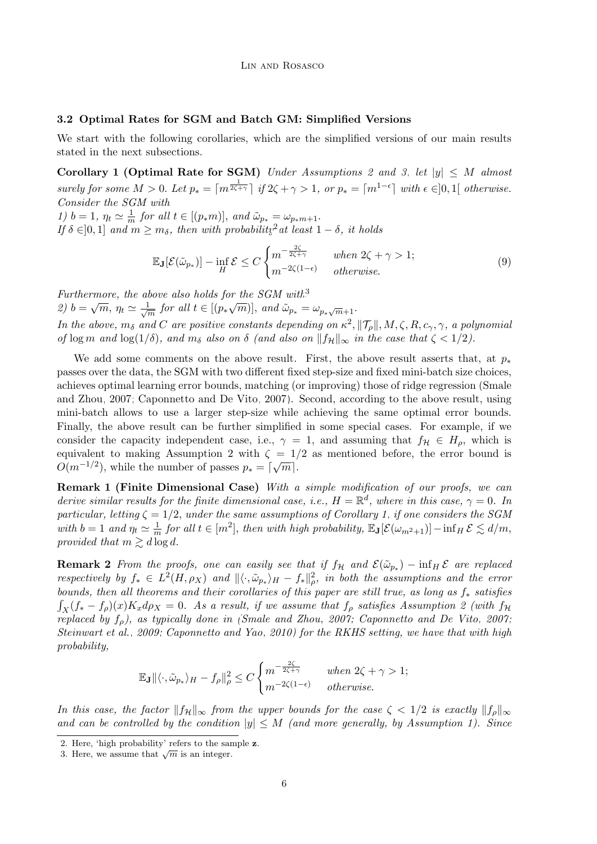## 3.2 Optimal Rates for SGM and Batch GM: Simplified Versions

We start with the following corollaries, which are the simplified versions of our main results stated in the next subsections.

Corollary 1 (Optimal Rate for SGM) Under Assumptions [2](#page-4-2) and [3,](#page-4-1) let  $|y| \leq M$  almost surely for some  $M > 0$ . Let  $p_* = \lceil m^{\frac{1}{2\zeta + \gamma}} \rceil$  if  $2\zeta + \gamma > 1$ , or  $p_* = \lceil m^{1-\epsilon} \rceil$  with  $\epsilon \in ]0,1[$  otherwise. Consider the SGM with

1)  $b = 1, \eta_t \simeq \frac{1}{m}$  $\frac{1}{m}$  for all  $t \in [(p_*m)]$ , and  $\tilde{\omega}_{p_*} = \omega_{p_*m+1}$ . If  $\delta \in ]0,1]$  and  $m \geq m_{\delta}$ , then with probability<sup>[2](#page-5-0)</sup> at least  $1-\delta$ , it holds

<span id="page-5-3"></span><span id="page-5-2"></span>
$$
\mathbb{E}_{\mathbf{J}}[\mathcal{E}(\tilde{\omega}_{p_*})] - \inf_{H} \mathcal{E} \le C \begin{cases} m^{-\frac{2\zeta}{2\zeta + \gamma}} & \text{when } 2\zeta + \gamma > 1; \\ m^{-2\zeta(1 - \epsilon)} & \text{otherwise.} \end{cases}
$$
(9)

Furthermore, the above also holds for the  $SGM$  with<sup>[3](#page-5-1)</sup>

Partitermore, the de-<br>
2)  $b = \sqrt{m}, \eta_t \simeq \frac{1}{\sqrt{2}}$ bove also holds for the SGM with<br> $\frac{1}{m}$  for all  $t \in [(p_*\sqrt{m})]$ , and  $\tilde{\omega}_{p_*} = \omega_{p_*\sqrt{m}+1}$ .

In the above,  $m_\delta$  and C are positive constants depending on  $\kappa^2$ ,  $\|\mathcal{T}_{\rho}\|$ ,  $M$ ,  $\zeta$ ,  $R$ ,  $c_\gamma$ ,  $\gamma$ , a polynomial of log m and log(1/δ), and  $m_\delta$  also on  $\delta$  (and also on  $||f_H||_{\infty}$  in the case that  $\zeta < 1/2$ ).

We add some comments on the above result. First, the above result asserts that, at  $p_*$ passes over the data, the SGM with two different fixed step-size and fixed mini-batch size choices, achieves optimal learning error bounds, matching (or improving) those of ridge regression [\(Smale](#page-45-7) [and Zhou, 2007;](#page-45-7) [Caponnetto and De Vito, 2007\)](#page-44-6). Second, according to the above result, using mini-batch allows to use a larger step-size while achieving the same optimal error bounds. Finally, the above result can be further simplified in some special cases. For example, if we consider the capacity independent case, i.e.,  $\gamma = 1$ , and assuming that  $f_{\mathcal{H}} \in H_{\rho}$ , which is equivalent to making Assumption [2](#page-4-2) with  $\zeta = 1/2$  as mentioned before, the error bound is  $O(m^{-1/2})$ , while the number of passes  $p_* = \lceil \sqrt{m} \rceil$ .

Remark 1 (Finite Dimensional Case) With a simple modification of our proofs, we can derive similar results for the finite dimensional case, i.e.,  $H = \mathbb{R}^d$ , where in this case,  $\gamma = 0$ . In particular, letting  $\zeta = 1/2$ , under the same assumptions of Corollary [1,](#page-5-2) if one considers the SGM with  $b = 1$  and  $\eta_t \simeq \frac{1}{m}$  $\frac{1}{m}$  for all  $t \in [m^2]$ , then with high probability,  $\mathbb{E}_{\mathbf{J}}[\mathcal{E}(\omega_{m^2+1})] - \inf_H \mathcal{E} \lesssim d/m$ , provided that  $m \gtrsim d \log d$ .

**Remark 2** From the proofs, one can easily see that if  $f_{\mathcal{H}}$  and  $\mathcal{E}(\tilde{\omega}_{p_*})$  –  $\inf_H \mathcal{E}$  are replaced respectively by  $f_* \in L^2(H,\rho_X)$  and  $\|\langle \cdot, \tilde{\omega}_{p_*} \rangle_H - f_* \|_{\rho}^2$ , in both the assumptions and the error bounds, then all theorems and their corollaries of this paper are still true, as long as  $f_*$  satisfies  $\int_X (f_* - f_\rho)(x) K_x d\rho_X = 0$ . As a result, if we assume that  $f_\rho$  satisfies Assumption [2](#page-4-2) (with  $f_\mathcal{H}$ replaced by  $f<sub>o</sub>$ ), as typically done in [\(Smale and Zhou, 2007;](#page-45-7) [Caponnetto and De Vito, 2007;](#page-44-6) [Steinwart et al., 2009;](#page-45-10) [Caponnetto and Yao, 2010\)](#page-44-9) for the RKHS setting, we have that with high probability,

$$
\mathbb{E}_{\mathbf{J}} \| \langle \cdot, \tilde{\omega}_{p_*} \rangle_H - f_\rho \|_\rho^2 \leq C \begin{cases} m^{-\frac{2\zeta}{2\zeta + \gamma}} & \text{when } 2\zeta + \gamma > 1; \\ m^{-2\zeta(1 - \epsilon)} & \text{otherwise.} \end{cases}
$$

In this case, the factor  $||f_{\mathcal{H}}||_{\infty}$  from the upper bounds for the case  $\zeta < 1/2$  is exactly  $||f_{\rho}||_{\infty}$ and can be controlled by the condition  $|y| \leq M$  (and more generally, by Assumption [1\)](#page-3-3). Since

<span id="page-5-0"></span><sup>2.</sup> Here, 'high probability' refers to the sample z.

<span id="page-5-1"></span><sup>2.</sup> Here, mgn probability felets to the said 3. Here, we assume that  $\sqrt{m}$  is an integer.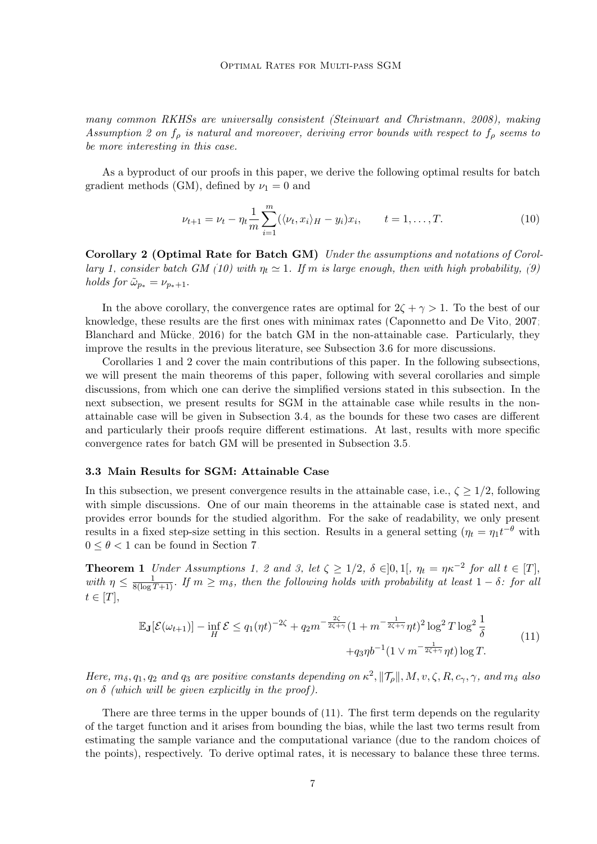many common RKHSs are universally consistent [\(Steinwart and Christmann, 2008\)](#page-45-9), making Assumption [2](#page-4-2) on  $f_{\rho}$  is natural and moreover, deriving error bounds with respect to  $f_{\rho}$  seems to be more interesting in this case.

As a byproduct of our proofs in this paper, we derive the following optimal results for batch gradient methods (GM), defined by  $\nu_1 = 0$  and

<span id="page-6-0"></span>
$$
\nu_{t+1} = \nu_t - \eta_t \frac{1}{m} \sum_{i=1}^m (\langle \nu_t, x_i \rangle_H - y_i) x_i, \qquad t = 1, ..., T.
$$
 (10)

<span id="page-6-1"></span>Corollary 2 (Optimal Rate for Batch GM) Under the assumptions and notations of Corol-lary [1,](#page-5-2) consider batch GM [\(10\)](#page-6-0) with  $\eta_t \simeq 1$ . If m is large enough, then with high probability, [\(9\)](#page-5-3) holds for  $\tilde{\omega}_{p_*} = \nu_{p_*+1}$ .

In the above corollary, the convergence rates are optimal for  $2\zeta + \gamma > 1$ . To the best of our knowledge, these results are the first ones with minimax rates [\(Caponnetto and De Vito, 2007;](#page-44-6) Blanchard and Mücke, 2016) for the batch GM in the non-attainable case. Particularly, they improve the results in the previous literature, see Subsection [3.6](#page-10-0) for more discussions.

Corollaries [1](#page-5-2) and [2](#page-6-1) cover the main contributions of this paper. In the following subsections, we will present the main theorems of this paper, following with several corollaries and simple discussions, from which one can derive the simplified versions stated in this subsection. In the next subsection, we present results for SGM in the attainable case while results in the nonattainable case will be given in Subsection [3.4,](#page-9-0) as the bounds for these two cases are different and particularly their proofs require different estimations. At last, results with more specific convergence rates for batch GM will be presented in Subsection [3.5.](#page-10-1)

#### 3.3 Main Results for SGM: Attainable Case

In this subsection, we present convergence results in the attainable case, i.e.,  $\zeta \geq 1/2$ , following with simple discussions. One of our main theorems in the attainable case is stated next, and provides error bounds for the studied algorithm. For the sake of readability, we only present results in a fixed step-size setting in this section. Results in a general setting  $(\eta_t = \eta_1 t^{-\theta}$  with  $0 \leq \theta \leq 1$  can be found in Section [7.](#page-33-0)

**Theorem 1** Under Assumptions [1,](#page-3-3) [2](#page-4-2) and [3,](#page-4-1) let  $\zeta \geq 1/2$ ,  $\delta \in ]0,1[$ ,  $\eta_t = \eta \kappa^{-2}$  for all  $t \in [T]$ , with  $\eta \leq \frac{1}{8(\log T + 1)}$ . If  $m \geq m_{\delta}$ , then the following holds with probability at least  $1 - \delta$ : for all  $t \in [T],$ 

<span id="page-6-3"></span><span id="page-6-2"></span>
$$
\mathbb{E}_{\mathbf{J}}[\mathcal{E}(\omega_{t+1})] - \inf_{H} \mathcal{E} \le q_1 (\eta t)^{-2\zeta} + q_2 m^{-\frac{2\zeta}{2\zeta + \gamma}} (1 + m^{-\frac{1}{2\zeta + \gamma}} \eta t)^2 \log^2 T \log^2 \frac{1}{\delta}
$$
  
 
$$
+ q_3 \eta b^{-1} (1 \vee m^{-\frac{1}{2\zeta + \gamma}} \eta t) \log T.
$$
 (11)

Here,  $m_\delta, q_1, q_2$  and  $q_3$  are positive constants depending on  $\kappa^2$ ,  $||\mathcal{T}_{\rho}||$ ,  $M, v, \zeta, R, c_\gamma, \gamma$ , and  $m_\delta$  also on  $\delta$  (which will be given explicitly in the proof).

There are three terms in the upper bounds of [\(11\)](#page-6-2). The first term depends on the regularity of the target function and it arises from bounding the bias, while the last two terms result from estimating the sample variance and the computational variance (due to the random choices of the points), respectively. To derive optimal rates, it is necessary to balance these three terms.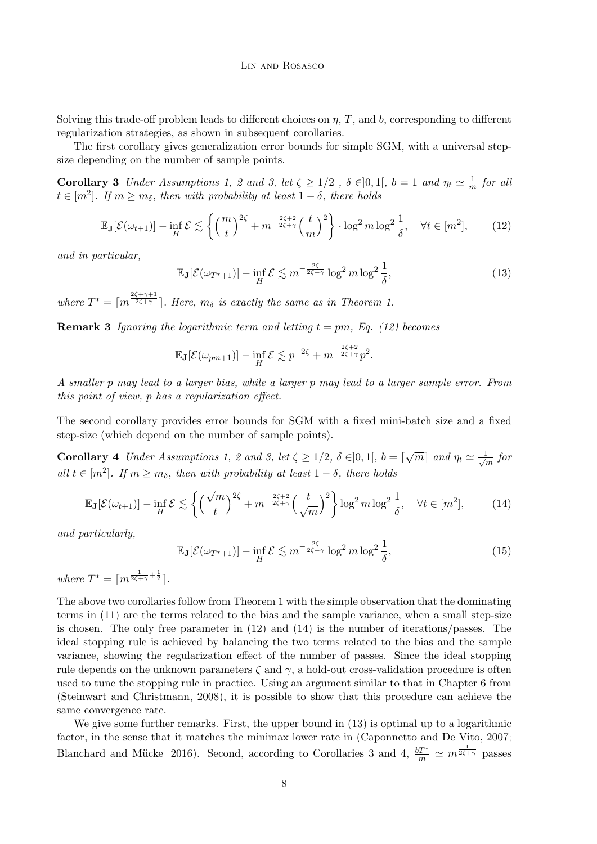Solving this trade-off problem leads to different choices on  $\eta$ , T, and b, corresponding to different regularization strategies, as shown in subsequent corollaries.

The first corollary gives generalization error bounds for simple SGM, with a universal stepsize depending on the number of sample points.

**Corollary 3** Under Assumptions [1,](#page-3-3) [2](#page-4-2) and [3,](#page-4-1) let  $\zeta \geq 1/2$ ,  $\delta \in ]0,1[$ ,  $b=1$  and  $\eta_t \simeq \frac{1}{n}$  $\frac{1}{m}$  for all  $t \in [m^2]$ . If  $m \geq m_\delta$ , then with probability at least  $1 - \delta$ , there holds

$$
\mathbb{E}_{\mathbf{J}}[\mathcal{E}(\omega_{t+1})] - \inf_{H} \mathcal{E} \lesssim \left\{ \left(\frac{m}{t}\right)^{2\zeta} + m^{-\frac{2\zeta+2}{2\zeta+\gamma}} \left(\frac{t}{m}\right)^{2} \right\} \cdot \log^{2} m \log^{2} \frac{1}{\delta}, \quad \forall t \in [m^{2}], \tag{12}
$$

and in particular,

<span id="page-7-3"></span><span id="page-7-2"></span><span id="page-7-0"></span>
$$
\mathbb{E}_{\mathbf{J}}[\mathcal{E}(\omega_{T^*+1})] - \inf_{H} \mathcal{E} \lesssim m^{-\frac{2\zeta}{2\zeta+\gamma}} \log^2 m \log^2 \frac{1}{\delta},\tag{13}
$$

where  $T^* = \lceil m^{\frac{2\zeta + \gamma + 1}{2\zeta + \gamma}} \rceil$ . Here,  $m_\delta$  is exactly the same as in Theorem [1.](#page-6-3)

**Remark 3** Ignoring the logarithmic term and letting  $t = pm$ , Eq. [\(12\)](#page-7-0) becomes

<span id="page-7-4"></span>
$$
\mathbb{E}_{\mathbf{J}}[\mathcal{E}(\omega_{pm+1})] - \inf_{H} \mathcal{E} \lesssim p^{-2\zeta} + m^{-\frac{2\zeta+2}{2\zeta+\gamma}}p^2.
$$

A smaller p may lead to a larger bias, while a larger p may lead to a larger sample error. From this point of view, p has a regularization effect.

The second corollary provides error bounds for SGM with a fixed mini-batch size and a fixed step-size (which depend on the number of sample points).

**Corollary 4** Under Assumptions [1,](#page-3-3) [2](#page-4-2) and [3,](#page-4-1) let  $\zeta \geq 1/2$ ,  $\delta \in ]0,1[$ ,  $b = \lceil \sqrt{m} \rceil$  and  $\eta_t \simeq \frac{1}{\sqrt{m}}$  $\frac{1}{m}$  for all  $t \in [m^2]$ . If  $m \geq m_\delta$ , then with probability at least  $1 - \delta$ , there holds

$$
\mathbb{E}_{\mathbf{J}}[\mathcal{E}(\omega_{t+1})] - \inf_{H} \mathcal{E} \lesssim \left\{ \left( \frac{\sqrt{m}}{t} \right)^{2\zeta} + m^{-\frac{2\zeta + 2}{2\zeta + \gamma}} \left( \frac{t}{\sqrt{m}} \right)^{2} \right\} \log^{2} m \log^{2} \frac{1}{\delta}, \quad \forall t \in [m^{2}], \tag{14}
$$

and particularly,

<span id="page-7-1"></span>
$$
\mathbb{E}_{\mathbf{J}}[\mathcal{E}(\omega_{T^*+1})] - \inf_{H} \mathcal{E} \lesssim m^{-\frac{2\zeta}{2\zeta+\gamma}} \log^2 m \log^2 \frac{1}{\delta},\tag{15}
$$

where  $T^* = \lceil m^{\frac{1}{2\zeta + \gamma} + \frac{1}{2}} \rceil$ .

The above two corollaries follow from Theorem [1](#page-6-3) with the simple observation that the dominating terms in [\(11\)](#page-6-2) are the terms related to the bias and the sample variance, when a small step-size is chosen. The only free parameter in [\(12\)](#page-7-0) and [\(14\)](#page-7-1) is the number of iterations/passes. The ideal stopping rule is achieved by balancing the two terms related to the bias and the sample variance, showing the regularization effect of the number of passes. Since the ideal stopping rule depends on the unknown parameters  $\zeta$  and  $\gamma$ , a hold-out cross-validation procedure is often used to tune the stopping rule in practice. Using an argument similar to that in Chapter 6 from [\(Steinwart and Christmann, 2008\)](#page-45-9), it is possible to show that this procedure can achieve the same convergence rate.

We give some further remarks. First, the upper bound in  $(13)$  is optimal up to a logarithmic factor, in the sense that it matches the minimax lower rate in [\(Caponnetto and De Vito, 2007;](#page-44-6) Blanchard and Mücke, 2016). Second, according to Corollaries [3](#page-7-3) and [4,](#page-7-4)  $\frac{bT^*}{m} \simeq m^{\frac{1}{2\zeta+\gamma}}$  passes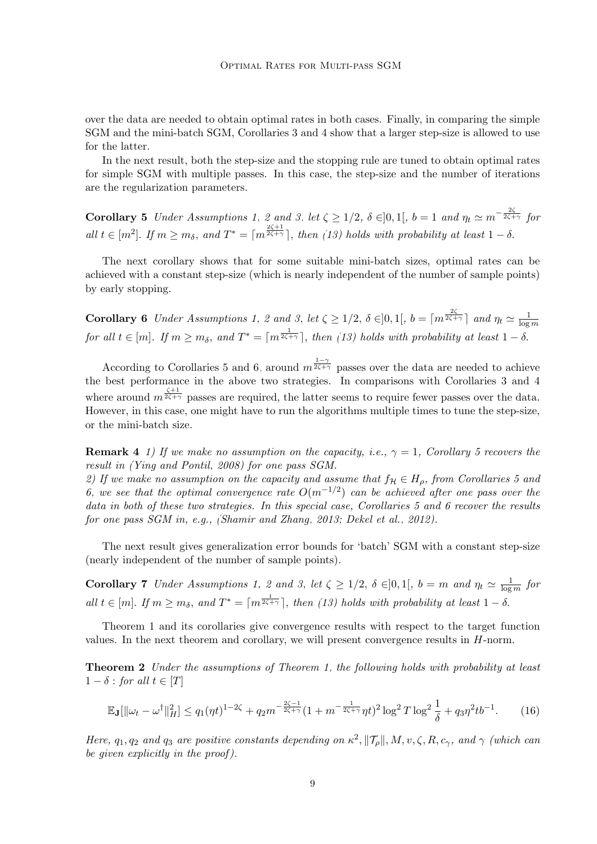over the data are needed to obtain optimal rates in both cases. Finally, in comparing the simple SGM and the mini-batch SGM, Corollaries [3](#page-7-3) and [4](#page-7-4) show that a larger step-size is allowed to use for the latter.

In the next result, both the step-size and the stopping rule are tuned to obtain optimal rates for simple SGM with multiple passes. In this case, the step-size and the number of iterations are the regularization parameters.

<span id="page-8-0"></span>**Corollary 5** Under Assumptions [1,](#page-3-3) [2](#page-4-2) and [3,](#page-4-1) let  $\zeta \ge 1/2$ ,  $\delta \in ]0,1[$ ,  $b=1$  and  $\eta_t \simeq m^{-\frac{2\zeta}{2\zeta+\gamma}}$  for all  $t \in [m^2]$ . If  $m \geq m_\delta$ , and  $T^* = \lceil m^{\frac{2\zeta+1}{2\zeta+\gamma}} \rceil$ , then [\(13\)](#page-7-2) holds with probability at least  $1-\delta$ .

The next corollary shows that for some suitable mini-batch sizes, optimal rates can be achieved with a constant step-size (which is nearly independent of the number of sample points) by early stopping.

<span id="page-8-1"></span>**Corollary 6** Under Assumptions [1,](#page-3-3) [2](#page-4-2) and [3,](#page-4-1) let  $\zeta \ge 1/2$ ,  $\delta \in ]0,1[$ ,  $b = \lceil m^{\frac{2\zeta}{2\zeta + \gamma}} \rceil$  and  $\eta_t \simeq \frac{1}{\log n}$  $\log m$ for all  $t \in [m]$ . If  $m \geq m_\delta$ , and  $T^* = \lceil m^{\frac{1}{2\zeta + \gamma}} \rceil$ , then [\(13\)](#page-7-2) holds with probability at least  $1 - \delta$ .

According to Corollaries [5](#page-8-0) and [6,](#page-8-1) around  $m^{\frac{1-\gamma}{2\zeta+\gamma}}$  passes over the data are needed to achieve the best performance in the above two strategies. In comparisons with Corollaries [3](#page-7-3) and [4](#page-7-4) where around  $m^{\frac{\zeta+1}{2\zeta+\gamma}}$  passes are required, the latter seems to require fewer passes over the data. However, in this case, one might have to run the algorithms multiple times to tune the step-size, or the mini-batch size.

**Remark 4** 1) If we make no assumption on the capacity, i.e.,  $\gamma = 1$ , Corollary [5](#page-8-0) recovers the result in [\(Ying and Pontil, 2008\)](#page-46-0) for one pass SGM.

2) If we make no assumption on the capacity and assume that  $f_{\mathcal{H}} \in H_{\rho}$ , from Corollaries [5](#page-8-0) and [6,](#page-8-1) we see that the optimal convergence rate  $O(m^{-1/2})$  can be achieved after one pass over the data in both of these two strategies. In this special case, Corollaries [5](#page-8-0) and [6](#page-8-1) recover the results for one pass SGM in, e.g., [\(Shamir and Zhang, 2013;](#page-45-11) [Dekel et al., 2012\)](#page-44-7).

<span id="page-8-3"></span>The next result gives generalization error bounds for 'batch' SGM with a constant step-size (nearly independent of the number of sample points).

**Corollary 7** Under Assumptions [1,](#page-3-3) [2](#page-4-2) and [3,](#page-4-1) let  $\zeta \geq 1/2$ ,  $\delta \in ]0,1[$ ,  $b = m$  and  $\eta_t \simeq \frac{1}{\log n}$  $\frac{1}{\log m}$  for all  $t \in [m]$ . If  $m \geq m_\delta$ , and  $T^* = \lceil m^{\frac{1}{2\zeta + \gamma}} \rceil$ , then [\(13\)](#page-7-2) holds with probability at least  $1 - \delta$ .

Theorem [1](#page-6-3) and its corollaries give convergence results with respect to the target function values. In the next theorem and corollary, we will present convergence results in  $H$ -norm.

<span id="page-8-4"></span>**Theorem 2** Under the assumptions of Theorem [1,](#page-6-3) the following holds with probability at least  $1 - \delta$ : for all  $t \in [T]$ 

<span id="page-8-2"></span>
$$
\mathbb{E}_{\mathbf{J}}[\|\omega_t - \omega^\dagger\|_H^2] \le q_1(\eta t)^{1-2\zeta} + q_2 m^{-\frac{2\zeta - 1}{2\zeta + \gamma}} (1 + m^{-\frac{1}{2\zeta + \gamma}} \eta t)^2 \log^2 T \log^2 \frac{1}{\delta} + q_3 \eta^2 t b^{-1}.\tag{16}
$$

Here,  $q_1, q_2$  and  $q_3$  are positive constants depending on  $\kappa^2$ ,  $||\mathcal{T}_{\rho}||$ ,  $M$ ,  $v$ ,  $\zeta$ ,  $R$ ,  $c_{\gamma}$ , and  $\gamma$  (which can be given explicitly in the proof ).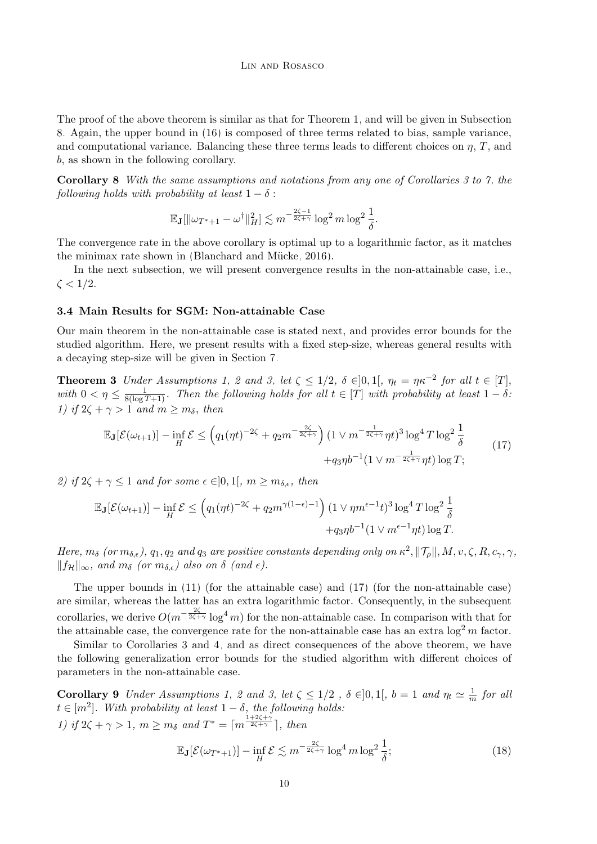The proof of the above theorem is similar as that for Theorem [1,](#page-6-3) and will be given in Subsection [8.](#page-35-0) Again, the upper bound in [\(16\)](#page-8-2) is composed of three terms related to bias, sample variance, and computational variance. Balancing these three terms leads to different choices on  $\eta$ ,  $T$ , and b, as shown in the following corollary.

Corollary 8 With the same assumptions and notations from any one of Corollaries [3](#page-7-3) to [7,](#page-8-3) the following holds with probability at least  $1 - \delta$ :

$$
\mathbb{E}_{\mathbf{J}}[\|\omega_{T^*+1} - \omega^\dagger\|_H^2] \lesssim m^{-\frac{2\zeta - 1}{2\zeta + \gamma}} \log^2 m \log^2 \frac{1}{\delta}.
$$

The convergence rate in the above corollary is optimal up to a logarithmic factor, as it matches the minimax rate shown in (Blanchard and Mücke, 2016).

In the next subsection, we will present convergence results in the non-attainable case, i.e.,  $\zeta < 1/2$ .

## <span id="page-9-0"></span>3.4 Main Results for SGM: Non-attainable Case

Our main theorem in the non-attainable case is stated next, and provides error bounds for the studied algorithm. Here, we present results with a fixed step-size, whereas general results with a decaying step-size will be given in Section [7.](#page-33-0)

<span id="page-9-2"></span>**Theorem 3** Under Assumptions [1,](#page-3-3) [2](#page-4-2) and [3,](#page-4-1) let  $\zeta \leq 1/2$ ,  $\delta \in ]0,1[$ ,  $\eta_t = \eta \kappa^{-2}$  for all  $t \in [T]$ , with  $0 < \eta \leq \frac{1}{8(\log T + 1)}$ . Then the following holds for all  $t \in [T]$  with probability at least  $1 - \delta$ : 1) if  $2\zeta + \gamma > 1$  and  $m \geq m_{\delta}$ , then

<span id="page-9-1"></span>
$$
\mathbb{E}_{\mathbf{J}}[\mathcal{E}(\omega_{t+1})] - \inf_{H} \mathcal{E} \leq \left( q_1(\eta t)^{-2\zeta} + q_2 m^{-\frac{2\zeta}{2\zeta + \gamma}} \right) (1 \vee m^{-\frac{1}{2\zeta + \gamma}} \eta t)^3 \log^4 T \log^2 \frac{1}{\delta} + q_3 \eta b^{-1} (1 \vee m^{-\frac{1}{2\zeta + \gamma}} \eta t) \log T; \tag{17}
$$

2) if  $2\zeta + \gamma \leq 1$  and for some  $\epsilon \in ]0,1[$ ,  $m \geq m_{\delta,\epsilon}$ , then

$$
\mathbb{E}_{\mathbf{J}}[\mathcal{E}(\omega_{t+1})] - \inf_{H} \mathcal{E} \leq \left( q_1(\eta t)^{-2\zeta} + q_2 m^{\gamma(1-\epsilon)-1} \right) (1 \vee \eta m^{\epsilon-1} t)^3 \log^4 T \log^2 \frac{1}{\delta} + q_3 \eta b^{-1} (1 \vee m^{\epsilon-1} \eta t) \log T.
$$

Here,  $m_\delta$  (or  $m_{\delta,\epsilon}$ ),  $q_1,q_2$  and  $q_3$  are positive constants depending only on  $\kappa^2$ ,  $\|\mathcal{T}_\rho\|, M, v, \zeta, R, c_\gamma, \gamma$ ,  $||f_{\mathcal{H}}||_{\infty}$ , and  $m_{\delta}$  (or  $m_{\delta,\epsilon}$ ) also on  $\delta$  (and  $\epsilon$ ).

The upper bounds in [\(11\)](#page-6-2) (for the attainable case) and [\(17\)](#page-9-1) (for the non-attainable case) are similar, whereas the latter has an extra logarithmic factor. Consequently, in the subsequent corollaries, we derive  $O(m^{-\frac{2\zeta}{2\zeta+\gamma}}\log^4 m)$  for the non-attainable case. In comparison with that for the attainable case, the convergence rate for the non-attainable case has an extra  $\log^2 m$  factor.

Similar to Corollaries [3](#page-7-3) and [4,](#page-7-4) and as direct consequences of the above theorem, we have the following generalization error bounds for the studied algorithm with different choices of parameters in the non-attainable case.

**Corollary 9** Under Assumptions [1,](#page-3-3) [2](#page-4-2) and [3,](#page-4-1) let  $\zeta \leq 1/2$ ,  $\delta \in ]0,1[$ ,  $b=1$  and  $\eta_t \simeq \frac{1}{n}$  $\frac{1}{m}$  for all  $t \in [m^2]$ . With probability at least  $1 - \delta$ , the following holds: 1) if  $2\zeta + \gamma > 1$ ,  $m \ge m_\delta$  and  $T^* = \lceil m^{\frac{1+2\zeta + \gamma}{2\zeta + \gamma}} \rceil$ , then

<span id="page-9-3"></span>
$$
\mathbb{E}_{\mathbf{J}}[\mathcal{E}(\omega_{T^*+1})] - \inf_{H} \mathcal{E} \lesssim m^{-\frac{2\zeta}{2\zeta+\gamma}} \log^4 m \log^2 \frac{1}{\delta};\tag{18}
$$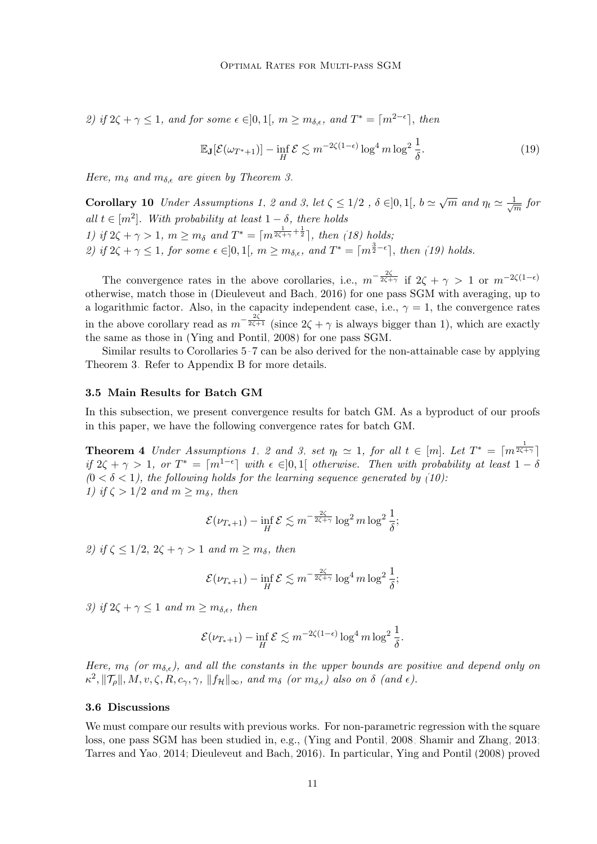2) if  $2\zeta + \gamma \leq 1$ , and for some  $\epsilon \in ]0,1[$ ,  $m \geq m_{\delta,\epsilon}$ , and  $T^* = \lceil m^{2-\epsilon} \rceil$ , then

<span id="page-10-2"></span>
$$
\mathbb{E}_{\mathbf{J}}[\mathcal{E}(\omega_{T^*+1})] - \inf_{H} \mathcal{E} \lesssim m^{-2\zeta(1-\epsilon)} \log^4 m \log^2 \frac{1}{\delta}.\tag{19}
$$

Here,  $m_{\delta}$  and  $m_{\delta,\epsilon}$  are given by Theorem [3.](#page-9-2)

Corollary 10 Under Assumptions [1,](#page-3-3) [2](#page-4-2) and [3,](#page-4-1) let  $\zeta \leq 1/2$ ,  $\delta \in ]0,1[, b \simeq \sqrt{m}$  and  $\eta_t \simeq \frac{1}{\sqrt{m}}$  $\frac{1}{m}$  for all  $t \in [m^2]$ . With probability at least  $1 - \delta$ , there holds 1) if  $2\zeta + \gamma > 1$ ,  $m \ge m_\delta$  and  $T^* = \lceil m^{\frac{1}{2\zeta + \gamma} + \frac{1}{2}} \rceil$ , then [\(18\)](#page-9-3) holds; 2) if  $2\zeta + \gamma \leq 1$ , for some  $\epsilon \in ]0,1[$ ,  $m \geq m_{\delta,\epsilon}$ , and  $T^* = \lceil m^{\frac{3}{2}-\epsilon} \rceil$ , then [\(19\)](#page-10-2) holds.

The convergence rates in the above corollaries, i.e.,  $m^{-\frac{2\zeta}{2\zeta+\gamma}}$  if  $2\zeta+\gamma>1$  or  $m^{-2\zeta(1-\epsilon)}$ otherwise, match those in [\(Dieuleveut and Bach, 2016\)](#page-44-2) for one pass SGM with averaging, up to a logarithmic factor. Also, in the capacity independent case, i.e.,  $\gamma = 1$ , the convergence rates in the above corollary read as  $m^{-\frac{2\zeta}{2\zeta+1}}$  (since  $2\zeta+\gamma$  is always bigger than 1), which are exactly the same as those in [\(Ying and Pontil, 2008\)](#page-46-0) for one pass SGM.

Similar results to Corollaries [5](#page-8-0)[–7](#page-8-3) can be also derived for the non-attainable case by applying Theorem [3.](#page-9-2) Refer to Appendix [B](#page-38-0) for more details.

## <span id="page-10-1"></span>3.5 Main Results for Batch GM

In this subsection, we present convergence results for batch GM. As a byproduct of our proofs in this paper, we have the following convergence rates for batch GM.

**Theorem 4** Under Assumptions [1,](#page-3-3) [2](#page-4-2) and [3,](#page-4-1) set  $\eta_t \simeq 1$ , for all  $t \in [m]$ . Let  $T^* = \lceil m^{\frac{1}{2\zeta + \gamma}} \rceil$ if  $2\zeta + \gamma > 1$ , or  $T^* = \lceil m^{1-\epsilon} \rceil$  with  $\epsilon \in ]0,1[$  otherwise. Then with probability at least  $1-\delta$  $(0 < \delta < 1)$ , the following holds for the learning sequence generated by [\(10\)](#page-6-0): 1) if  $\zeta > 1/2$  and  $m \geq m_\delta$ , then

<span id="page-10-3"></span>
$$
\mathcal{E}(\nu_{T_*+1}) - \inf_H \mathcal{E} \lesssim m^{-\frac{2\zeta}{2\zeta+\gamma}} \log^2 m \log^2 \frac{1}{\delta};
$$

2) if  $\zeta \leq 1/2$ ,  $2\zeta + \gamma > 1$  and  $m > m_{\delta}$ , then

$$
\mathcal{E}(\nu_{T_*+1}) - \inf_H \mathcal{E} \lesssim m^{-\frac{2\zeta}{2\zeta+\gamma}} \log^4 m \log^2 \frac{1}{\delta};
$$

3) if  $2\zeta + \gamma \leq 1$  and  $m \geq m_{\delta,\epsilon}$ , then

$$
\mathcal{E}(\nu_{T_*+1}) - \inf_H \mathcal{E} \lesssim m^{-2\zeta(1-\epsilon)} \log^4 m \log^2 \frac{1}{\delta}.
$$

Here,  $m_{\delta}$  (or  $m_{\delta,\epsilon}$ ), and all the constants in the upper bounds are positive and depend only on  $\kappa^2, \|\mathcal{T}_{\rho}\|, M, v, \zeta, R, c_\gamma, \gamma, \|f_{\mathcal{H}}\|_{\infty}$ , and  $m_\delta$  (or  $m_{\delta,\epsilon}$ ) also on  $\delta$  (and  $\epsilon$ ).

## <span id="page-10-0"></span>3.6 Discussions

We must compare our results with previous works. For non-parametric regression with the square loss, one pass SGM has been studied in, e.g., [\(Ying and Pontil, 2008;](#page-46-0) [Shamir and Zhang, 2013;](#page-45-11) [Tarres and Yao, 2014;](#page-45-1) [Dieuleveut and Bach, 2016\)](#page-44-2). In particular, [Ying and Pontil](#page-46-0) [\(2008\)](#page-46-0) proved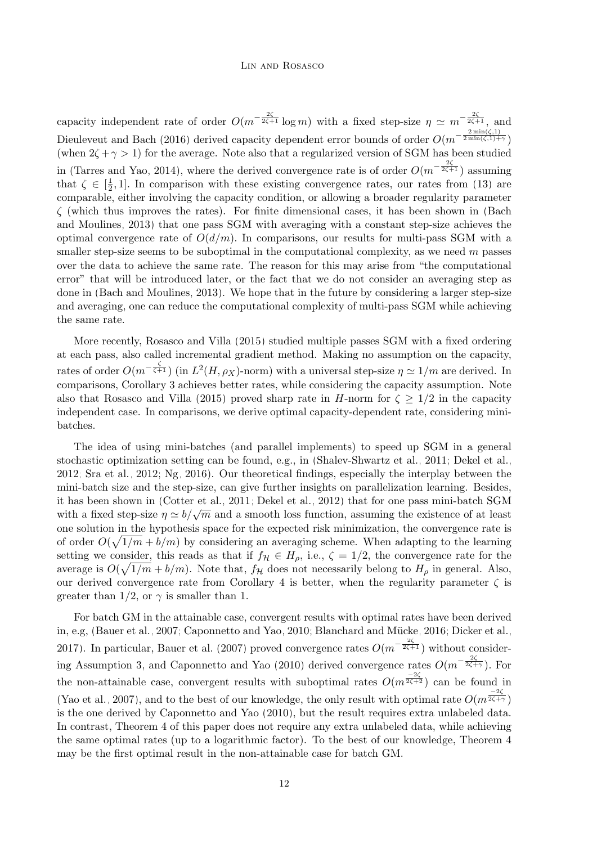capacity independent rate of order  $O(m^{-\frac{2\zeta}{2\zeta+1}}\log m)$  with a fixed step-size  $\eta \simeq m^{-\frac{2\zeta}{2\zeta+1}}$ , and [Dieuleveut and Bach](#page-44-2) [\(2016\)](#page-44-2) derived capacity dependent error bounds of order  $O(m^{-\frac{2\min(\zeta,1)}{2\min(\zeta,1)+\gamma}})$ (when  $2\zeta + \gamma > 1$ ) for the average. Note also that a regularized version of SGM has been studied in [\(Tarres and Yao, 2014\)](#page-45-1), where the derived convergence rate is of order  $O(m^{-\frac{2\zeta}{2\zeta+1}})$  assuming that  $\zeta \in \left[\frac{1}{2}\right]$  $\frac{1}{2}$ , 1. In comparison with these existing convergence rates, our rates from [\(13\)](#page-7-2) are comparable, either involving the capacity condition, or allowing a broader regularity parameter  $\zeta$  (which thus improves the rates). For finite dimensional cases, it has been shown in [\(Bach](#page-44-12) [and Moulines, 2013\)](#page-44-12) that one pass SGM with averaging with a constant step-size achieves the optimal convergence rate of  $O(d/m)$ . In comparisons, our results for multi-pass SGM with a smaller step-size seems to be suboptimal in the computational complexity, as we need  $m$  passes over the data to achieve the same rate. The reason for this may arise from "the computational error" that will be introduced later, or the fact that we do not consider an averaging step as done in [\(Bach and Moulines, 2013\)](#page-44-12). We hope that in the future by considering a larger step-size and averaging, one can reduce the computational complexity of multi-pass SGM while achieving the same rate.

More recently, [Rosasco and Villa](#page-45-8) [\(2015\)](#page-45-8) studied multiple passes SGM with a fixed ordering at each pass, also called incremental gradient method. Making no assumption on the capacity, rates of order  $O(m^{-\frac{\zeta}{\zeta+1}})$  (in  $L^2(H,\rho_X)$ -norm) with a universal step-size  $\eta \simeq 1/m$  are derived. In comparisons, Corollary [3](#page-7-3) achieves better rates, while considering the capacity assumption. Note also that [Rosasco and Villa](#page-45-8) [\(2015\)](#page-45-8) proved sharp rate in H-norm for  $\zeta \geq 1/2$  in the capacity independent case. In comparisons, we derive optimal capacity-dependent rate, considering minibatches.

The idea of using mini-batches (and parallel implements) to speed up SGM in a general stochastic optimization setting can be found, e.g., in [\(Shalev-Shwartz et al., 2011;](#page-45-4) [Dekel et al.,](#page-44-7) [2012;](#page-44-7) [Sra et al., 2012;](#page-45-5) [Ng, 2016\)](#page-45-6). Our theoretical findings, especially the interplay between the mini-batch size and the step-size, can give further insights on parallelization learning. Besides, it has been shown in [\(Cotter et al., 2011;](#page-44-13) [Dekel et al., 2012\)](#page-44-7) that for one pass mini-batch SGM with a fixed step-size  $\eta \simeq b/\sqrt{m}$  and a smooth loss function, assuming the existence of at least one solution in the hypothesis space for the expected risk minimization, the convergence rate is of order  $O(\sqrt{1/m} + b/m)$  by considering an averaging scheme. When adapting to the learning setting we consider, this reads as that if  $f_{\mathcal{H}} \in H_{\rho}$ , i.e.,  $\zeta = 1/2$ , the convergence rate for the average is  $O(\sqrt{1/m} + b/m)$ . Note that,  $f_{\mathcal{H}}$  does not necessarily belong to  $H_{\rho}$  in general. Also, our derived convergence rate from Corollary [4](#page-7-4) is better, when the regularity parameter  $\zeta$  is greater than 1/2, or  $\gamma$  is smaller than 1.

For batch GM in the attainable case, convergent results with optimal rates have been derived in, e.g, [\(Bauer et al., 2007;](#page-44-14) [Caponnetto and Yao, 2010;](#page-44-9) Blanchard and Mücke, 2016; [Dicker et al.,](#page-44-15) [2017\)](#page-44-15). In particular, [Bauer et al.](#page-44-14) [\(2007\)](#page-44-14) proved convergence rates  $O(m^{-\frac{2\zeta}{2\zeta+1}})$  without consider-ing Assumption [3,](#page-4-1) and [Caponnetto and Yao](#page-44-9) [\(2010\)](#page-44-9) derived convergence rates  $O(m^{-\frac{2\zeta}{2\zeta+\gamma}})$ . For the non-attainable case, convergent results with suboptimal rates  $O(m^{\frac{-2\zeta}{2\zeta+2}})$  can be found in [\(Yao et al., 2007\)](#page-46-2), and to the best of our knowledge, the only result with optimal rate  $O(m^{\frac{-2\zeta}{2\zeta+\gamma}})$ is the one derived by [Caponnetto and Yao](#page-44-9) [\(2010\)](#page-44-9), but the result requires extra unlabeled data. In contrast, Theorem [4](#page-10-3) of this paper does not require any extra unlabeled data, while achieving the same optimal rates (up to a logarithmic factor). To the best of our knowledge, Theorem [4](#page-10-3) may be the first optimal result in the non-attainable case for batch GM.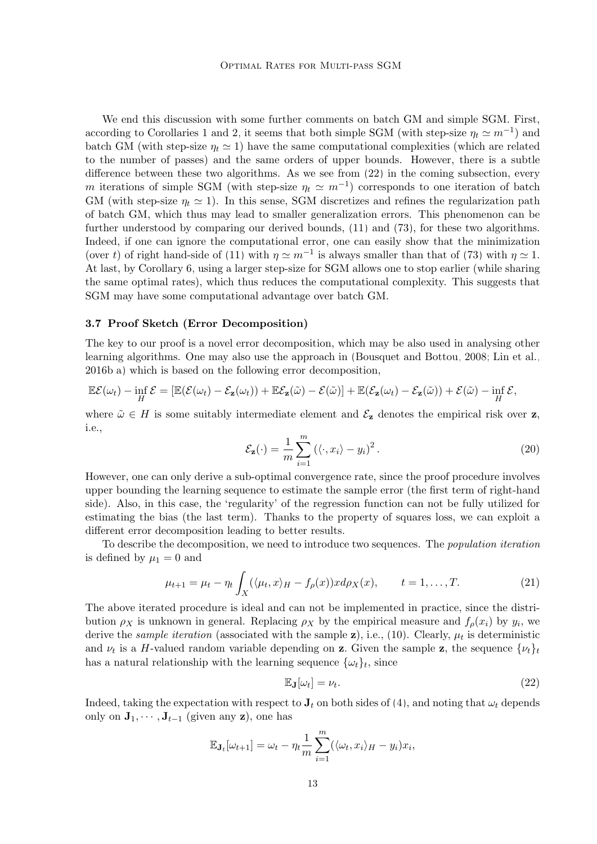We end this discussion with some further comments on batch GM and simple SGM. First, according to Corollaries [1](#page-5-2) and [2,](#page-6-1) it seems that both simple SGM (with step-size  $\eta_t \simeq m^{-1}$ ) and batch GM (with step-size  $\eta_t \simeq 1$ ) have the same computational complexities (which are related to the number of passes) and the same orders of upper bounds. However, there is a subtle difference between these two algorithms. As we see from [\(22\)](#page-12-1) in the coming subsection, every m iterations of simple SGM (with step-size  $\eta_t \simeq m^{-1}$ ) corresponds to one iteration of batch GM (with step-size  $\eta_t \simeq 1$ ). In this sense, SGM discretizes and refines the regularization path of batch GM, which thus may lead to smaller generalization errors. This phenomenon can be further understood by comparing our derived bounds, [\(11\)](#page-6-2) and [\(73\)](#page-35-1), for these two algorithms. Indeed, if one can ignore the computational error, one can easily show that the minimization (over t) of right hand-side of [\(11\)](#page-6-2) with  $\eta \simeq m^{-1}$  is always smaller than that of [\(73\)](#page-35-1) with  $\eta \simeq 1$ . At last, by Corollary [6,](#page-8-1) using a larger step-size for SGM allows one to stop earlier (while sharing the same optimal rates), which thus reduces the computational complexity. This suggests that SGM may have some computational advantage over batch GM.

## <span id="page-12-0"></span>3.7 Proof Sketch (Error Decomposition)

The key to our proof is a novel error decomposition, which may be also used in analysing other learning algorithms. One may also use the approach in [\(Bousquet and Bottou, 2008;](#page-44-0) [Lin et al.,](#page-45-12) [2016b,](#page-45-12)[a\)](#page-44-3) which is based on the following error decomposition,

$$
\mathbb{E}\mathcal{E}(\omega_t) - \inf_H \mathcal{E} = [\mathbb{E}(\mathcal{E}(\omega_t) - \mathcal{E}_\mathbf{z}(\omega_t)) + \mathbb{E}\mathcal{E}_\mathbf{z}(\tilde{\omega}) - \mathcal{E}(\tilde{\omega})] + \mathbb{E}(\mathcal{E}_\mathbf{z}(\omega_t) - \mathcal{E}_\mathbf{z}(\tilde{\omega})) + \mathcal{E}(\tilde{\omega}) - \inf_H \mathcal{E},
$$

<span id="page-12-3"></span>where  $\tilde{\omega} \in H$  is some suitably intermediate element and  $\mathcal{E}_z$  denotes the empirical risk over z, i.e.,

$$
\mathcal{E}_{\mathbf{z}}(\cdot) = \frac{1}{m} \sum_{i=1}^{m} \left( \langle \cdot, x_i \rangle - y_i \right)^2.
$$
 (20)

However, one can only derive a sub-optimal convergence rate, since the proof procedure involves upper bounding the learning sequence to estimate the sample error (the first term of right-hand side). Also, in this case, the 'regularity' of the regression function can not be fully utilized for estimating the bias (the last term). Thanks to the property of squares loss, we can exploit a different error decomposition leading to better results.

To describe the decomposition, we need to introduce two sequences. The population iteration is defined by  $\mu_1 = 0$  and

<span id="page-12-2"></span>
$$
\mu_{t+1} = \mu_t - \eta_t \int_X (\langle \mu_t, x \rangle_H - f_\rho(x)) x d\rho_X(x), \qquad t = 1, \dots, T. \tag{21}
$$

The above iterated procedure is ideal and can not be implemented in practice, since the distribution  $\rho_X$  is unknown in general. Replacing  $\rho_X$  by the empirical measure and  $f_\rho(x_i)$  by  $y_i$ , we derive the *sample iteration* (associated with the sample  $z$ ), i.e., [\(10\)](#page-6-0). Clearly,  $\mu_t$  is deterministic and  $\nu_t$  is a H-valued random variable depending on **z**. Given the sample **z**, the sequence  $\{\nu_t\}_t$ has a natural relationship with the learning sequence  $\{\omega_t\}_t$ , since

<span id="page-12-1"></span>
$$
\mathbb{E}_{\mathbf{J}}[\omega_t] = \nu_t. \tag{22}
$$

Indeed, taking the expectation with respect to  $J_t$  on both sides of [\(4\)](#page-3-4), and noting that  $\omega_t$  depends only on  $\mathbf{J}_1, \cdots, \mathbf{J}_{t-1}$  (given any **z**), one has

$$
\mathbb{E}_{\mathbf{J}_t}[\omega_{t+1}] = \omega_t - \eta_t \frac{1}{m} \sum_{i=1}^m (\langle \omega_t, x_i \rangle_H - y_i) x_i,
$$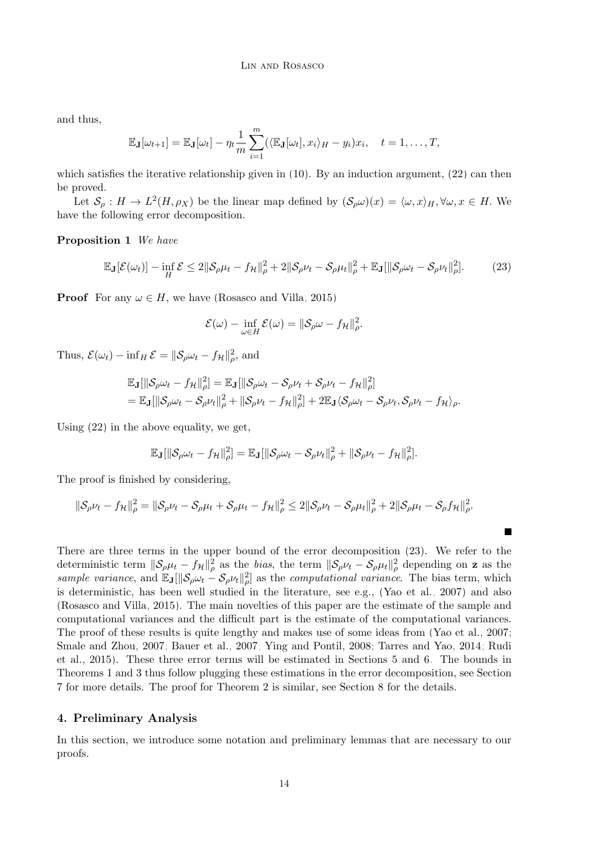and thus,

$$
\mathbb{E}_{\mathbf{J}}[\omega_{t+1}] = \mathbb{E}_{\mathbf{J}}[\omega_t] - \eta_t \frac{1}{m} \sum_{i=1}^m (\langle \mathbb{E}_{\mathbf{J}}[\omega_t], x_i \rangle_H - y_i) x_i, \quad t = 1, \dots, T,
$$

which satisfies the iterative relationship given in  $(10)$ . By an induction argument,  $(22)$  can then be proved.

Let  $S_\rho: H \to L^2(H, \rho_X)$  be the linear map defined by  $(S_\rho \omega)(x) = \langle \omega, x \rangle_H, \forall \omega, x \in H$ . We have the following error decomposition.

Proposition 1 We have

<span id="page-13-1"></span>
$$
\mathbb{E}_{\mathbf{J}}[\mathcal{E}(\omega_t)] - \inf_H \mathcal{E} \le 2\|\mathcal{S}_{\rho}\mu_t - f_{\mathcal{H}}\|_{\rho}^2 + 2\|\mathcal{S}_{\rho}\nu_t - \mathcal{S}_{\rho}\mu_t\|_{\rho}^2 + \mathbb{E}_{\mathbf{J}}[\|\mathcal{S}_{\rho}\omega_t - \mathcal{S}_{\rho}\nu_t\|_{\rho}^2].
$$
 (23)

**Proof** For any  $\omega \in H$ , we have [\(Rosasco and Villa, 2015\)](#page-45-8)

$$
\mathcal{E}(\omega) - \inf_{\omega \in H} \mathcal{E}(\omega) = \|\mathcal{S}_{\rho}\omega - f_{\mathcal{H}}\|_{\rho}^2.
$$

Thus,  $\mathcal{E}(\omega_t) - \inf_H \mathcal{E} = ||\mathcal{S}_{\rho}\omega_t - f_{\mathcal{H}}||_{\rho}^2$ , and

$$
\mathbb{E}_{\mathbf{J}}[\|\mathcal{S}_{\rho}\omega_t - f_{\mathcal{H}}\|_{\rho}^2] = \mathbb{E}_{\mathbf{J}}[\|\mathcal{S}_{\rho}\omega_t - \mathcal{S}_{\rho}\nu_t + \mathcal{S}_{\rho}\nu_t - f_{\mathcal{H}}\|_{\rho}^2] \n= \mathbb{E}_{\mathbf{J}}[\|\mathcal{S}_{\rho}\omega_t - \mathcal{S}_{\rho}\nu_t\|_{\rho}^2 + \|\mathcal{S}_{\rho}\nu_t - f_{\mathcal{H}}\|_{\rho}^2] + 2\mathbb{E}_{\mathbf{J}}\langle\mathcal{S}_{\rho}\omega_t - \mathcal{S}_{\rho}\nu_t, \mathcal{S}_{\rho}\nu_t - f_{\mathcal{H}}\rangle_{\rho}.
$$

Using [\(22\)](#page-12-1) in the above equality, we get,

$$
\mathbb{E}_{\mathbf{J}}[\|\mathcal{S}_{\rho}\omega_t - f_{\mathcal{H}}\|_{\rho}^2] = \mathbb{E}_{\mathbf{J}}[\|\mathcal{S}_{\rho}\omega_t - \mathcal{S}_{\rho}\nu_t\|_{\rho}^2 + \|\mathcal{S}_{\rho}\nu_t - f_{\mathcal{H}}\|_{\rho}^2].
$$

The proof is finished by considering,

$$
\|\mathcal{S}_{\rho}\nu_t - f_{\mathcal{H}}\|_{\rho}^2 = \|\mathcal{S}_{\rho}\nu_t - \mathcal{S}_{\rho}\mu_t + \mathcal{S}_{\rho}\mu_t - f_{\mathcal{H}}\|_{\rho}^2 \le 2\|\mathcal{S}_{\rho}\nu_t - \mathcal{S}_{\rho}\mu_t\|_{\rho}^2 + 2\|\mathcal{S}_{\rho}\mu_t - \mathcal{S}_{\rho}f_{\mathcal{H}}\|_{\rho}^2.
$$

П

There are three terms in the upper bound of the error decomposition [\(23\)](#page-13-1). We refer to the deterministic term  $\|\mathcal{S}_{\rho}\mu_t - f_{\mathcal{H}}\|_{\rho}^2$  as the bias, the term  $\|\mathcal{S}_{\rho}\nu_t - \mathcal{S}_{\rho}\mu_t\|_{\rho}^2$  depending on **z** as the sample variance, and  $\mathbb{E}_{J}[\|\mathcal{S}_{\rho}\omega_t - \mathcal{S}_{\rho}\nu_t\|_{\rho}^2]$  as the computational variance. The bias term, which is deterministic, has been well studied in the literature, see e.g., [\(Yao et al., 2007\)](#page-46-2) and also [\(Rosasco and Villa, 2015\)](#page-45-8). The main novelties of this paper are the estimate of the sample and computational variances and the difficult part is the estimate of the computational variances. The proof of these results is quite lengthy and makes use of some ideas from [\(Yao et al., 2007;](#page-46-2) [Smale and Zhou, 2007;](#page-45-7) [Bauer et al., 2007;](#page-44-14) [Ying and Pontil, 2008;](#page-46-0) [Tarres and Yao, 2014;](#page-45-1) [Rudi](#page-45-13) [et al., 2015\)](#page-45-13). These three error terms will be estimated in Sections [5](#page-15-0) and [6.](#page-24-0) The bounds in Theorems [1](#page-6-3) and [3](#page-9-2) thus follow plugging these estimations in the error decomposition, see Section [7](#page-33-0) for more details. The proof for Theorem [2](#page-8-4) is similar, see Section [8](#page-35-0) for the details.

## <span id="page-13-0"></span>4. Preliminary Analysis

In this section, we introduce some notation and preliminary lemmas that are necessary to our proofs.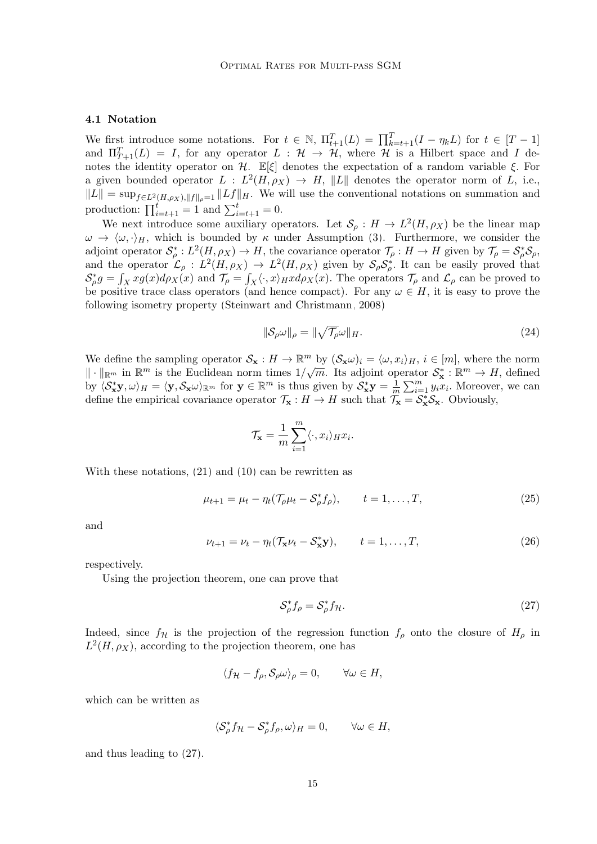## 4.1 Notation

We first introduce some notations. For  $t \in \mathbb{N}$ ,  $\Pi_{t+1}^T(L) = \prod_{k=t+1}^T (I - \eta_k L)$  for  $t \in [T-1]$ and  $\Pi_{T+1}^T(L) = I$ , for any operator  $L : H \to H$ , where H is a Hilbert space and I denotes the identity operator on H.  $\mathbb{E}[\xi]$  denotes the expectation of a random variable  $\xi$ . For a given bounded operator  $L : L^2(H, \rho_X) \to H$ , ||L|| denotes the operator norm of L, i.e.,  $||L|| = \sup_{f \in L^2(H,\rho_X), ||f||_{\rho}=1} ||Lf||_H$ . We will use the conventional notations on summation and production:  $\prod_{i=t+1}^{t} = 1$  and  $\sum_{i=t+1}^{t} = 0$ .

We next introduce some auxiliary operators. Let  $\mathcal{S}_{\rho}: H \to L^2(H, \rho_X)$  be the linear map  $\omega \to \langle \omega, \cdot \rangle_H$ , which is bounded by  $\kappa$  under Assumption [\(3\)](#page-2-1). Furthermore, we consider the adjoint operator  $S^*_\rho: L^2(H, \rho_X) \to H$ , the covariance operator  $\mathcal{T}_\rho: H \to H$  given by  $\mathcal{T}_\rho = S^*_\rho S_\rho$ , and the operator  $\mathcal{L}_{\rho}: L^2(H,\rho_X) \to L^2(H,\rho_X)$  given by  $\mathcal{S}_{\rho} \mathcal{S}_{\rho}^*$ . It can be easily proved that  $\mathcal{S}_{\rho}^* g = \int_X x g(x) d\rho_X(x)$  and  $\mathcal{T}_{\rho} = \int_X \langle \cdot, x \rangle_H x d\rho_X(x)$ . The operators  $\mathcal{T}_{\rho}$  and  $\mathcal{L}_{\rho}$  can be proved to be positive trace class operators (and hence compact). For any  $\omega \in H$ , it is easy to prove the following isometry property [\(Steinwart and Christmann, 2008\)](#page-45-9)

<span id="page-14-3"></span>
$$
\|\mathcal{S}_{\rho}\omega\|_{\rho} = \|\sqrt{\mathcal{T}_{\rho}}\omega\|_{H}.\tag{24}
$$

We define the sampling operator  $S_{\mathbf{x}} : H \to \mathbb{R}^m$  by  $(S_{\mathbf{x}}\omega)_i = \langle \omega, x_i \rangle_H$ ,  $i \in [m]$ , where the norm  $\|\cdot\|_{\mathbb{R}^m}$  in  $\mathbb{R}^m$  is the Euclidean norm times  $1/\sqrt{m}$ . Its adjoint operator  $\mathcal{S}_{\mathbf{x}}^* : \mathbb{R}^m \to H$ , defined by  $\langle \mathcal{S}_{\mathbf{x}}^* \mathbf{y}, \omega \rangle_H = \langle \mathbf{y}, \mathcal{S}_{\mathbf{x}} \omega \rangle_{\mathbb{R}^m}$  for  $\mathbf{y} \in \mathbb{R}^m$  is thus given by  $\mathcal{S}_{\mathbf{x}}^* \mathbf{y} = \frac{1}{n}$  $\frac{1}{m} \sum_{i=1}^{m} y_i x_i$ . Moreover, we can define the empirical covariance operator  $\mathcal{T}_{\mathbf{x}} : H \to H$  such that  $\mathcal{T}_{\mathbf{x}} = \mathcal{S}_{\mathbf{x}}^* \mathcal{S}_{\mathbf{x}}$ . Obviously,

<span id="page-14-2"></span>
$$
\mathcal{T}_{\mathbf{x}} = \frac{1}{m} \sum_{i=1}^{m} \langle \cdot, x_i \rangle_H x_i.
$$

With these notations, [\(21\)](#page-12-2) and [\(10\)](#page-6-0) can be rewritten as

$$
\mu_{t+1} = \mu_t - \eta_t (\mathcal{T}_\rho \mu_t - \mathcal{S}_\rho^* f_\rho), \qquad t = 1, ..., T,
$$
\n(25)

<span id="page-14-1"></span>and

$$
\nu_{t+1} = \nu_t - \eta_t (T_\mathbf{x} \nu_t - S_\mathbf{x}^* \mathbf{y}), \qquad t = 1, \dots, T,
$$
\n(26)

respectively.

Using the projection theorem, one can prove that

<span id="page-14-0"></span>
$$
\mathcal{S}_{\rho}^* f_{\rho} = \mathcal{S}_{\rho}^* f_{\mathcal{H}}.\tag{27}
$$

Indeed, since  $f_{\mathcal{H}}$  is the projection of the regression function  $f_{\rho}$  onto the closure of  $H_{\rho}$  in  $L^2(H, \rho_X)$ , according to the projection theorem, one has

$$
\langle f_{\mathcal{H}} - f_{\rho}, \mathcal{S}_{\rho} \omega \rangle_{\rho} = 0, \qquad \forall \omega \in H,
$$

which can be written as

$$
\langle \mathcal{S}_{\rho}^* f_{\mathcal{H}} - \mathcal{S}_{\rho}^* f_{\rho}, \omega \rangle_H = 0, \qquad \forall \omega \in H,
$$

and thus leading to [\(27\)](#page-14-0).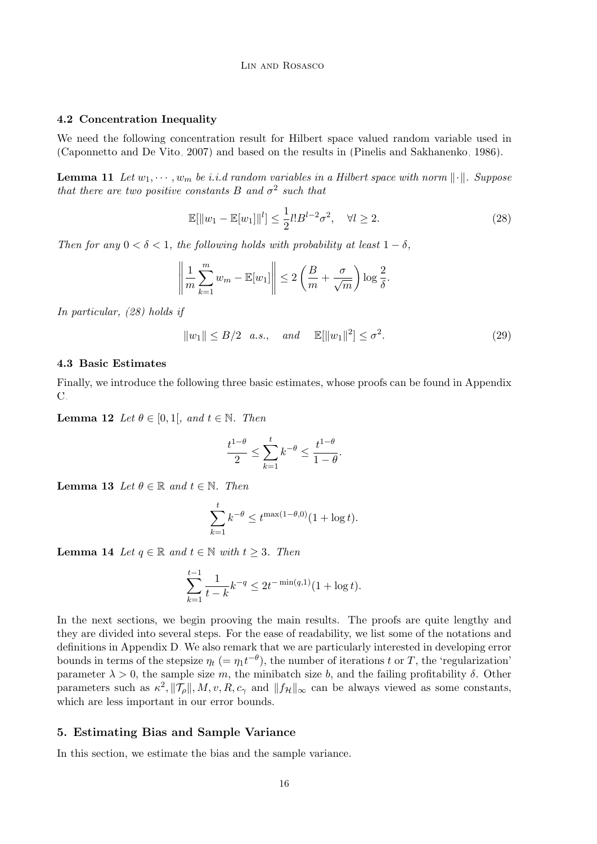## 4.2 Concentration Inequality

We need the following concentration result for Hilbert space valued random variable used in [\(Caponnetto and De Vito, 2007\)](#page-44-6) and based on the results in [\(Pinelis and Sakhanenko, 1986\)](#page-45-14).

<span id="page-15-3"></span>**Lemma 11** Let  $w_1, \dots, w_m$  be i.i.d random variables in a Hilbert space with norm  $\|\cdot\|$ . Suppose that there are two positive constants B and  $\sigma^2$  such that

<span id="page-15-1"></span>
$$
\mathbb{E}[\|w_1 - \mathbb{E}[w_1]\|^l] \le \frac{1}{2} l! B^{l-2} \sigma^2, \quad \forall l \ge 2.
$$
 (28)

Then for any  $0 < \delta < 1$ , the following holds with probability at least  $1 - \delta$ ,

$$
\left\|\frac{1}{m}\sum_{k=1}^m w_m - \mathbb{E}[w_1]\right\| \le 2\left(\frac{B}{m} + \frac{\sigma}{\sqrt{m}}\right)\log\frac{2}{\delta}.
$$

In particular, [\(28\)](#page-15-1) holds if

$$
||w_1|| \le B/2 \quad a.s., \quad and \quad \mathbb{E}[\|w_1\|^2] \le \sigma^2.
$$
 (29)

## 4.3 Basic Estimates

<span id="page-15-2"></span>Finally, we introduce the following three basic estimates, whose proofs can be found in Appendix [C.](#page-38-1)

**Lemma 12** Let  $\theta \in [0, 1]$ , and  $t \in \mathbb{N}$ . Then

$$
\frac{t^{1-\theta}}{2} \le \sum_{k=1}^t k^{-\theta} \le \frac{t^{1-\theta}}{1-\theta}.
$$

<span id="page-15-5"></span>**Lemma 13** Let  $\theta \in \mathbb{R}$  and  $t \in \mathbb{N}$ . Then

$$
\sum_{k=1}^{t} k^{-\theta} \le t^{\max(1-\theta,0)} (1 + \log t).
$$

<span id="page-15-4"></span>**Lemma 14** Let  $q \in \mathbb{R}$  and  $t \in \mathbb{N}$  with  $t \geq 3$ . Then

$$
\sum_{k=1}^{t-1} \frac{1}{t-k} k^{-q} \le 2t^{-\min(q,1)} (1 + \log t).
$$

In the next sections, we begin prooving the main results. The proofs are quite lengthy and they are divided into several steps. For the ease of readability, we list some of the notations and definitions in Appendix [D.](#page-43-0) We also remark that we are particularly interested in developing error bounds in terms of the stepsize  $\eta_t$  (=  $\eta_1 t^{-\theta}$ ), the number of iterations t or T, the 'regularization' parameter  $\lambda > 0$ , the sample size m, the minibatch size b, and the failing profitability  $\delta$ . Other parameters such as  $\kappa^2$ ,  $||\mathcal{T}_{\rho}||$ ,  $M$ ,  $v$ ,  $R$ ,  $c_{\gamma}$  and  $||f_{\mathcal{H}}||_{\infty}$  can be always viewed as some constants, which are less important in our error bounds.

#### <span id="page-15-0"></span>5. Estimating Bias and Sample Variance

In this section, we estimate the bias and the sample variance.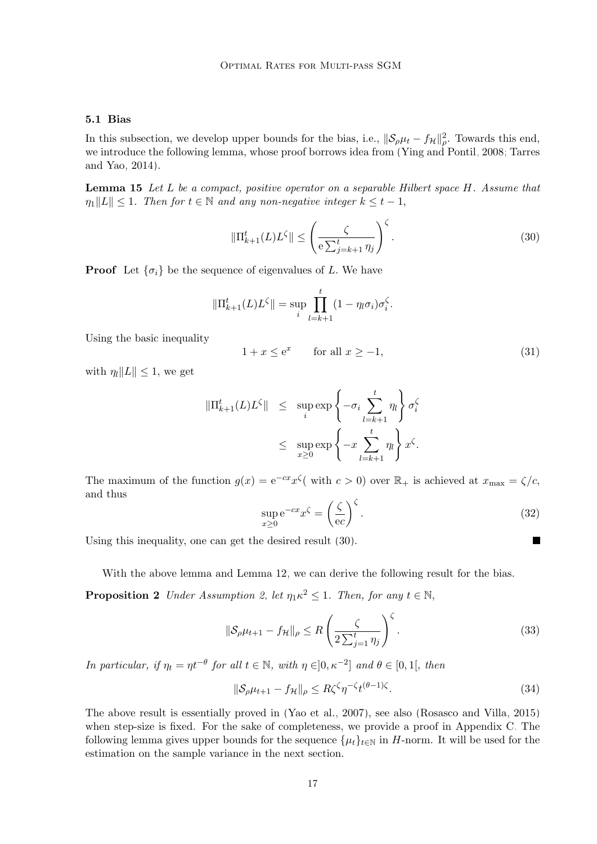## <span id="page-16-1"></span>5.1 Bias

<span id="page-16-3"></span>In this subsection, we develop upper bounds for the bias, i.e.,  $\|\mathcal{S}_{\rho}\mu_t - f_{\mathcal{H}}\|_{\rho}^2$ . Towards this end, we introduce the following lemma, whose proof borrows idea from [\(Ying and Pontil, 2008;](#page-46-0) [Tarres](#page-45-1) [and Yao, 2014\)](#page-45-1).

Lemma 15 Let L be a compact, positive operator on a separable Hilbert space H. Assume that  $\eta_1||L|| \leq 1$ . Then for  $t \in \mathbb{N}$  and any non-negative integer  $k \leq t-1$ ,

<span id="page-16-0"></span>
$$
\|\Pi_{k+1}^t(L)L^{\zeta}\| \le \left(\frac{\zeta}{e\sum_{j=k+1}^t \eta_j}\right)^{\zeta}.\tag{30}
$$

**Proof** Let  $\{\sigma_i\}$  be the sequence of eigenvalues of L. We have

$$
\|\Pi_{k+1}^{t}(L)L^{\zeta}\| = \sup_{i} \prod_{l=k+1}^{t} (1 - \eta_{l}\sigma_{i})\sigma_{i}^{\zeta}.
$$

Using the basic inequality

$$
1 + x \le e^x \qquad \text{for all } x \ge -1,\tag{31}
$$

with  $\eta_l ||L|| \leq 1$ , we get

$$
\begin{array}{rcl} \|\Pi_{k+1}^t(L)L^{\zeta}\| & \leq & \sup\limits_i \exp\left\{-\sigma_i \sum\limits_{l=k+1}^t \eta_l\right\} \sigma_i^{\zeta} \\ & \leq & \sup\limits_{x\geq 0} \exp\left\{-x \sum\limits_{l=k+1}^t \eta_l\right\} x^{\zeta}. \end{array}
$$

<span id="page-16-4"></span>The maximum of the function  $g(x) = e^{-cx}x^{\zeta}$  with  $c > 0$  over  $\mathbb{R}_+$  is achieved at  $x_{\text{max}} = \zeta/c$ , and thus

$$
\sup_{x\geq 0} e^{-cx} x^{\zeta} = \left(\frac{\zeta}{ec}\right)^{\zeta}.
$$
\n(32)

<span id="page-16-6"></span><span id="page-16-5"></span><span id="page-16-2"></span> $\blacksquare$ 

Using this inequality, one can get the desired result [\(30\)](#page-16-0).

With the above lemma and Lemma [12,](#page-15-2) we can derive the following result for the bias.

**Proposition 2** Under Assumption [2,](#page-4-2) let  $\eta_1 \kappa^2 \leq 1$ . Then, for any  $t \in \mathbb{N}$ ,

$$
\|\mathcal{S}_{\rho}\mu_{t+1} - f_{\mathcal{H}}\|_{\rho} \le R\left(\frac{\zeta}{2\sum_{j=1}^t \eta_j}\right)^{\zeta}.
$$
\n(33)

In particular, if  $\eta_t = \eta t^{-\theta}$  for all  $t \in \mathbb{N}$ , with  $\eta \in ]0, \kappa^{-2}]$  and  $\theta \in [0, 1]$ , then

<span id="page-16-7"></span>
$$
\|\mathcal{S}_{\rho}\mu_{t+1} - f_{\mathcal{H}}\|_{\rho} \le R\zeta^{\zeta}\eta^{-\zeta}t^{(\theta-1)\zeta}.
$$
\n(34)

The above result is essentially proved in [\(Yao et al., 2007\)](#page-46-2), see also [\(Rosasco and Villa, 2015\)](#page-45-8) when step-size is fixed. For the sake of completeness, we provide a proof in Appendix [C.](#page-38-1) The following lemma gives upper bounds for the sequence  $\{\mu_t\}_{t\in\mathbb{N}}$  in H-norm. It will be used for the estimation on the sample variance in the next section.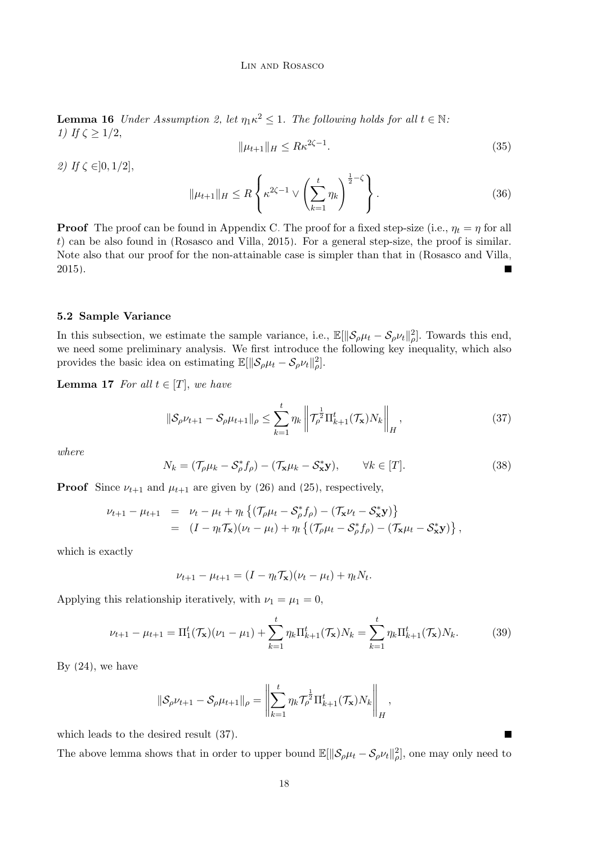<span id="page-17-5"></span>**Lemma 16** Under Assumption [2,](#page-4-2) let  $\eta_1 \kappa^2 \leq 1$ . The following holds for all  $t \in \mathbb{N}$ . 1) If  $\zeta \geq 1/2$ ,

$$
\|\mu_{t+1}\|_{H} \le R\kappa^{2\zeta - 1}.\tag{35}
$$

2) If  $\zeta \in ]0,1/2]$ ,

<span id="page-17-2"></span>
$$
\|\mu_{t+1}\|_{H} \le R \left\{ \kappa^{2\zeta - 1} \vee \left( \sum_{k=1}^{t} \eta_k \right)^{\frac{1}{2} - \zeta} \right\}.
$$
 (36)

**Proof** The proof can be found in Appendix [C.](#page-38-1) The proof for a fixed step-size (i.e.,  $\eta_t = \eta$  for all t) can be also found in [\(Rosasco and Villa, 2015\)](#page-45-8). For a general step-size, the proof is similar. Note also that our proof for the non-attainable case is simpler than that in [\(Rosasco and Villa,](#page-45-8) [2015\)](#page-45-8).  $\blacksquare$ 

## 5.2 Sample Variance

In this subsection, we estimate the sample variance, i.e.,  $\mathbb{E}[\|\mathcal{S}_{\rho}\mu_t - \mathcal{S}_{\rho}\nu_t\|_{\rho}^2]$ . Towards this end, we need some preliminary analysis. We first introduce the following key inequality, which also provides the basic idea on estimating  $\mathbb{E}[\|\mathcal{S}_{\rho}\mu_t - \mathcal{S}_{\rho}\nu_t\|_{\rho}^2]$ .

**Lemma 17** For all  $t \in [T]$ , we have

<span id="page-17-3"></span><span id="page-17-0"></span>
$$
\|\mathcal{S}_{\rho}\nu_{t+1} - \mathcal{S}_{\rho}\mu_{t+1}\|_{\rho} \le \sum_{k=1}^{t} \eta_k \left\|\mathcal{T}_{\rho}^{\frac{1}{2}}\Pi_{k+1}^t(\mathcal{T}_\mathbf{x})N_k\right\|_{H},\tag{37}
$$

<span id="page-17-1"></span>where

$$
N_k = (\mathcal{T}_{\rho}\mu_k - \mathcal{S}_{\rho}^*f_{\rho}) - (\mathcal{T}_{\mathbf{x}}\mu_k - \mathcal{S}_{\mathbf{x}}^*\mathbf{y}), \qquad \forall k \in [T].
$$
 (38)

**Proof** Since  $\nu_{t+1}$  and  $\mu_{t+1}$  are given by [\(26\)](#page-14-1) and [\(25\)](#page-14-2), respectively,

$$
\nu_{t+1} - \mu_{t+1} = \nu_t - \mu_t + \eta_t \left\{ (\mathcal{T}_\rho \mu_t - S_\rho^* f_\rho) - (\mathcal{T}_\mathbf{x} \nu_t - S_\mathbf{x}^* \mathbf{y}) \right\} \n= (I - \eta_t \mathcal{T}_\mathbf{x}) (\nu_t - \mu_t) + \eta_t \left\{ (\mathcal{T}_\rho \mu_t - S_\rho^* f_\rho) - (\mathcal{T}_\mathbf{x} \mu_t - S_\mathbf{x}^* \mathbf{y}) \right\},
$$

which is exactly

<span id="page-17-4"></span>
$$
\nu_{t+1} - \mu_{t+1} = (I - \eta_t \mathcal{T}_\mathbf{x})(\nu_t - \mu_t) + \eta_t N_t.
$$

Applying this relationship iteratively, with  $\nu_1 = \mu_1 = 0$ ,

$$
\nu_{t+1} - \mu_{t+1} = \Pi_1^t(\mathcal{T}_\mathbf{x})(\nu_1 - \mu_1) + \sum_{k=1}^t \eta_k \Pi_{k+1}^t(\mathcal{T}_\mathbf{x}) N_k = \sum_{k=1}^t \eta_k \Pi_{k+1}^t(\mathcal{T}_\mathbf{x}) N_k.
$$
 (39)

By  $(24)$ , we have

$$
\|\mathcal{S}_{\rho}\nu_{t+1} - \mathcal{S}_{\rho}\mu_{t+1}\|_{\rho} = \left\|\sum_{k=1}^{t} \eta_k \mathcal{T}_{\rho}^{\frac{1}{2}} \Pi_{k+1}^{t}(\mathcal{T}_{\mathbf{x}})N_k\right\|_{H},
$$

which leads to the desired result [\(37\)](#page-17-0).

The above lemma shows that in order to upper bound  $\mathbb{E}[\|\mathcal{S}_{\rho}\mu_t - \mathcal{S}_{\rho}\nu_t\|_{\rho}^2]$ , one may only need to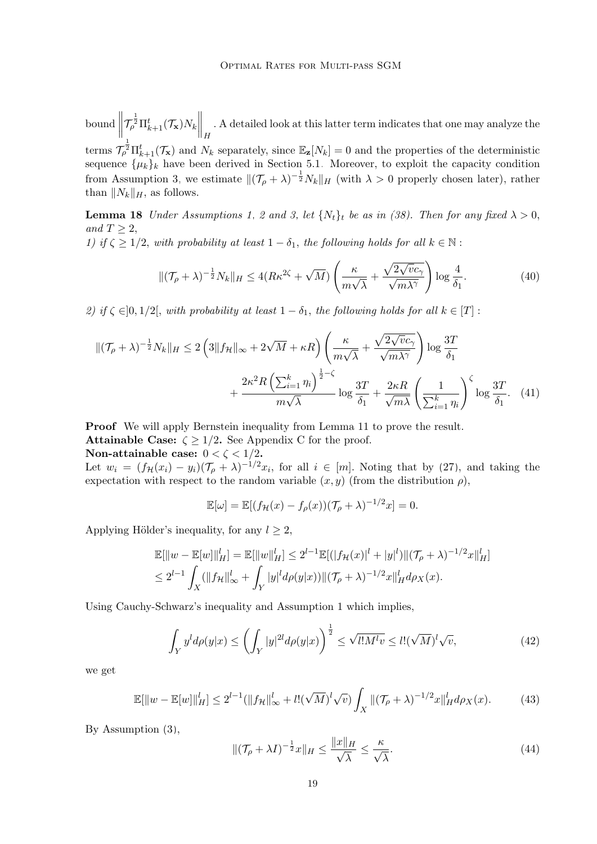$\frac{1}{\sqrt{2}}$  $\left\|\mathcal{T}_{\rho}^{\frac{1}{2}}\Pi_{k+1}^{t}(\mathcal{T}_{\mathbf{x}})N_{k}\right\|_{H}$ . A detailed look at this latter term indicates that one may analyze the terms  $\mathcal{T}_{\rho}^{\frac{1}{2}}\Pi_{k+1}^{t}(\mathcal{T}_{\mathbf{x}})$  and  $N_k$  separately, since  $\mathbb{E}_{\mathbf{z}}[N_k] = 0$  and the properties of the deterministic sequence  $\{\mu_k\}_k$  have been derived in Section [5.1.](#page-16-1) Moreover, to exploit the capacity condition from Assumption [3,](#page-4-1) we estimate  $\|(\mathcal{T}_{\rho} + \lambda)^{-\frac{1}{2}}N_k\|_{H}$  (with  $\lambda > 0$  properly chosen later), rather than  $||N_k||_H$ , as follows.

**Lemma 18** Under Assumptions [1,](#page-3-3) [2](#page-4-2) and [3,](#page-4-1) let  $\{N_t\}_t$  be as in [\(38\)](#page-17-1). Then for any fixed  $\lambda > 0$ , and  $T \geq 2$ , 1) if  $\zeta \geq 1/2$ , with probability at least  $1 - \delta_1$ , the following holds for all  $k \in \mathbb{N}$ :

<span id="page-18-4"></span><span id="page-18-2"></span>
$$
\|(\mathcal{T}_{\rho} + \lambda)^{-\frac{1}{2}} N_k\|_{H} \le 4(R\kappa^{2\zeta} + \sqrt{M}) \left(\frac{\kappa}{m\sqrt{\lambda}} + \frac{\sqrt{2\sqrt{v}c_{\gamma}}}{\sqrt{m\lambda^{\gamma}}}\right) \log \frac{4}{\delta_1}.
$$
 (40)

2) if  $\zeta \in ]0,1/2[$ , with probability at least  $1-\delta_1$ , the following holds for all  $k \in [T]$ :

$$
\|(\mathcal{T}_{\rho} + \lambda)^{-\frac{1}{2}} N_{k}\|_{H} \le 2\left(3\|f_{\mathcal{H}}\|_{\infty} + 2\sqrt{M} + \kappa R\right) \left(\frac{\kappa}{m\sqrt{\lambda}} + \frac{\sqrt{2\sqrt{v}c_{\gamma}}}{\sqrt{m\lambda^{\gamma}}}\right) \log \frac{3T}{\delta_{1}} + \frac{2\kappa^{2}R\left(\sum_{i=1}^{k} \eta_{i}\right)^{\frac{1}{2}-\zeta}}{m\sqrt{\lambda}} \log \frac{3T}{\delta_{1}} + \frac{2\kappa R}{\sqrt{m\lambda}} \left(\frac{1}{\sum_{i=1}^{k} \eta_{i}}\right)^{\zeta} \log \frac{3T}{\delta_{1}}.\tag{41}
$$

Proof We will apply Bernstein inequality from Lemma [11](#page-15-3) to prove the result.

**Attainable [C](#page-38-1)ase:**  $\zeta \geq 1/2$ . See Appendix C for the proof.

Non-attainable case:  $0 < \zeta < 1/2$ .

Let  $w_i = (f_{\mathcal{H}}(x_i) - y_i)(\mathcal{T}_{\rho} + \lambda)^{-1/2} x_i$ , for all  $i \in [m]$ . Noting that by [\(27\)](#page-14-0), and taking the expectation with respect to the random variable  $(x, y)$  (from the distribution  $\rho$ ),

<span id="page-18-5"></span><span id="page-18-3"></span>
$$
\mathbb{E}[\omega] = \mathbb{E}[(f_{\mathcal{H}}(x) - f_{\rho}(x))(\mathcal{T}_{\rho} + \lambda)^{-1/2}x] = 0.
$$

Applying Hölder's inequality, for any  $l \geq 2$ ,

$$
\mathbb{E}[\|w - \mathbb{E}[w]\|_{H}^{l}] = \mathbb{E}[\|w\|_{H}^{l}] \le 2^{l-1} \mathbb{E}[(|f_{\mathcal{H}}(x)|^{l} + |y|^{l})| |(\mathcal{T}_{\rho} + \lambda)^{-1/2} x\|_{H}^{l}]
$$
  
\n
$$
\le 2^{l-1} \int_{X} (||f_{\mathcal{H}}||_{\infty}^{l} + \int_{Y} |y|^{l} d\rho(y|x)) ||(\mathcal{T}_{\rho} + \lambda)^{-1/2} x||_{H}^{l} d\rho_{X}(x).
$$

Using Cauchy-Schwarz's inequality and Assumption [1](#page-3-3) which implies,

$$
\int_{Y} y^{l} d\rho(y|x) \le \left(\int_{Y} |y|^{2l} d\rho(y|x)\right)^{\frac{1}{2}} \le \sqrt{l!M^{l}v} \le l! (\sqrt{M})^{l} \sqrt{v},\tag{42}
$$

we get

<span id="page-18-0"></span>
$$
\mathbb{E}[\|w - \mathbb{E}[w]\|_{H}^{l}] \le 2^{l-1} (\|f_{\mathcal{H}}\|_{\infty}^{l} + l! (\sqrt{M})^{l} \sqrt{v}) \int_{X} \|(\mathcal{T}_{\rho} + \lambda)^{-1/2} x\|_{H}^{l} d\rho_{X}(x).
$$
 (43)

By Assumption [\(3\)](#page-2-1),

<span id="page-18-1"></span>
$$
\|(\mathcal{T}_{\rho} + \lambda I)^{-\frac{1}{2}}x\|_{H} \le \frac{\|x\|_{H}}{\sqrt{\lambda}} \le \frac{\kappa}{\sqrt{\lambda}}.\tag{44}
$$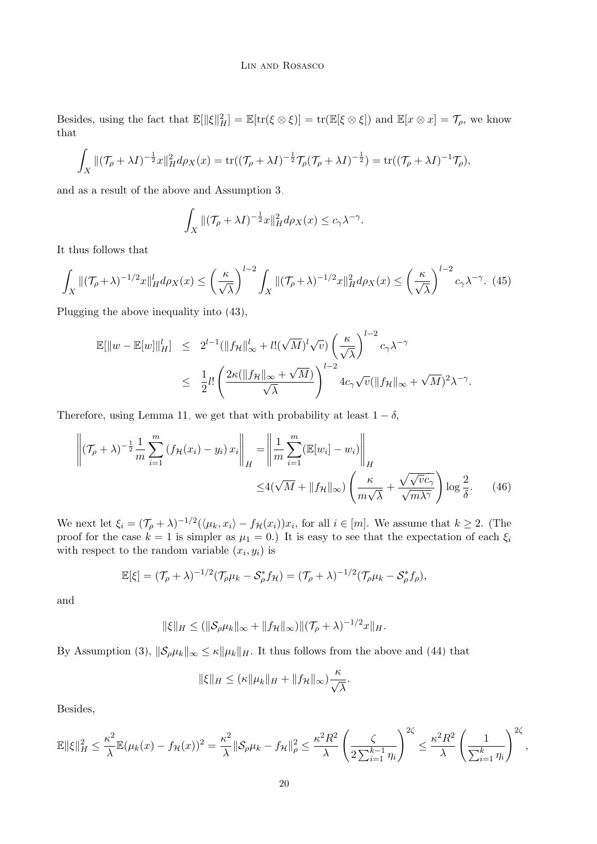Besides, using the fact that  $\mathbb{E}[\|\xi\|_H^2] = \mathbb{E}[\text{tr}(\xi \otimes \xi)] = \text{tr}(\mathbb{E}[\xi \otimes \xi])$  and  $\mathbb{E}[x \otimes x] = \mathcal{T}_{\rho}$ , we know that

$$
\int_X \|(\mathcal{T}_\rho + \lambda I)^{-\frac{1}{2}} x\|_H^2 d\rho_X(x) = \text{tr}((\mathcal{T}_\rho + \lambda I)^{-\frac{1}{2}} \mathcal{T}_\rho(\mathcal{T}_\rho + \lambda I)^{-\frac{1}{2}}) = \text{tr}((\mathcal{T}_\rho + \lambda I)^{-1} \mathcal{T}_\rho),
$$

and as a result of the above and Assumption [3,](#page-4-1)

<span id="page-19-1"></span>
$$
\int_X \|(\mathcal{T}_\rho + \lambda I)^{-\frac{1}{2}} x\|_H^2 d\rho_X(x) \le c_\gamma \lambda^{-\gamma}.
$$

It thus follows that

$$
\int_X \|(\mathcal{T}_\rho + \lambda)^{-1/2} x\|_H^l d\rho_X(x) \le \left(\frac{\kappa}{\sqrt{\lambda}}\right)^{l-2} \int_X \|(\mathcal{T}_\rho + \lambda)^{-1/2} x\|_H^2 d\rho_X(x) \le \left(\frac{\kappa}{\sqrt{\lambda}}\right)^{l-2} c_\gamma \lambda^{-\gamma}.\tag{45}
$$

Plugging the above inequality into [\(43\)](#page-18-0),

$$
\mathbb{E}[\|w - \mathbb{E}[w]\|_{H}^{l}] \leq 2^{l-1} (\|f_{\mathcal{H}}\|_{\infty}^{l} + l! (\sqrt{M})^{l} \sqrt{v}) \left(\frac{\kappa}{\sqrt{\lambda}}\right)^{l-2} c_{\gamma} \lambda^{-\gamma}
$$
  

$$
\leq \frac{1}{2} l! \left(\frac{2\kappa (\|f_{\mathcal{H}}\|_{\infty} + \sqrt{M})}{\sqrt{\lambda}}\right)^{l-2} 4c_{\gamma} \sqrt{v} (\|f_{\mathcal{H}}\|_{\infty} + \sqrt{M})^{2} \lambda^{-\gamma}.
$$

Therefore, using Lemma [11,](#page-15-3) we get that with probability at least  $1 - \delta$ ,

$$
\left\| (\mathcal{T}_{\rho} + \lambda)^{-\frac{1}{2}} \frac{1}{m} \sum_{i=1}^{m} \left( f_{\mathcal{H}}(x_i) - y_i \right) x_i \right\|_{H} = \left\| \frac{1}{m} \sum_{i=1}^{m} \left( \mathbb{E}[w_i] - w_i \right) \right\|_{H}
$$
  

$$
\leq 4(\sqrt{M} + \|f_{\mathcal{H}}\|_{\infty}) \left( \frac{\kappa}{m\sqrt{\lambda}} + \frac{\sqrt{\sqrt{v}c_{\gamma}}}{\sqrt{m\lambda^{\gamma}}} \right) \log \frac{2}{\delta}.
$$
 (46)

We next let  $\xi_i = (\mathcal{T}_{\rho} + \lambda)^{-1/2} (\langle \mu_k, x_i \rangle - f_{\mathcal{H}}(x_i)) x_i$ , for all  $i \in [m]$ . We assume that  $k \geq 2$ . (The proof for the case  $k = 1$  is simpler as  $\mu_1 = 0$ .) It is easy to see that the expectation of each  $\xi_i$ with respect to the random variable  $(x_i, y_i)$  is

$$
\mathbb{E}[\xi]=(\mathcal{T}_{\rho}+\lambda)^{-1/2}(\mathcal{T}_{\rho}\mu_k-\mathcal{S}_{\rho}^*f_{\mathcal{H}})=(\mathcal{T}_{\rho}+\lambda)^{-1/2}(\mathcal{T}_{\rho}\mu_k-\mathcal{S}_{\rho}^*f_{\rho}),
$$

and

$$
\|\xi\|_H \le (\|\mathcal{S}_{\rho}\mu_k\|_{\infty} + \|f_{\mathcal{H}}\|_{\infty}) \|(\mathcal{T}_{\rho} + \lambda)^{-1/2}x\|_H.
$$

By Assumption [\(3\)](#page-2-1),  $\|\mathcal{S}_{\rho}\mu_k\|_{\infty} \leq \kappa \|\mu_k\|_H$ . It thus follows from the above and [\(44\)](#page-18-1) that

<span id="page-19-0"></span>
$$
\|\xi\|_H \leq (\kappa \|\mu_k\|_H + \|f_{\mathcal{H}}\|_{\infty})\frac{\kappa}{\sqrt{\lambda}}.
$$

Besides,

$$
\mathbb{E} \|\xi\|_H^2 \leq \frac{\kappa^2}{\lambda} \mathbb{E}(\mu_k(x) - f_{\mathcal{H}}(x))^2 = \frac{\kappa^2}{\lambda} \|\mathcal{S}_{\rho}\mu_k - f_{\mathcal{H}}\|_{\rho}^2 \leq \frac{\kappa^2 R^2}{\lambda} \left(\frac{\zeta}{2\sum_{i=1}^{k-1} \eta_i}\right)^{2\zeta} \leq \frac{\kappa^2 R^2}{\lambda} \left(\frac{1}{\sum_{i=1}^{k} \eta_i}\right)^{2\zeta},
$$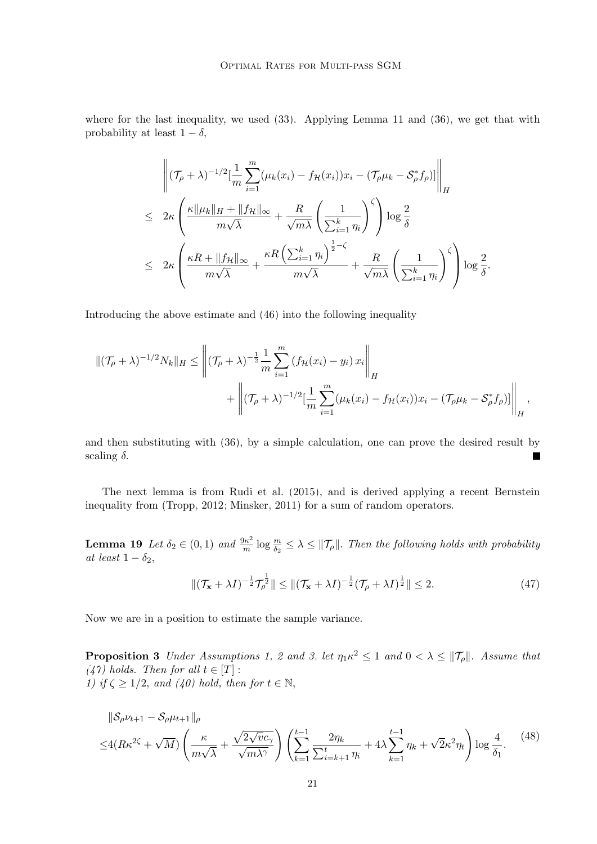where for the last inequality, we used  $(33)$ . Applying Lemma [11](#page-15-3) and  $(36)$ , we get that with probability at least  $1 - \delta$ ,

$$
\left\| (\mathcal{T}_{\rho} + \lambda)^{-1/2} [\frac{1}{m} \sum_{i=1}^{m} (\mu_k(x_i) - f_{\mathcal{H}}(x_i)) x_i - (\mathcal{T}_{\rho} \mu_k - S_{\rho}^* f_{\rho})] \right\|_{H}
$$
  
\n
$$
\leq 2\kappa \left( \frac{\kappa \|\mu_k\|_{H} + \|f_{\mathcal{H}}\|_{\infty}}{m\sqrt{\lambda}} + \frac{R}{\sqrt{m\lambda}} \left( \frac{1}{\sum_{i=1}^{k} \eta_i} \right)^{\zeta} \right) \log \frac{2}{\delta}
$$
  
\n
$$
\leq 2\kappa \left( \frac{\kappa R + \|f_{\mathcal{H}}\|_{\infty}}{m\sqrt{\lambda}} + \frac{\kappa R \left( \sum_{i=1}^{k} \eta_i \right)^{\frac{1}{2} - \zeta}}{m\sqrt{\lambda}} + \frac{R}{\sqrt{m\lambda}} \left( \frac{1}{\sum_{i=1}^{k} \eta_i} \right)^{\zeta} \right) \log \frac{2}{\delta}.
$$

Introducing the above estimate and [\(46\)](#page-19-0) into the following inequality

$$
\|(\mathcal{T}_{\rho} + \lambda)^{-1/2} N_k\|_{H} \leq \left\|(\mathcal{T}_{\rho} + \lambda)^{-\frac{1}{2}} \frac{1}{m} \sum_{i=1}^{m} (f_{\mathcal{H}}(x_i) - y_i) x_i \right\|_{H}
$$
  
+ 
$$
\left\|(\mathcal{T}_{\rho} + \lambda)^{-1/2} [\frac{1}{m} \sum_{i=1}^{m} (\mu_k(x_i) - f_{\mathcal{H}}(x_i)) x_i - (\mathcal{T}_{\rho} \mu_k - S_{\rho}^* f_{\rho})] \right\|_{H},
$$

and then substituting with [\(36\)](#page-17-2), by a simple calculation, one can prove the desired result by scaling  $\delta$ .

The next lemma is from [Rudi et al.](#page-45-13) [\(2015\)](#page-45-13), and is derived applying a recent Bernstein inequality from [\(Tropp, 2012;](#page-45-15) [Minsker, 2011\)](#page-45-16) for a sum of random operators.

**Lemma 19** Let  $\delta_2 \in (0,1)$  and  $\frac{9\kappa^2}{m}$  $\frac{d\mathcal{H}^2}{dt}$  log  $\frac{m}{\delta_2} \leq \lambda \leq ||\mathcal{T}_{\rho}||$ . Then the following holds with probability at least  $1 - \delta_2$ ,

<span id="page-20-3"></span><span id="page-20-2"></span><span id="page-20-1"></span><span id="page-20-0"></span>
$$
\|(\mathcal{T}_{\mathbf{x}} + \lambda I)^{-\frac{1}{2}} \mathcal{T}_{\rho}^{\frac{1}{2}} \| \le \|(\mathcal{T}_{\mathbf{x}} + \lambda I)^{-\frac{1}{2}} (\mathcal{T}_{\rho} + \lambda I)^{\frac{1}{2}} \| \le 2.
$$
 (47)

Now we are in a position to estimate the sample variance.

**Proposition 3** Under Assumptions [1,](#page-3-3) [2](#page-4-2) and [3,](#page-4-1) let  $\eta_1 \kappa^2 \leq 1$  and  $0 < \lambda \leq ||\mathcal{T}_{\rho}||$ . Assume that [\(47\)](#page-20-0) holds. Then for all  $t \in [T]$ : 1) if  $\zeta \geq 1/2$ , and  $(40)$  hold, then for  $t \in \mathbb{N}$ ,

$$
\|\mathcal{S}_{\rho}\nu_{t+1} - \mathcal{S}_{\rho}\mu_{t+1}\|_{\rho} \leq 4(R\kappa^{2\zeta} + \sqrt{M})\left(\frac{\kappa}{m\sqrt{\lambda}} + \frac{\sqrt{2\sqrt{v}c_{\gamma}}}{\sqrt{m\lambda^{\gamma}}}\right)\left(\sum_{k=1}^{t-1} \frac{2\eta_k}{\sum_{i=k+1}^t \eta_i} + 4\lambda \sum_{k=1}^{t-1} \eta_k + \sqrt{2}\kappa^2 \eta_t\right)\log\frac{4}{\delta_1}.
$$
 (48)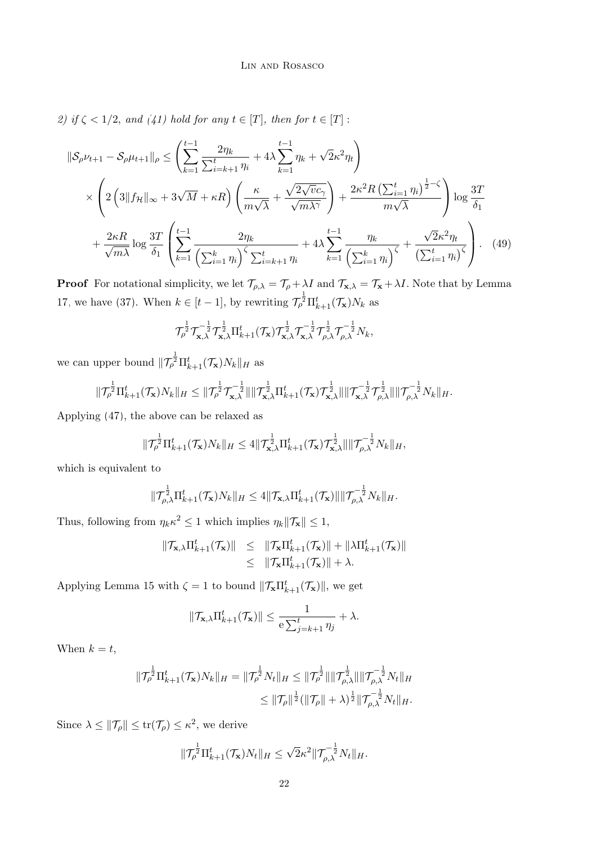2) if  $\zeta$  < 1/2, and [\(41\)](#page-18-3) hold for any  $t \in [T]$ , then for  $t \in [T]$ :

$$
\|\mathcal{S}_{\rho}\nu_{t+1} - \mathcal{S}_{\rho}\mu_{t+1}\|_{\rho} \leq \left(\sum_{k=1}^{t-1} \frac{2\eta_k}{\sum_{i=k+1}^t \eta_i} + 4\lambda \sum_{k=1}^{t-1} \eta_k + \sqrt{2}\kappa^2 \eta_t\right)
$$
  
\$\times \left(2\left(3\|f\_{\mathcal{H}}\|\_{\infty} + 3\sqrt{M} + \kappa R\right)\left(\frac{\kappa}{m\sqrt{\lambda}} + \frac{\sqrt{2\sqrt{v}c\_{\gamma}}}{\sqrt{m\lambda^{\gamma}}}\right) + \frac{2\kappa^2 R\left(\sum\_{i=1}^t \eta\_i\right)^{\frac{1}{2}-\zeta}}{m\sqrt{\lambda}}\right) \log \frac{3T}{\delta\_1}\$  
\$+\frac{2\kappa R}{\sqrt{m\lambda}}\log \frac{3T}{\delta\_1}\left(\sum\_{k=1}^{t-1} \frac{2\eta\_k}{\left(\sum\_{i=1}^k \eta\_i\right)^{\zeta}\sum\_{i=k+1}^t \eta\_i} + 4\lambda \sum\_{k=1}^{t-1} \frac{\eta\_k}{\left(\sum\_{i=1}^k \eta\_i\right)^{\zeta}} + \frac{\sqrt{2}\kappa^2 \eta\_t}{\left(\sum\_{i=1}^t \eta\_i\right)^{\zeta}}\right). (49)\$

**Proof** For notational simplicity, we let  $\mathcal{T}_{\rho,\lambda} = \mathcal{T}_{\rho} + \lambda I$  and  $\mathcal{T}_{\mathbf{x},\lambda} = \mathcal{T}_{\mathbf{x}} + \lambda I$ . Note that by Lemma [17,](#page-17-3) we have [\(37\)](#page-17-0). When  $k \in [t-1]$ , by rewriting  $\mathcal{T}_{\rho}^{\frac{1}{2}} \Pi_{k+1}^{t}(\mathcal{T}_{\mathbf{x}}) N_k$  as

<span id="page-21-0"></span>
$$
\mathcal{T}_{\rho}^{\frac{1}{2}} \mathcal{T}_{\mathbf{x},\lambda}^{-\frac{1}{2}} \mathcal{T}_{\mathbf{x},\lambda}^{\frac{1}{2}} \Pi_{k+1}^{t}(\mathcal{T}_{\mathbf{x}}) \mathcal{T}_{\mathbf{x},\lambda}^{\frac{1}{2}} \mathcal{T}_{\mathbf{x},\lambda}^{-\frac{1}{2}} \mathcal{T}_{\rho,\lambda}^{\frac{1}{2}} \mathcal{T}_{\rho,\lambda}^{-\frac{1}{2}} N_{k},
$$

we can upper bound  $\|\mathcal{T}_{\rho}^{\frac{1}{2}}\Pi_{k+1}^{t}(\mathcal{T}_{\mathbf{x}})N_{k}\|_{H}$  as

$$
\|\mathcal{T}_{\rho}^{\frac{1}{2}}\Pi_{k+1}^t(\mathcal{T}_\mathbf{x})N_k\|_H\leq \|\mathcal{T}_{\rho}^{\frac{1}{2}}\mathcal{T}_{\mathbf{x},\lambda}^{-\frac{1}{2}}\|\|\mathcal{T}_{\mathbf{x},\lambda}^{\frac{1}{2}}\Pi_{k+1}^t(\mathcal{T}_\mathbf{x})\mathcal{T}_{\mathbf{x},\lambda}^{\frac{1}{2}}\|\|\mathcal{T}_{\mathbf{x},\lambda}^{-\frac{1}{2}}\mathcal{T}_{\rho,\lambda}^{\frac{1}{2}}\|\|\mathcal{T}_{\rho,\lambda}^{-\frac{1}{2}}N_k\|_H.
$$

Applying [\(47\)](#page-20-0), the above can be relaxed as

$$
\|\mathcal{T}_{\rho}^{\frac{1}{2}}\Pi_{k+1}^t(\mathcal{T}_\mathbf{x})N_k\|_H\leq 4\|\mathcal{T}_{\mathbf{x},\lambda}^{\frac{1}{2}}\Pi_{k+1}^t(\mathcal{T}_\mathbf{x})\mathcal{T}_{\mathbf{x},\lambda}^{\frac{1}{2}}\|\|\mathcal{T}_{\rho,\lambda}^{-\frac{1}{2}}N_k\|_H,
$$

which is equivalent to

$$
\|\mathcal{T}_{\rho,\lambda}^{\frac{1}{2}}\Pi_{k+1}^t(\mathcal{T}_\mathbf{x})N_k\|_H\leq 4\|\mathcal{T}_{\mathbf{x},\lambda}\Pi_{k+1}^t(\mathcal{T}_\mathbf{x})\|\|\mathcal{T}_{\rho,\lambda}^{-\frac{1}{2}}N_k\|_H.
$$

Thus, following from  $\eta_k \kappa^2 \leq 1$  which implies  $\eta_k \|\mathcal{T}_{\mathbf{x}}\| \leq 1$ ,

$$
\begin{array}{rcl}\|\mathcal{T}_{\mathbf{x},\lambda}\Pi_{k+1}^{t}(\mathcal{T}_{\mathbf{x}})\| & \leq & \|\mathcal{T}_{\mathbf{x}}\Pi_{k+1}^{t}(\mathcal{T}_{\mathbf{x}})\| + \|\lambda\Pi_{k+1}^{t}(\mathcal{T}_{\mathbf{x}})\| \\
& \leq & \|\mathcal{T}_{\mathbf{x}}\Pi_{k+1}^{t}(\mathcal{T}_{\mathbf{x}})\| + \lambda.\end{array}
$$

Applying Lemma [15](#page-16-3) with  $\zeta = 1$  to bound  $\|\mathcal{T}_{\mathbf{x}}\Pi_{k+1}^t(\mathcal{T}_{\mathbf{x}})\|$ , we get

$$
\|\mathcal{T}_{\mathbf{x},\lambda}\Pi_{k+1}^t(\mathcal{T}_{\mathbf{x}})\| \leq \frac{1}{e\sum_{j=k+1}^t \eta_j} + \lambda.
$$

When  $k = t$ ,

$$
\begin{aligned} \|\mathcal{T}_{\rho}^{\frac{1}{2}}\Pi_{k+1}^{t}(\mathcal{T}_{\mathbf{x}})N_{k}\|_{H} &= \|\mathcal{T}_{\rho}^{\frac{1}{2}}N_{t}\|_{H} \leq \|\mathcal{T}_{\rho}^{\frac{1}{2}}\|\|\mathcal{T}_{\rho,\lambda}^{\frac{1}{2}}\|\|\mathcal{T}_{\rho,\lambda}^{-\frac{1}{2}}N_{t}\|_{H} \\ &\leq \|\mathcal{T}_{\rho}\|^{\frac{1}{2}}(\|\mathcal{T}_{\rho}\|+\lambda)^{\frac{1}{2}}\|\mathcal{T}_{\rho,\lambda}^{-\frac{1}{2}}N_{t}\|_{H}.\end{aligned}
$$

Since  $\lambda \leq ||\mathcal{T}_{\rho}|| \leq \text{tr}(\mathcal{T}_{\rho}) \leq \kappa^2$ , we derive

$$
\|\mathcal{T}_{\rho}^{\frac{1}{2}}\Pi_{k+1}^t(\mathcal{T}_{\mathbf{x}})N_t\|_H\leq \sqrt{2}\kappa^2\|\mathcal{T}_{\rho,\lambda}^{-\frac{1}{2}}N_t\|_H.
$$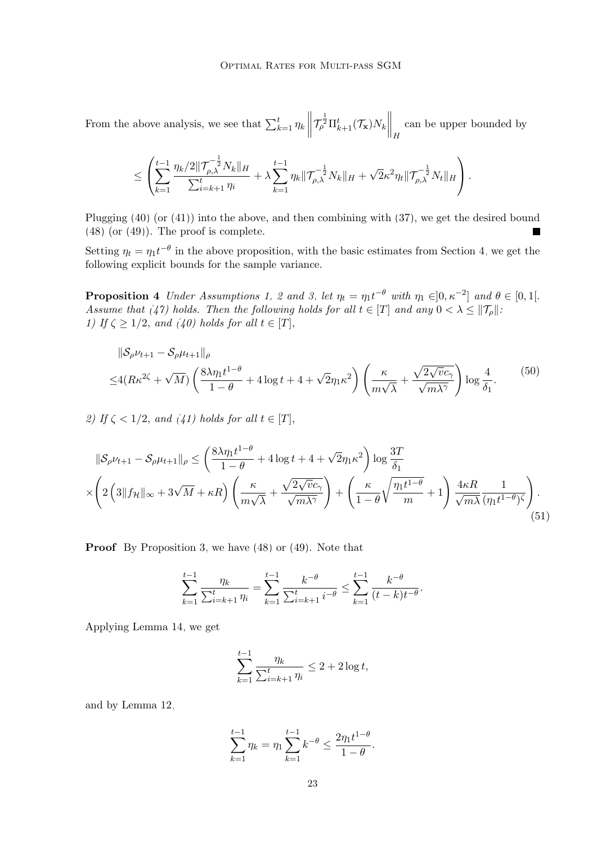From the above analysis, we see that  $\sum_{k=1}^{t} \eta_k \left\| \right\|$  $\mathcal{T}_{\rho}^{\frac{1}{2}}\Pi_{k+1}^{t}(\mathcal{T}_{\mathbf{x}})N_{k}\bigg\Vert_{H}$ can be upper bounded by

<span id="page-22-2"></span>
$$
\leq \left( \sum_{k=1}^{t-1} \frac{\eta_k/2 \|\mathcal{T}_{\rho,\lambda}^{-\frac{1}{2}} N_k\|_H}{\sum_{i=k+1}^{t} \eta_i} + \lambda \sum_{k=1}^{t-1} \eta_k \|\mathcal{T}_{\rho,\lambda}^{-\frac{1}{2}} N_k\|_H + \sqrt{2} \kappa^2 \eta_t \|\mathcal{T}_{\rho,\lambda}^{-\frac{1}{2}} N_t\|_H \right).
$$

Plugging  $(40)$  (or  $(41)$ ) into the above, and then combining with  $(37)$ , we get the desired bound [\(48\)](#page-20-1) (or [\(49\)](#page-21-0)). The proof is complete.

Setting  $\eta_t = \eta_1 t^{-\theta}$  in the above proposition, with the basic estimates from Section [4,](#page-13-0) we get the following explicit bounds for the sample variance.

**Proposition 4** Under Assumptions [1,](#page-3-3) [2](#page-4-2) and [3,](#page-4-1) let  $\eta_t = \eta_1 t^{-\theta}$  with  $\eta_1 \in ]0, \kappa^{-2}]$  and  $\theta \in [0, 1[$ . Assume that [\(47\)](#page-20-0) holds. Then the following holds for all  $t \in [T]$  and any  $0 < \lambda \leq ||\mathcal{T}_{\rho}||$ : 1) If  $\zeta \geq 1/2$ , and  $(40)$  holds for all  $t \in [T]$ ,

<span id="page-22-0"></span>
$$
\|\mathcal{S}_{\rho}\nu_{t+1} - \mathcal{S}_{\rho}\mu_{t+1}\|_{\rho} \leq 4(R\kappa^{2\zeta} + \sqrt{M})\left(\frac{8\lambda\eta_{1}t^{1-\theta}}{1-\theta} + 4\log t + 4 + \sqrt{2}\eta_{1}\kappa^{2}\right)\left(\frac{\kappa}{m\sqrt{\lambda}} + \frac{\sqrt{2\sqrt{v}c_{\gamma}}}{\sqrt{m\lambda^{\gamma}}}\right)\log\frac{4}{\delta_{1}}.
$$
\n(50)

2) If  $\zeta < 1/2$ , and  $(41)$  holds for all  $t \in [T]$ ,

$$
\|\mathcal{S}_{\rho}\nu_{t+1} - \mathcal{S}_{\rho}\mu_{t+1}\|_{\rho} \le \left(\frac{8\lambda\eta_{1}t^{1-\theta}}{1-\theta} + 4\log t + 4 + \sqrt{2}\eta_{1}\kappa^{2}\right)\log\frac{3T}{\delta_{1}}\times\left(2\left(3\|f_{\mathcal{H}}\|_{\infty} + 3\sqrt{M} + \kappa R\right)\left(\frac{\kappa}{m\sqrt{\lambda}} + \frac{\sqrt{2\sqrt{v}c_{\gamma}}}{\sqrt{m\lambda^{\gamma}}}\right) + \left(\frac{\kappa}{1-\theta}\sqrt{\frac{\eta_{1}t^{1-\theta}}{m}} + 1\right)\frac{4\kappa R}{\sqrt{m\lambda}}\frac{1}{(\eta_{1}t^{1-\theta})^{\zeta}}\right). \tag{51}
$$

**Proof** By Proposition [3,](#page-20-2) we have [\(48\)](#page-20-1) or [\(49\)](#page-21-0). Note that

$$
\sum_{k=1}^{t-1} \frac{\eta_k}{\sum_{i=k+1}^t \eta_i} = \sum_{k=1}^{t-1} \frac{k^{-\theta}}{\sum_{i=k+1}^t i^{-\theta}} \le \sum_{k=1}^{t-1} \frac{k^{-\theta}}{(t-k)t^{-\theta}}.
$$

Applying Lemma [14,](#page-15-4) we get

<span id="page-22-1"></span>
$$
\sum_{k=1}^{t-1} \frac{\eta_k}{\sum_{i=k+1}^t \eta_i} \le 2 + 2 \log t,
$$

and by Lemma [12,](#page-15-2)

$$
\sum_{k=1}^{t-1} \eta_k = \eta_1 \sum_{k=1}^{t-1} k^{-\theta} \le \frac{2\eta_1 t^{1-\theta}}{1-\theta}.
$$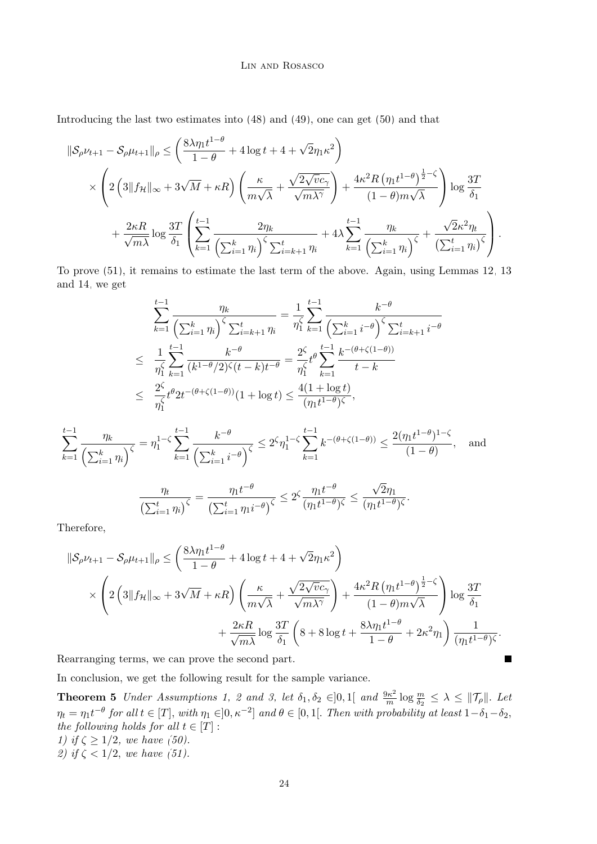Introducing the last two estimates into [\(48\)](#page-20-1) and [\(49\)](#page-21-0), one can get [\(50\)](#page-22-0) and that

$$
\|\mathcal{S}_{\rho}\nu_{t+1} - \mathcal{S}_{\rho}\mu_{t+1}\|_{\rho} \leq \left(\frac{8\lambda\eta_{1}t^{1-\theta}}{1-\theta} + 4\log t + 4 + \sqrt{2}\eta_{1}\kappa^{2}\right) \times \left(2\left(3\|f_{\mathcal{H}}\|_{\infty} + 3\sqrt{M} + \kappa R\right)\left(\frac{\kappa}{m\sqrt{\lambda}} + \frac{\sqrt{2\sqrt{v}c_{\gamma}}}{\sqrt{m\lambda^{\gamma}}}\right) + \frac{4\kappa^{2}R\left(\eta_{1}t^{1-\theta}\right)^{\frac{1}{2}-\zeta}}{(1-\theta)m\sqrt{\lambda}}\right)\log\frac{3T}{\delta_{1}} + \frac{2\kappa R}{\sqrt{m\lambda}}\log\frac{3T}{\delta_{1}}\left(\sum_{k=1}^{t-1}\frac{2\eta_{k}}{\left(\sum_{i=1}^{k}\eta_{i}\right)^{\zeta}\sum_{i=k+1}^{t}\eta_{i}} + 4\lambda\sum_{k=1}^{t-1}\frac{\eta_{k}}{\left(\sum_{i=1}^{k}\eta_{i}\right)^{\zeta}} + \frac{\sqrt{2}\kappa^{2}\eta_{t}}{\left(\sum_{i=1}^{t}\eta_{i}\right)^{\zeta}}\right).
$$

To prove [\(51\)](#page-22-1), it remains to estimate the last term of the above. Again, using Lemmas [12,](#page-15-2) [13](#page-15-5) and [14,](#page-15-4) we get

$$
\sum_{k=1}^{t-1} \frac{\eta_k}{\left(\sum_{i=1}^k \eta_i\right)^\zeta \sum_{i=k+1}^t \eta_i} = \frac{1}{\eta_1^\zeta} \sum_{k=1}^{t-1} \frac{k^{-\theta}}{\left(\sum_{i=1}^k i^{-\theta}\right)^\zeta \sum_{i=k+1}^t i^{-\theta}} \\
\leq \frac{1}{\eta_1^\zeta} \sum_{k=1}^{t-1} \frac{k^{-\theta}}{(k^{1-\theta}/2)^\zeta(t-k)t^{-\theta}} = \frac{2^\zeta}{\eta_1^\zeta} t^{\theta} \sum_{k=1}^{t-1} \frac{k^{-(\theta+\zeta(1-\theta))}}{t-k} \\
\leq \frac{2^\zeta}{\eta_1^\zeta} t^{\theta} 2t^{-(\theta+\zeta(1-\theta))}(1+\log t) \leq \frac{4(1+\log t)}{(\eta_1 t^{1-\theta})^\zeta},
$$

$$
\sum_{k=1}^{t-1} \frac{\eta_k}{\left(\sum_{i=1}^k \eta_i\right)^\zeta} = \eta_1^{1-\zeta} \sum_{k=1}^{t-1} \frac{k^{-\theta}}{\left(\sum_{i=1}^k i^{-\theta}\right)^\zeta} \le 2^\zeta \eta_1^{1-\zeta} \sum_{k=1}^{t-1} k^{-(\theta+\zeta(1-\theta))} \le \frac{2(\eta_1 t^{1-\theta})^{1-\zeta}}{(1-\theta)}, \quad \text{and}
$$

$$
\frac{\eta_t}{\left(\sum_{i=1}^t \eta_i\right)^\zeta} = \frac{\eta_1 t^{-\theta}}{\left(\sum_{i=1}^t \eta_1 i^{-\theta}\right)^\zeta} \le 2^\zeta \frac{\eta_1 t^{-\theta}}{(\eta_1 t^{1-\theta})^\zeta} \le \frac{\sqrt{2}\eta_1}{(\eta_1 t^{1-\theta})^\zeta}.
$$

Therefore,

$$
\|\mathcal{S}_{\rho}\nu_{t+1} - \mathcal{S}_{\rho}\mu_{t+1}\|_{\rho} \leq \left(\frac{8\lambda\eta_{1}t^{1-\theta}}{1-\theta} + 4\log t + 4 + \sqrt{2}\eta_{1}\kappa^{2}\right) \times \left(2\left(3\|f_{\mathcal{H}}\|_{\infty} + 3\sqrt{M} + \kappa R\right)\left(\frac{\kappa}{m\sqrt{\lambda}} + \frac{\sqrt{2\sqrt{v}c_{\gamma}}}{\sqrt{m\lambda^{\gamma}}}\right) + \frac{4\kappa^{2}R\left(\eta_{1}t^{1-\theta}\right)^{\frac{1}{2}-\zeta}}{(1-\theta)m\sqrt{\lambda}}\right)\log\frac{3T}{\delta_{1}} + \frac{2\kappa R}{\sqrt{m\lambda}}\log\frac{3T}{\delta_{1}}\left(8 + 8\log t + \frac{8\lambda\eta_{1}t^{1-\theta}}{1-\theta} + 2\kappa^{2}\eta_{1}\right)\frac{1}{(\eta_{1}t^{1-\theta})^{\zeta}}.
$$

<span id="page-23-0"></span> $\blacksquare$ 

Rearranging terms, we can prove the second part.

In conclusion, we get the following result for the sample variance.

**Theorem 5** Under Assumptions [1,](#page-3-3) [2](#page-4-2) and [3,](#page-4-1) let  $\delta_1, \delta_2 \in ]0,1[$  and  $\frac{9\kappa^2}{m}$  $\frac{\partial \kappa^2}{\partial m} \log \frac{m}{\delta_2} \leq \lambda \leq ||\mathcal{T}_{\rho}||.$  Let  $\eta_t = \eta_1 t^{-\theta}$  for all  $t \in [T]$ , with  $\eta_1 \in ]0, \kappa^{-2}]$  and  $\theta \in [0,1[$ . Then with probability at least  $1-\delta_1-\delta_2$ , the following holds for all  $t \in [T]$ : 1) if  $\zeta \geq 1/2$ , we have [\(50\)](#page-22-0). 2) if  $\zeta < 1/2$ , we have [\(51\)](#page-22-1).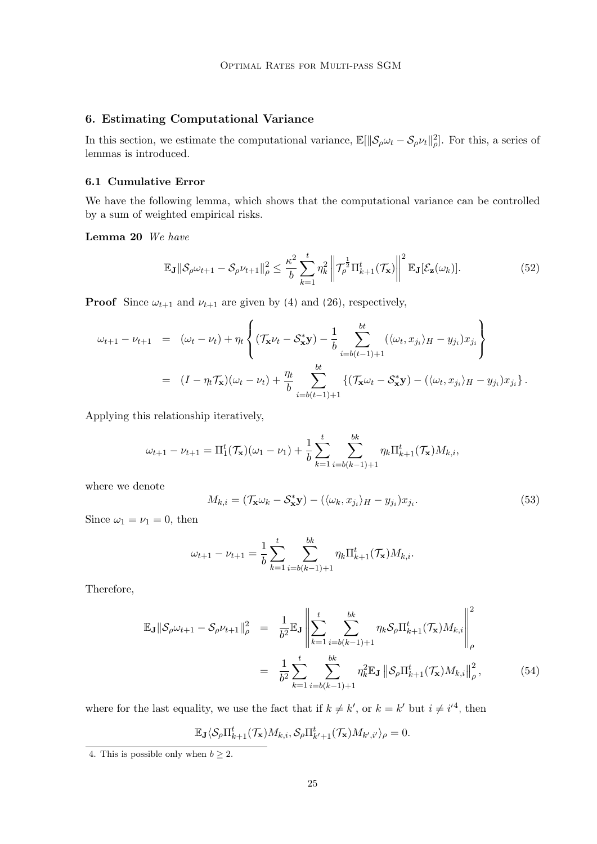## <span id="page-24-0"></span>6. Estimating Computational Variance

In this section, we estimate the computational variance,  $\mathbb{E}[\|\mathcal{S}_{\rho}\omega_t - \mathcal{S}_{\rho}\nu_t\|_{\rho}^2]$ . For this, a series of lemmas is introduced.

## 6.1 Cumulative Error

We have the following lemma, which shows that the computational variance can be controlled by a sum of weighted empirical risks.

Lemma 20 We have

<span id="page-24-5"></span><span id="page-24-4"></span>
$$
\mathbb{E}_{\mathbf{J}}\|\mathcal{S}_{\rho}\omega_{t+1} - \mathcal{S}_{\rho}\nu_{t+1}\|_{\rho}^{2} \leq \frac{\kappa^{2}}{b} \sum_{k=1}^{t} \eta_{k}^{2} \left\|\mathcal{T}_{\rho}^{\frac{1}{2}}\Pi_{k+1}^{t}(\mathcal{T}_{\mathbf{x}})\right\|^{2} \mathbb{E}_{\mathbf{J}}[\mathcal{E}_{\mathbf{z}}(\omega_{k})].
$$
\n(52)

**Proof** Since  $\omega_{t+1}$  and  $\nu_{t+1}$  are given by [\(4\)](#page-3-4) and [\(26\)](#page-14-1), respectively,

$$
\omega_{t+1} - \nu_{t+1} = (\omega_t - \nu_t) + \eta_t \left\{ (\mathcal{T}_{\mathbf{x}} \nu_t - \mathcal{S}_{\mathbf{x}}^* \mathbf{y}) - \frac{1}{b} \sum_{i=b(t-1)+1}^{bt} (\langle \omega_t, x_{j_i} \rangle_H - y_{j_i}) x_{j_i} \right\}
$$
  

$$
= (I - \eta_t \mathcal{T}_{\mathbf{x}})(\omega_t - \nu_t) + \frac{\eta_t}{b} \sum_{i=b(t-1)+1}^{bt} \{ (\mathcal{T}_{\mathbf{x}} \omega_t - \mathcal{S}_{\mathbf{x}}^* \mathbf{y}) - (\langle \omega_t, x_{j_i} \rangle_H - y_{j_i}) x_{j_i} \}.
$$

Applying this relationship iteratively,

$$
\omega_{t+1} - \nu_{t+1} = \Pi_1^t(\mathcal{T}_\mathbf{x})(\omega_1 - \nu_1) + \frac{1}{b} \sum_{k=1}^t \sum_{i=b(k-1)+1}^{bk} \eta_k \Pi_{k+1}^t(\mathcal{T}_\mathbf{x}) M_{k,i},
$$

where we denote

<span id="page-24-2"></span>
$$
M_{k,i} = (\mathcal{T}_{\mathbf{x}} \omega_k - \mathcal{S}_{\mathbf{x}}^* \mathbf{y}) - (\langle \omega_k, x_{j_i} \rangle_H - y_{j_i}) x_{j_i}.
$$
\n(53)

Since  $\omega_1 = \nu_1 = 0$ , then

$$
\omega_{t+1} - \nu_{t+1} = \frac{1}{b} \sum_{k=1}^{t} \sum_{i=b(k-1)+1}^{bk} \eta_k \Pi_{k+1}^t(\mathcal{T}_\mathbf{x}) M_{k,i}.
$$

Therefore,

<span id="page-24-3"></span>
$$
\mathbb{E}_{\mathbf{J}}\|\mathcal{S}_{\rho}\omega_{t+1} - \mathcal{S}_{\rho}\nu_{t+1}\|_{\rho}^{2} = \frac{1}{b^{2}}\mathbb{E}_{\mathbf{J}}\left\|\sum_{k=1}^{t} \sum_{i=b(k-1)+1}^{bk} \eta_{k}\mathcal{S}_{\rho}\Pi_{k+1}^{t}(\mathcal{T}_{\mathbf{x}})M_{k,i}\right\|_{\rho}^{2}
$$

$$
= \frac{1}{b^{2}}\sum_{k=1}^{t} \sum_{i=b(k-1)+1}^{bk} \eta_{k}^{2}\mathbb{E}_{\mathbf{J}}\left\|\mathcal{S}_{\rho}\Pi_{k+1}^{t}(\mathcal{T}_{\mathbf{x}})M_{k,i}\right\|_{\rho}^{2}, \tag{54}
$$

where for the last equality, we use the fact that if  $k \neq k'$ , or  $k = k'$  but  $i \neq i'^{4}$  $i \neq i'^{4}$  $i \neq i'^{4}$ , then

$$
\mathbb{E}_{\mathbf{J}}\langle \mathcal{S}_{\rho}\Pi_{k+1}^t(\mathcal{T}_\mathbf{x})M_{k,i},\mathcal{S}_{\rho}\Pi_{k'+1}^t(\mathcal{T}_\mathbf{x})M_{k',i'}\rangle_{\rho}=0.
$$

<span id="page-24-1"></span><sup>4.</sup> This is possible only when  $b \geq 2$ .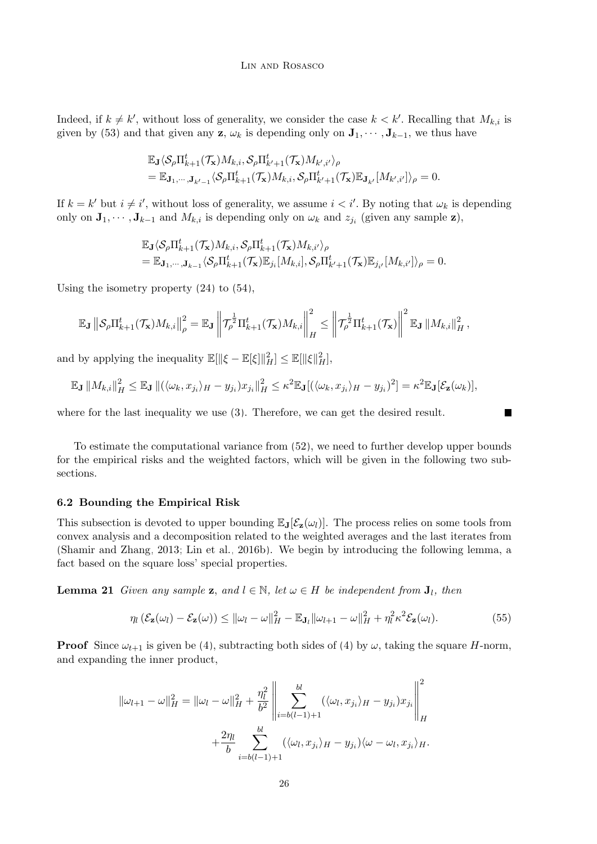Indeed, if  $k \neq k'$ , without loss of generality, we consider the case  $k < k'$ . Recalling that  $M_{k,i}$  is given by [\(53\)](#page-24-2) and that given any **z**,  $\omega_k$  is depending only on  $\mathbf{J}_1, \dots, \mathbf{J}_{k-1}$ , we thus have

$$
\begin{aligned} &\mathbb{E}_{\mathbf{J}}\langle \mathcal{S}_{\rho}\Pi_{k+1}^t(\mathcal{T}_{\mathbf{x}})M_{k,i}, \mathcal{S}_{\rho}\Pi_{k'+1}^t(\mathcal{T}_{\mathbf{x}})M_{k',i'}\rangle_{\rho}\\ &=\mathbb{E}_{\mathbf{J}_1,\cdots,\mathbf{J}_{k'-1}}\langle \mathcal{S}_{\rho}\Pi_{k+1}^t(\mathcal{T}_{\mathbf{x}})M_{k,i}, \mathcal{S}_{\rho}\Pi_{k'+1}^t(\mathcal{T}_{\mathbf{x}})\mathbb{E}_{\mathbf{J}_{k'}}[M_{k',i'}]\rangle_{\rho}=0. \end{aligned}
$$

If  $k = k'$  but  $i \neq i'$ , without loss of generality, we assume  $i < i'$ . By noting that  $\omega_k$  is depending only on  $\mathbf{J}_1, \cdots, \mathbf{J}_{k-1}$  and  $M_{k,i}$  is depending only on  $\omega_k$  and  $z_{j_i}$  (given any sample  $\mathbf{z}$ ),

$$
\begin{split} &\mathbb{E}_{\mathbf{J}}\langle \mathcal{S}_{\rho}\Pi_{k+1}^{t}(\mathcal{T}_{\mathbf{x}})M_{k,i},\mathcal{S}_{\rho}\Pi_{k+1}^{t}(\mathcal{T}_{\mathbf{x}})M_{k,i'}\rangle_{\rho}\\ &=\mathbb{E}_{\mathbf{J}_{1},\cdots,\mathbf{J}_{k-1}}\langle \mathcal{S}_{\rho}\Pi_{k+1}^{t}(\mathcal{T}_{\mathbf{x}})\mathbb{E}_{j_{i}}[M_{k,i}],\mathcal{S}_{\rho}\Pi_{k'+1}^{t}(\mathcal{T}_{\mathbf{x}})\mathbb{E}_{j_{i'}}[M_{k,i'}]\rangle_{\rho}=0. \end{split}
$$

Using the isometry property [\(24\)](#page-14-3) to [\(54\)](#page-24-3),

$$
\mathbb{E}_{\mathbf{J}}\left\|\mathcal{S}_{\rho}\Pi_{k+1}^{t}(\mathcal{T}_{\mathbf{x}})M_{k,i}\right\|_{\rho}^{2}=\mathbb{E}_{\mathbf{J}}\left\|\mathcal{T}_{\rho}^{\frac{1}{2}}\Pi_{k+1}^{t}(\mathcal{T}_{\mathbf{x}})M_{k,i}\right\|_{H}^{2}\leq\left\|\mathcal{T}_{\rho}^{\frac{1}{2}}\Pi_{k+1}^{t}(\mathcal{T}_{\mathbf{x}})\right\|^{2}\mathbb{E}_{\mathbf{J}}\left\|M_{k,i}\right\|_{H}^{2},
$$

and by applying the inequality  $\mathbb{E}[\|\xi - \mathbb{E}[\xi]\|_H^2] \leq \mathbb{E}[\|\xi\|_H^2]$ ,

$$
\mathbb{E}_{\mathbf{J}}\left\|M_{k,i}\right\|_{H}^{2} \leq \mathbb{E}_{\mathbf{J}}\left\|(\langle\omega_{k},x_{j_{i}}\rangle_{H}-y_{j_{i}})x_{j_{i}}\right\|_{H}^{2} \leq \kappa^{2}\mathbb{E}_{\mathbf{J}}[(\langle\omega_{k},x_{j_{i}}\rangle_{H}-y_{j_{i}})^{2}] = \kappa^{2}\mathbb{E}_{\mathbf{J}}[\mathcal{E}_{\mathbf{z}}(\omega_{k})],
$$

where for the last inequality we use [\(3\)](#page-2-1). Therefore, we can get the desired result.

To estimate the computational variance from [\(52\)](#page-24-4), we need to further develop upper bounds for the empirical risks and the weighted factors, which will be given in the following two subsections.

#### 6.2 Bounding the Empirical Risk

This subsection is devoted to upper bounding  $\mathbb{E}_{J}[\mathcal{E}_{z}(\omega_{l})]$ . The process relies on some tools from convex analysis and a decomposition related to the weighted averages and the last iterates from [\(Shamir and Zhang, 2013;](#page-45-11) [Lin et al., 2016b\)](#page-45-12). We begin by introducing the following lemma, a fact based on the square loss' special properties.

**Lemma 21** Given any sample **z**, and  $l \in \mathbb{N}$ , let  $\omega \in H$  be independent from  $J_l$ , then

<span id="page-25-0"></span>
$$
\eta_l\left(\mathcal{E}_{\mathbf{z}}(\omega_l)-\mathcal{E}_{\mathbf{z}}(\omega)\right)\leq ||\omega_l-\omega||_H^2-\mathbb{E}_{\mathbf{J}_l}||\omega_{l+1}-\omega||_H^2+\eta_l^2\kappa^2\mathcal{E}_{\mathbf{z}}(\omega_l). \tag{55}
$$

**The State** 

**Proof** Since  $\omega_{t+1}$  is given be [\(4\)](#page-3-4), subtracting both sides of (4) by  $\omega$ , taking the square H-norm, and expanding the inner product,

$$
\|\omega_{l+1} - \omega\|_{H}^{2} = \|\omega_{l} - \omega\|_{H}^{2} + \frac{\eta_{l}^{2}}{b^{2}} \left\| \sum_{i=b(l-1)+1}^{bl} (\langle \omega_{l}, x_{j_{i}} \rangle_{H} - y_{j_{i}}) x_{j_{i}} \right\|_{H}^{2} + \frac{2\eta_{l}}{b} \sum_{i=b(l-1)+1}^{bl} (\langle \omega_{l}, x_{j_{i}} \rangle_{H} - y_{j_{i}}) \langle \omega - \omega_{l}, x_{j_{i}} \rangle_{H}.
$$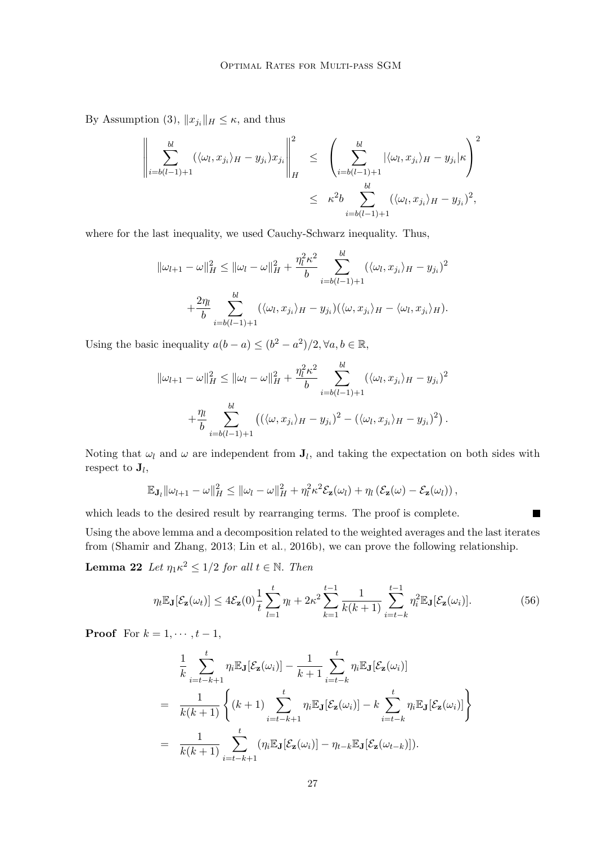By Assumption [\(3\)](#page-2-1),  $||x_{j_i}||_H \leq \kappa$ , and thus

$$
\left\| \sum_{i=b(l-1)+1}^{bl} (\langle \omega_l, x_{j_i} \rangle_H - y_{j_i}) x_{j_i} \right\|_H^2 \le \left( \sum_{i=b(l-1)+1}^{bl} |\langle \omega_l, x_{j_i} \rangle_H - y_{j_i}| \kappa \right)^2
$$
  

$$
\le \kappa^2 b \sum_{i=b(l-1)+1}^{bl} (\langle \omega_l, x_{j_i} \rangle_H - y_{j_i})^2,
$$

where for the last inequality, we used Cauchy-Schwarz inequality. Thus,

$$
\|\omega_{l+1} - \omega\|_{H}^{2} \leq \|\omega_{l} - \omega\|_{H}^{2} + \frac{\eta_{l}^{2} \kappa^{2}}{b} \sum_{i=b(l-1)+1}^{bl} (\langle \omega_{l}, x_{j_{i}} \rangle_{H} - y_{j_{i}})^{2}
$$

$$
+ \frac{2\eta_{l}}{b} \sum_{i=b(l-1)+1}^{bl} (\langle \omega_{l}, x_{j_{i}} \rangle_{H} - y_{j_{i}}) (\langle \omega, x_{j_{i}} \rangle_{H} - \langle \omega_{l}, x_{j_{i}} \rangle_{H}).
$$

Using the basic inequality  $a(b-a) \leq (b^2 - a^2)/2, \forall a, b \in \mathbb{R}$ ,

$$
\|\omega_{l+1} - \omega\|_{H}^{2} \leq \|\omega_{l} - \omega\|_{H}^{2} + \frac{\eta_{l}^{2} \kappa^{2}}{b} \sum_{i=b(l-1)+1}^{bl} (\langle \omega_{l}, x_{j_{i}} \rangle_{H} - y_{j_{i}})^{2} + \frac{\eta_{l}}{b} \sum_{i=b(l-1)+1}^{bl} ((\langle \omega, x_{j_{i}} \rangle_{H} - y_{j_{i}})^{2} - (\langle \omega_{l}, x_{j_{i}} \rangle_{H} - y_{j_{i}})^{2}).
$$

Noting that  $\omega_l$  and  $\omega$  are independent from  $J_l$ , and taking the expectation on both sides with respect to  $\mathbf{J}_l$ ,

$$
\mathbb{E}_{\mathbf{J}_l} ||\omega_{l+1} - \omega||_H^2 \le ||\omega_l - \omega||_H^2 + \eta_l^2 \kappa^2 \mathcal{E}_{\mathbf{z}}(\omega_l) + \eta_l (\mathcal{E}_{\mathbf{z}}(\omega) - \mathcal{E}_{\mathbf{z}}(\omega_l)),
$$

which leads to the desired result by rearranging terms. The proof is complete.

Using the above lemma and a decomposition related to the weighted averages and the last iterates from [\(Shamir and Zhang, 2013;](#page-45-11) [Lin et al., 2016b\)](#page-45-12), we can prove the following relationship.

**Lemma 22** Let  $\eta_1 \kappa^2 \leq 1/2$  for all  $t \in \mathbb{N}$ . Then

<span id="page-26-1"></span>
$$
\eta_t \mathbb{E}_{\mathbf{J}}[\mathcal{E}_{\mathbf{z}}(\omega_t)] \le 4\mathcal{E}_{\mathbf{z}}(0)\frac{1}{t}\sum_{l=1}^t \eta_l + 2\kappa^2 \sum_{k=1}^{t-1} \frac{1}{k(k+1)} \sum_{i=t-k}^{t-1} \eta_i^2 \mathbb{E}_{\mathbf{J}}[\mathcal{E}_{\mathbf{z}}(\omega_i)].
$$
\n(56)

<span id="page-26-0"></span> $\blacksquare$ 

**Proof** For  $k = 1, \dots, t-1$ ,

$$
\frac{1}{k} \sum_{i=t-k+1}^{t} \eta_i \mathbb{E}_{\mathbf{J}}[\mathcal{E}_{\mathbf{z}}(\omega_i)] - \frac{1}{k+1} \sum_{i=t-k}^{t} \eta_i \mathbb{E}_{\mathbf{J}}[\mathcal{E}_{\mathbf{z}}(\omega_i)]
$$
\n
$$
= \frac{1}{k(k+1)} \left\{ (k+1) \sum_{i=t-k+1}^{t} \eta_i \mathbb{E}_{\mathbf{J}}[\mathcal{E}_{\mathbf{z}}(\omega_i)] - k \sum_{i=t-k}^{t} \eta_i \mathbb{E}_{\mathbf{J}}[\mathcal{E}_{\mathbf{z}}(\omega_i)] \right\}
$$
\n
$$
= \frac{1}{k(k+1)} \sum_{i=t-k+1}^{t} (\eta_i \mathbb{E}_{\mathbf{J}}[\mathcal{E}_{\mathbf{z}}(\omega_i)] - \eta_{t-k} \mathbb{E}_{\mathbf{J}}[\mathcal{E}_{\mathbf{z}}(\omega_{t-k})]).
$$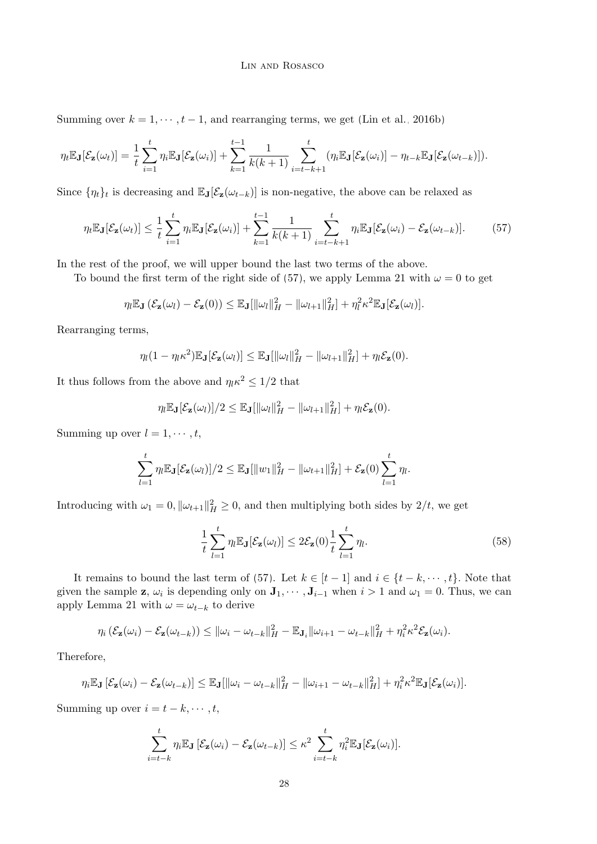#### <span id="page-27-0"></span>Lin and Rosasco

Summing over  $k = 1, \dots, t - 1$ , and rearranging terms, we get [\(Lin et al., 2016b\)](#page-45-12)

$$
\eta_t \mathbb{E}_{\mathbf{J}}[\mathcal{E}_{\mathbf{z}}(\omega_t)] = \frac{1}{t} \sum_{i=1}^t \eta_i \mathbb{E}_{\mathbf{J}}[\mathcal{E}_{\mathbf{z}}(\omega_i)] + \sum_{k=1}^{t-1} \frac{1}{k(k+1)} \sum_{i=t-k+1}^t (\eta_i \mathbb{E}_{\mathbf{J}}[\mathcal{E}_{\mathbf{z}}(\omega_i)] - \eta_{t-k} \mathbb{E}_{\mathbf{J}}[\mathcal{E}_{\mathbf{z}}(\omega_{t-k})]).
$$

Since  $\{\eta_t\}_t$  is decreasing and  $\mathbb{E}_{\mathbf{J}}[\mathcal{E}_{\mathbf{z}}(\omega_{t-k})]$  is non-negative, the above can be relaxed as

$$
\eta_t \mathbb{E}_{\mathbf{J}}[\mathcal{E}_{\mathbf{z}}(\omega_t)] \leq \frac{1}{t} \sum_{i=1}^t \eta_i \mathbb{E}_{\mathbf{J}}[\mathcal{E}_{\mathbf{z}}(\omega_i)] + \sum_{k=1}^{t-1} \frac{1}{k(k+1)} \sum_{i=t-k+1}^t \eta_i \mathbb{E}_{\mathbf{J}}[\mathcal{E}_{\mathbf{z}}(\omega_i) - \mathcal{E}_{\mathbf{z}}(\omega_{t-k})].
$$
 (57)

In the rest of the proof, we will upper bound the last two terms of the above.

To bound the first term of the right side of [\(57\)](#page-27-0), we apply Lemma [21](#page-25-0) with  $\omega = 0$  to get

$$
\eta_l \mathbb{E}_{\mathbf{J}}\left(\mathcal{E}_{\mathbf{z}}(\omega_l) - \mathcal{E}_{\mathbf{z}}(0)\right) \leq \mathbb{E}_{\mathbf{J}}[\|\omega_l\|_H^2 - \|\omega_{l+1}\|_H^2] + \eta_l^2 \kappa^2 \mathbb{E}_{\mathbf{J}}[\mathcal{E}_{\mathbf{z}}(\omega_l)].
$$

Rearranging terms,

$$
\eta_l(1-\eta_l\kappa^2)\mathbb{E}_{\mathbf{J}}[\mathcal{E}_{\mathbf{z}}(\omega_l)] \leq \mathbb{E}_{\mathbf{J}}[\|\omega_l\|_H^2 - \|\omega_{l+1}\|_H^2] + \eta_l \mathcal{E}_{\mathbf{z}}(0).
$$

It thus follows from the above and  $\eta_l \kappa^2 \leq 1/2$  that

$$
\eta_l \mathbb{E}_{\mathbf{J}}[\mathcal{E}_{\mathbf{z}}(\omega_l)]/2 \leq \mathbb{E}_{\mathbf{J}}[\|\omega_l\|_H^2 - \|\omega_{l+1}\|_H^2] + \eta_l \mathcal{E}_{\mathbf{z}}(0).
$$

Summing up over  $l = 1, \dots, t$ ,

$$
\sum_{l=1}^t \eta_l \mathbb{E}_{\mathbf{J}}[\mathcal{E}_{\mathbf{z}}(\omega_l)]/2 \leq \mathbb{E}_{\mathbf{J}}[\|w_1\|_H^2 - \|\omega_{t+1}\|_H^2] + \mathcal{E}_{\mathbf{z}}(0) \sum_{l=1}^t \eta_l.
$$

Introducing with  $\omega_1 = 0$ ,  $\|\omega_{t+1}\|_H^2 \ge 0$ , and then multiplying both sides by  $2/t$ , we get

<span id="page-27-1"></span>
$$
\frac{1}{t}\sum_{l=1}^{t} \eta_l \mathbb{E}_{\mathbf{J}}[\mathcal{E}_{\mathbf{z}}(\omega_l)] \le 2\mathcal{E}_{\mathbf{z}}(0)\frac{1}{t}\sum_{l=1}^{t} \eta_l.
$$
\n(58)

It remains to bound the last term of [\(57\)](#page-27-0). Let  $k \in [t-1]$  and  $i \in \{t-k, \dots, t\}$ . Note that given the sample **z**,  $\omega_i$  is depending only on  $\mathbf{J}_1, \cdots, \mathbf{J}_{i-1}$  when  $i > 1$  and  $\omega_1 = 0$ . Thus, we can apply Lemma [21](#page-25-0) with  $\omega = \omega_{t-k}$  to derive

$$
\eta_i\left(\mathcal{E}_{\mathbf{z}}(\omega_i)-\mathcal{E}_{\mathbf{z}}(\omega_{t-k})\right)\leq ||\omega_i-\omega_{t-k}||_H^2-\mathbb{E}_{\mathbf{J}_i}||\omega_{i+1}-\omega_{t-k}||_H^2+\eta_i^2\kappa^2\mathcal{E}_{\mathbf{z}}(\omega_i).
$$

Therefore,

$$
\eta_i \mathbb{E}_{\mathbf{J}}\left[\mathcal{E}_{\mathbf{z}}(\omega_i) - \mathcal{E}_{\mathbf{z}}(\omega_{t-k})\right] \leq \mathbb{E}_{\mathbf{J}}[\|\omega_i - \omega_{t-k}\|_H^2 - \|\omega_{i+1} - \omega_{t-k}\|_H^2] + \eta_i^2 \kappa^2 \mathbb{E}_{\mathbf{J}}[\mathcal{E}_{\mathbf{z}}(\omega_i)].
$$

Summing up over  $i = t - k, \dots, t$ ,

$$
\sum_{i=t-k}^{t} \eta_i \mathbb{E}_{\mathbf{J}} \left[ \mathcal{E}_{\mathbf{z}}(\omega_i) - \mathcal{E}_{\mathbf{z}}(\omega_{t-k}) \right] \leq \kappa^2 \sum_{i=t-k}^{t} \eta_i^2 \mathbb{E}_{\mathbf{J}} [\mathcal{E}_{\mathbf{z}}(\omega_i)].
$$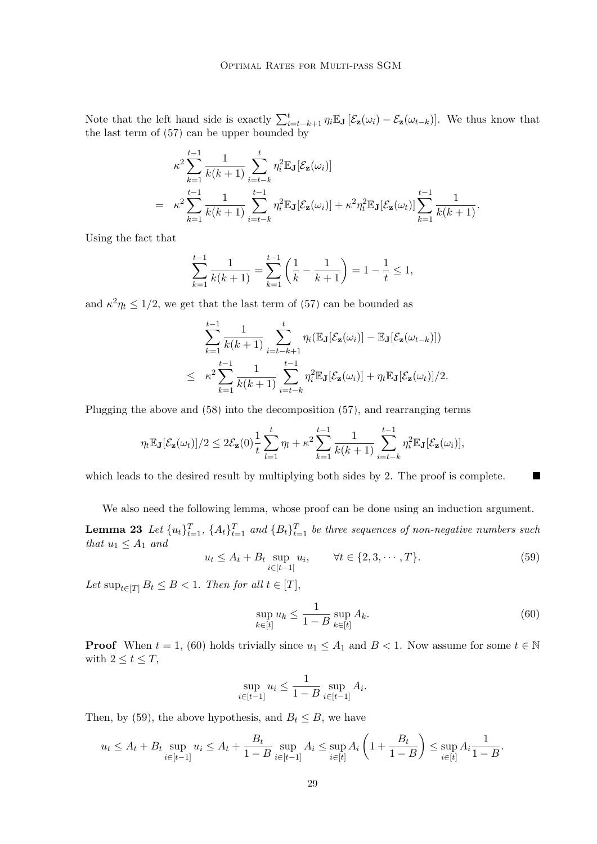Note that the left hand side is exactly  $\sum_{i=t-k+1}^{t} \eta_i \mathbb{E}_{\mathbf{J}} [\mathcal{E}_{\mathbf{z}}(\omega_i) - \mathcal{E}_{\mathbf{z}}(\omega_{t-k})]$ . We thus know that the last term of [\(57\)](#page-27-0) can be upper bounded by

$$
\kappa^2 \sum_{k=1}^{t-1} \frac{1}{k(k+1)} \sum_{i=t-k}^t \eta_i^2 \mathbb{E}_{\mathbf{J}}[\mathcal{E}_{\mathbf{z}}(\omega_i)]
$$
  
= 
$$
\kappa^2 \sum_{k=1}^{t-1} \frac{1}{k(k+1)} \sum_{i=t-k}^{t-1} \eta_i^2 \mathbb{E}_{\mathbf{J}}[\mathcal{E}_{\mathbf{z}}(\omega_i)] + \kappa^2 \eta_t^2 \mathbb{E}_{\mathbf{J}}[\mathcal{E}_{\mathbf{z}}(\omega_t)] \sum_{k=1}^{t-1} \frac{1}{k(k+1)}.
$$

Using the fact that

$$
\sum_{k=1}^{t-1} \frac{1}{k(k+1)} = \sum_{k=1}^{t-1} \left( \frac{1}{k} - \frac{1}{k+1} \right) = 1 - \frac{1}{t} \le 1,
$$

and  $\kappa^2 \eta_t \leq 1/2$ , we get that the last term of [\(57\)](#page-27-0) can be bounded as

$$
\sum_{k=1}^{t-1} \frac{1}{k(k+1)} \sum_{i=t-k+1}^{t} \eta_i(\mathbb{E}_{\mathbf{J}}[\mathcal{E}_{\mathbf{z}}(\omega_i)] - \mathbb{E}_{\mathbf{J}}[\mathcal{E}_{\mathbf{z}}(\omega_{t-k})])
$$
\n
$$
\leq \kappa^2 \sum_{k=1}^{t-1} \frac{1}{k(k+1)} \sum_{i=t-k}^{t-1} \eta_i^2 \mathbb{E}_{\mathbf{J}}[\mathcal{E}_{\mathbf{z}}(\omega_i)] + \eta_t \mathbb{E}_{\mathbf{J}}[\mathcal{E}_{\mathbf{z}}(\omega_t)]/2.
$$

Plugging the above and [\(58\)](#page-27-1) into the decomposition [\(57\)](#page-27-0), and rearranging terms

$$
\eta_t \mathbb{E}_{\mathbf{J}}[\mathcal{E}_{\mathbf{z}}(\omega_t)]/2 \leq 2\mathcal{E}_{\mathbf{z}}(0)\frac{1}{t}\sum_{l=1}^t \eta_l + \kappa^2 \sum_{k=1}^{t-1} \frac{1}{k(k+1)} \sum_{i=t-k}^{t-1} \eta_i^2 \mathbb{E}_{\mathbf{J}}[\mathcal{E}_{\mathbf{z}}(\omega_i)],
$$

which leads to the desired result by multiplying both sides by 2. The proof is complete.

We also need the following lemma, whose proof can be done using an induction argument. **Lemma 23** Let  $\{u_t\}_{t=1}^T$ ,  $\{A_t\}_{t=1}^T$  and  $\{B_t\}_{t=1}^T$  be three sequences of non-negative numbers such that  $u_1 \leq A_1$  and

<span id="page-28-1"></span>
$$
u_t \le A_t + B_t \sup_{i \in [t-1]} u_i, \qquad \forall t \in \{2, 3, \cdots, T\}.
$$
 (59)

Let  $\sup_{t\in[T]} B_t \leq B < 1$ . Then for all  $t \in [T]$ ,

<span id="page-28-2"></span><span id="page-28-0"></span>
$$
\sup_{k \in [t]} u_k \le \frac{1}{1 - B} \sup_{k \in [t]} A_k. \tag{60}
$$

**Proof** When  $t = 1$ , [\(60\)](#page-28-0) holds trivially since  $u_1 \leq A_1$  and  $B < 1$ . Now assume for some  $t \in \mathbb{N}$ with  $2 \leq t \leq T$ ,

$$
\sup_{i \in [t-1]} u_i \le \frac{1}{1-B} \sup_{i \in [t-1]} A_i.
$$

Then, by [\(59\)](#page-28-1), the above hypothesis, and  $B_t \leq B$ , we have

$$
u_t \le A_t + B_t \sup_{i \in [t-1]} u_i \le A_t + \frac{B_t}{1 - B} \sup_{i \in [t-1]} A_i \le \sup_{i \in [t]} A_i \left( 1 + \frac{B_t}{1 - B} \right) \le \sup_{i \in [t]} A_i \frac{1}{1 - B}.
$$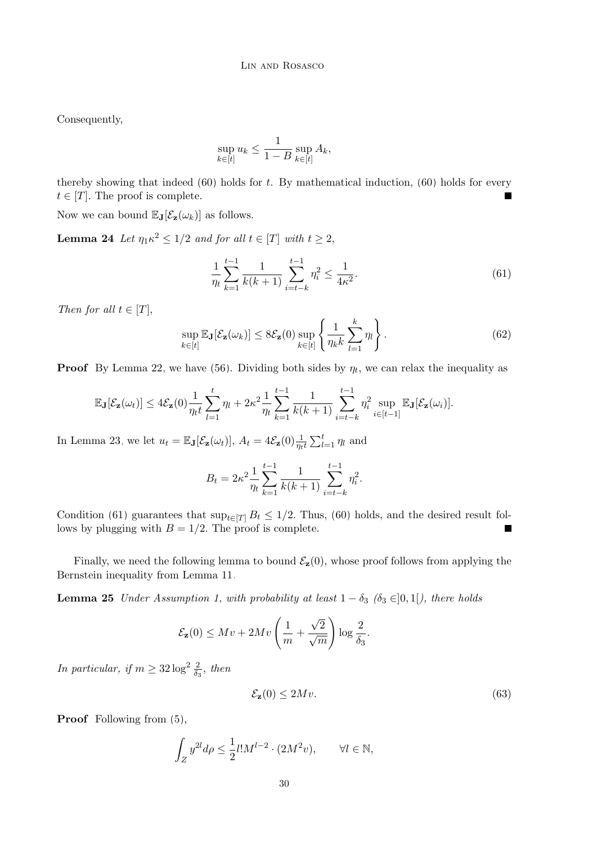Consequently,

$$
\sup_{k \in [t]} u_k \le \frac{1}{1-B} \sup_{k \in [t]} A_k,
$$

thereby showing that indeed  $(60)$  holds for t. By mathematical induction,  $(60)$  holds for every  $t \in [T]$ . The proof is complete.

Now we can bound  $\mathbb{E}_{\mathbf{J}}[\mathcal{E}_{\mathbf{z}}(\omega_k)]$  as follows.

**Lemma 24** Let  $\eta_1 \kappa^2 \leq 1/2$  and for all  $t \in [T]$  with  $t \geq 2$ ,

<span id="page-29-2"></span><span id="page-29-0"></span>
$$
\frac{1}{\eta_t} \sum_{k=1}^{t-1} \frac{1}{k(k+1)} \sum_{i=t-k}^{t-1} \eta_i^2 \le \frac{1}{4\kappa^2}.
$$
\n(61)

Then for all  $t \in [T]$ ,

<span id="page-29-3"></span>
$$
\sup_{k \in [t]} \mathbb{E}_{\mathbf{J}}[\mathcal{E}_{\mathbf{z}}(\omega_k)] \le 8 \mathcal{E}_{\mathbf{z}}(0) \sup_{k \in [t]} \left\{ \frac{1}{\eta_k k} \sum_{l=1}^k \eta_l \right\}.
$$
 (62)

**Proof** By Lemma [22,](#page-26-0) we have [\(56\)](#page-26-1). Dividing both sides by  $\eta_t$ , we can relax the inequality as

$$
\mathbb{E}_{\mathbf{J}}[\mathcal{E}_{\mathbf{z}}(\omega_t)] \leq 4\mathcal{E}_{\mathbf{z}}(0)\frac{1}{\eta_t t}\sum_{l=1}^t \eta_l + 2\kappa^2 \frac{1}{\eta_t} \sum_{k=1}^{t-1} \frac{1}{k(k+1)} \sum_{i=t-k}^{t-1} \eta_i^2 \sup_{i\in[t-1]} \mathbb{E}_{\mathbf{J}}[\mathcal{E}_{\mathbf{z}}(\omega_i)].
$$

In Lemma [23,](#page-28-2) we let  $u_t = \mathbb{E}_{\mathbf{J}}[\mathcal{E}_{\mathbf{z}}(\omega_t)], A_t = 4\mathcal{E}_{\mathbf{z}}(0) \frac{1}{\eta_t t} \sum_{l=1}^t \eta_l$  and

$$
B_t = 2\kappa^2 \frac{1}{\eta_t} \sum_{k=1}^{t-1} \frac{1}{k(k+1)} \sum_{i=t-k}^{t-1} \eta_i^2.
$$

Condition [\(61\)](#page-29-0) guarantees that  $\sup_{t\in[T]} B_t \leq 1/2$ . Thus, [\(60\)](#page-28-0) holds, and the desired result follows by plugging with  $B = 1/2$ . The proof is complete. ■

Finally, we need the following lemma to bound  $\mathcal{E}_z(0)$ , whose proof follows from applying the Bernstein inequality from Lemma [11.](#page-15-3)

**Lemma 25** Under Assumption [1,](#page-3-3) with probability at least  $1 - \delta_3$  ( $\delta_3 \in ]0,1[$ ), there holds

<span id="page-29-4"></span>
$$
\mathcal{E}_{\mathbf{z}}(0) \leq Mv + 2Mv\left(\frac{1}{m} + \frac{\sqrt{2}}{\sqrt{m}}\right)\log\frac{2}{\delta_3}.
$$

In particular, if  $m \geq 32 \log^2 \frac{2}{\delta_3}$ , then

<span id="page-29-1"></span>
$$
\mathcal{E}_{\mathbf{z}}(0) \le 2Mv. \tag{63}
$$

Proof Following from  $(5)$ ,

$$
\int_Z y^{2l} d\rho \le \frac{1}{2} l! M^{l-2} \cdot (2M^2 v), \qquad \forall l \in \mathbb{N},
$$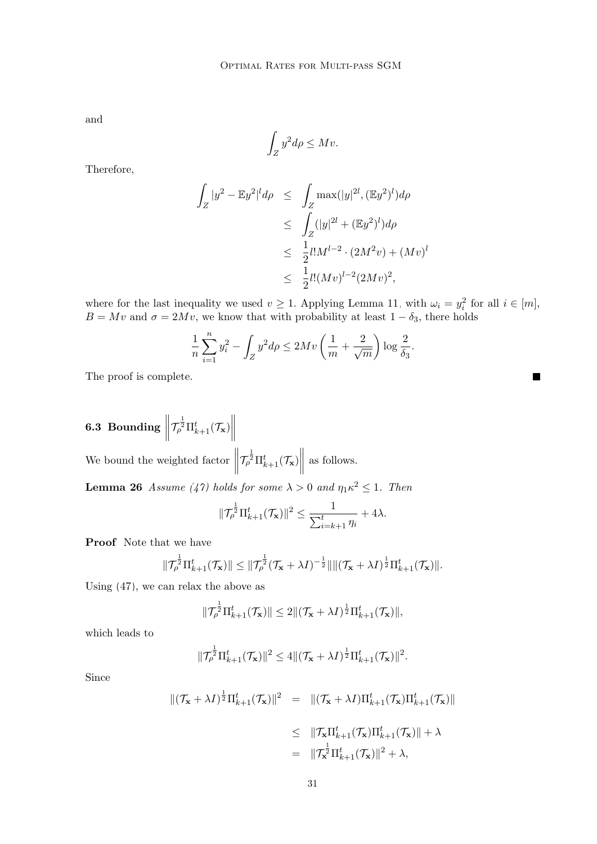and

$$
\int_Z y^2 d\rho \leq Mv.
$$

Therefore,

$$
\int_{Z} |y^{2} - \mathbb{E}y^{2}|^{l} d\rho \leq \int_{Z} \max(|y|^{2l}, (\mathbb{E}y^{2})^{l}) d\rho
$$
  
\n
$$
\leq \int_{Z} (|y|^{2l} + (\mathbb{E}y^{2})^{l}) d\rho
$$
  
\n
$$
\leq \frac{1}{2} l! M^{l-2} \cdot (2M^{2}v) + (Mv)^{l}
$$
  
\n
$$
\leq \frac{1}{2} l! (Mv)^{l-2} (2Mv)^{2},
$$

where for the last inequality we used  $v \ge 1$ . Applying Lemma [11,](#page-15-3) with  $\omega_i = y_i^2$  for all  $i \in [m]$ ,  $B = Mv$  and  $\sigma = 2Mv$ , we know that with probability at least  $1 - \delta_3$ , there holds

 $\blacksquare$ 

$$
\frac{1}{n}\sum_{i=1}^{n}y_i^2 - \int_Z y^2 d\rho \le 2Mv\left(\frac{1}{m} + \frac{2}{\sqrt{m}}\right)\log\frac{2}{\delta_3}.
$$

The proof is complete.

 $6.3 \, \text{ Bounding} \parallel$  $\left\Vert \mathcal{T}_{\rho}^{\frac{1}{2}}\Pi_{k+1}^{t}(\mathcal{T}_{\mathbf{x}})\right\Vert$ We bound the weighted factor  $\parallel$  $\left\Vert \mathcal{T}_{\rho}^{\frac{1}{2}}\Pi_{k+1}^{t}(\mathcal{T}_{\mathbf{x}})\right\Vert$ as follows. **Lemma 26** Assume [\(47\)](#page-20-0) holds for some  $\lambda > 0$  and  $\eta_1 \kappa^2 \leq 1$ . Then 1 1

<span id="page-30-0"></span>
$$
\|\mathcal{T}_{\rho}^{\frac{1}{2}}\Pi_{k+1}^t(\mathcal{T}_{\mathbf{x}})\|^2 \leq \frac{1}{\sum_{i=k+1}^t \eta_i} + 4\lambda.
$$

Proof Note that we have

$$
\|\mathcal{T}_{\rho}^{\frac{1}{2}}\Pi_{k+1}^t(\mathcal{T}_\mathbf{x})\| \leq \|\mathcal{T}_{\rho}^{\frac{1}{2}}(\mathcal{T}_\mathbf{x} + \lambda I)^{-\frac{1}{2}}\| \|(\mathcal{T}_\mathbf{x} + \lambda I)^{\frac{1}{2}}\Pi_{k+1}^t(\mathcal{T}_\mathbf{x})\|.
$$

Using [\(47\)](#page-20-0), we can relax the above as

$$
\|\mathcal{T}_{\rho}^{\frac{1}{2}}\Pi_{k+1}^t(\mathcal{T}_{\mathbf{x}})\| \leq 2\|(\mathcal{T}_{\mathbf{x}}+\lambda I)^{\frac{1}{2}}\Pi_{k+1}^t(\mathcal{T}_{\mathbf{x}})\|,
$$

which leads to

$$
\|\mathcal{T}_{\rho}^{\frac{1}{2}}\Pi_{k+1}^t(\mathcal{T}_{\mathbf{x}})\|^2 \leq 4\|(\mathcal{T}_{\mathbf{x}}+\lambda I)^{\frac{1}{2}}\Pi_{k+1}^t(\mathcal{T}_{\mathbf{x}})\|^2.
$$

Since

$$
\begin{array}{rcl} \|(\mathcal{T}_{\mathbf{x}}+\lambda I)^{\frac{1}{2}}\Pi_{k+1}^{t}(\mathcal{T}_{\mathbf{x}})\|^{2} & = & \|(\mathcal{T}_{\mathbf{x}}+\lambda I)\Pi_{k+1}^{t}(\mathcal{T}_{\mathbf{x}})\Pi_{k+1}^{t}(\mathcal{T}_{\mathbf{x}})\| \\ \\ & \leq & \|\mathcal{T}_{\mathbf{x}}\Pi_{k+1}^{t}(\mathcal{T}_{\mathbf{x}})\Pi_{k+1}^{t}(\mathcal{T}_{\mathbf{x}})\| + \lambda \\ & = & \|\mathcal{T}_{\mathbf{x}}^{\frac{1}{2}}\Pi_{k+1}^{t}(\mathcal{T}_{\mathbf{x}})\|^{2} + \lambda, \end{array}
$$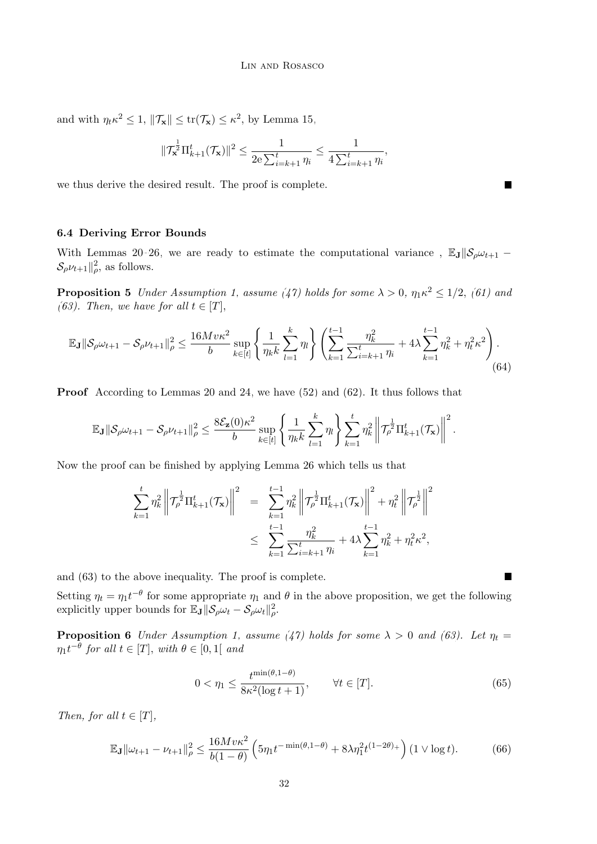and with  $\eta_t \kappa^2 \leq 1$ ,  $\|\mathcal{T}_{\mathbf{x}}\| \leq \text{tr}(\mathcal{T}_{\mathbf{x}}) \leq \kappa^2$ , by Lemma [15,](#page-16-3)

$$
\|\mathcal{T}_{\mathbf{x}}^{\frac{1}{2}}\Pi_{k+1}^t(\mathcal{T}_{\mathbf{x}})\|^2 \leq \frac{1}{2{\rm e}\sum_{i=k+1}^t \eta_i} \leq \frac{1}{4\sum_{i=k+1}^t \eta_i},
$$

we thus derive the desired result. The proof is complete.

#### 6.4 Deriving Error Bounds

<span id="page-31-0"></span>With Lemmas [20–](#page-24-5)[26,](#page-30-0) we are ready to estimate the computational variance,  $\mathbb{E}_{J}||\mathcal{S}_{\rho}\omega_{t+1}$  –  $\mathcal{S}_{\rho}\nu_{t+1} \|_{\rho}^2$ , as follows.

**Proposition 5** Under Assumption [1,](#page-3-3) assume [\(47\)](#page-20-0) holds for some  $\lambda > 0$ ,  $\eta_1 \kappa^2 \leq 1/2$ , [\(61\)](#page-29-0) and [\(63\)](#page-29-1). Then, we have for all  $t \in [T]$ ,

<span id="page-31-2"></span>
$$
\mathbb{E}_{\mathbf{J}}\|\mathcal{S}_{\rho}\omega_{t+1} - \mathcal{S}_{\rho}\nu_{t+1}\|_{\rho}^{2} \le \frac{16Mv\kappa^{2}}{b}\sup_{k\in[t]}\left\{\frac{1}{\eta_{k}k}\sum_{l=1}^{k}\eta_{l}\right\}\left(\sum_{k=1}^{t-1}\frac{\eta_{k}^{2}}{\sum_{i=k+1}^{t}\eta_{i}} + 4\lambda\sum_{k=1}^{t-1}\eta_{k}^{2} + \eta_{t}^{2}\kappa^{2}\right). \tag{64}
$$

Proof According to Lemmas [20](#page-24-5) and [24,](#page-29-2) we have [\(52\)](#page-24-4) and [\(62\)](#page-29-3). It thus follows that

$$
\mathbb{E}_{\mathbf{J}}\|\mathcal{S}_{\rho}\omega_{t+1}-\mathcal{S}_{\rho}\nu_{t+1}\|_{\rho}^{2}\leq \frac{8\mathcal{E}_{\mathbf{z}}(0)\kappa^{2}}{b}\sup_{k\in[t]}\left\{\frac{1}{\eta_{k}k}\sum_{l=1}^{k}\eta_{l}\right\}\sum_{k=1}^{t}\eta_{k}^{2}\left\|\mathcal{T}_{\rho}^{\frac{1}{2}}\Pi_{k+1}^{t}(\mathcal{T}_{\mathbf{x}})\right\|^{2}.
$$

Now the proof can be finished by applying Lemma [26](#page-30-0) which tells us that

$$
\sum_{k=1}^{t} \eta_k^2 \left\| \mathcal{T}_{\rho}^{\frac{1}{2}} \Pi_{k+1}^t(\mathcal{T}_{\mathbf{x}}) \right\|^2 = \sum_{k=1}^{t-1} \eta_k^2 \left\| \mathcal{T}_{\rho}^{\frac{1}{2}} \Pi_{k+1}^t(\mathcal{T}_{\mathbf{x}}) \right\|^2 + \eta_t^2 \left\| \mathcal{T}_{\rho}^{\frac{1}{2}} \right\|^2
$$
  

$$
\leq \sum_{k=1}^{t-1} \frac{\eta_k^2}{\sum_{i=k+1}^t \eta_i} + 4\lambda \sum_{k=1}^{t-1} \eta_k^2 + \eta_t^2 \kappa^2,
$$

and [\(63\)](#page-29-1) to the above inequality. The proof is complete.

Setting  $\eta_t = \eta_1 t^{-\theta}$  for some appropriate  $\eta_1$  and  $\theta$  in the above proposition, we get the following explicitly upper bounds for  $\mathbb{E}_{\mathbf{J}} \|\mathcal{S}_{\rho} \omega_t - \mathcal{S}_{\rho} \omega_t\|_{\rho}^2$ .

**Proposition 6** Under Assumption [1,](#page-3-3) assume [\(47\)](#page-20-0) holds for some  $\lambda > 0$  and [\(63\)](#page-29-1). Let  $\eta_t =$  $\eta_1 t^{-\theta}$  for all  $t \in [T]$ , with  $\theta \in [0,1]$  and

<span id="page-31-4"></span><span id="page-31-3"></span><span id="page-31-1"></span>
$$
0 < \eta_1 \le \frac{t^{\min(\theta, 1 - \theta)}}{8\kappa^2 (\log t + 1)}, \qquad \forall t \in [T]. \tag{65}
$$

Then, for all  $t \in [T]$ ,

$$
\mathbb{E}_{\mathbf{J}} \|\omega_{t+1} - \nu_{t+1}\|_{\rho}^2 \le \frac{16Mv\kappa^2}{b(1-\theta)} \left(5\eta_1 t^{-\min(\theta, 1-\theta)} + 8\lambda \eta_1^2 t^{(1-2\theta)}\right) (1 \vee \log t). \tag{66}
$$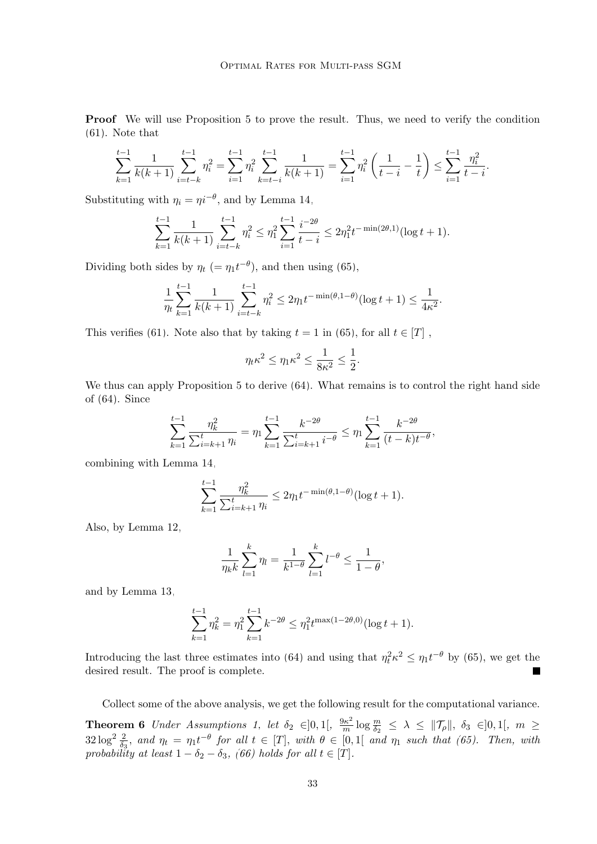Proof We will use Proposition [5](#page-31-0) to prove the result. Thus, we need to verify the condition [\(61\)](#page-29-0). Note that

$$
\sum_{k=1}^{t-1} \frac{1}{k(k+1)} \sum_{i=t-k}^{t-1} \eta_i^2 = \sum_{i=1}^{t-1} \eta_i^2 \sum_{k=t-i}^{t-1} \frac{1}{k(k+1)} = \sum_{i=1}^{t-1} \eta_i^2 \left( \frac{1}{t-i} - \frac{1}{t} \right) \le \sum_{i=1}^{t-1} \frac{\eta_i^2}{t-i}.
$$

Substituting with  $\eta_i = \eta i^{-\theta}$ , and by Lemma [14,](#page-15-4)

$$
\sum_{k=1}^{t-1} \frac{1}{k(k+1)} \sum_{i=t-k}^{t-1} \eta_i^2 \le \eta_1^2 \sum_{i=1}^{t-1} \frac{i^{-2\theta}}{t-i} \le 2\eta_1^2 t^{-\min(2\theta,1)} (\log t + 1).
$$

Dividing both sides by  $\eta_t$  (=  $\eta_1 t^{-\theta}$ ), and then using [\(65\)](#page-31-1),

$$
\frac{1}{\eta_t} \sum_{k=1}^{t-1} \frac{1}{k(k+1)} \sum_{i=t-k}^{t-1} \eta_i^2 \le 2\eta_1 t^{-\min(\theta, 1-\theta)} (\log t + 1) \le \frac{1}{4\kappa^2}.
$$

This verifies [\(61\)](#page-29-0). Note also that by taking  $t = 1$  in [\(65\)](#page-31-1), for all  $t \in [T]$ ,

$$
\eta_t \kappa^2 \le \eta_1 \kappa^2 \le \frac{1}{8\kappa^2} \le \frac{1}{2}.
$$

We thus can apply Proposition [5](#page-31-0) to derive [\(64\)](#page-31-2). What remains is to control the right hand side of [\(64\)](#page-31-2). Since

$$
\sum_{k=1}^{t-1} \frac{\eta_k^2}{\sum_{i=k+1}^t \eta_i} = \eta_1 \sum_{k=1}^{t-1} \frac{k^{-2\theta}}{\sum_{i=k+1}^t i^{-\theta}} \le \eta_1 \sum_{k=1}^{t-1} \frac{k^{-2\theta}}{(t-k)t^{-\theta}},
$$

combining with Lemma [14,](#page-15-4)

$$
\sum_{k=1}^{t-1} \frac{\eta_k^2}{\sum_{i=k+1}^t \eta_i} \le 2\eta_1 t^{-\min(\theta, 1-\theta)} (\log t + 1).
$$

Also, by Lemma [12,](#page-15-2)

$$
\frac{1}{\eta_k k} \sum_{l=1}^k \eta_l = \frac{1}{k^{1-\theta}} \sum_{l=1}^k l^{-\theta} \le \frac{1}{1-\theta},
$$

and by Lemma [13,](#page-15-5)

$$
\sum_{k=1}^{t-1} \eta_k^2 = \eta_1^2 \sum_{k=1}^{t-1} k^{-2\theta} \le \eta_1^2 t^{\max(1-2\theta,0)} (\log t + 1).
$$

Introducing the last three estimates into [\(64\)](#page-31-2) and using that  $\eta_t^2 \kappa^2 \leq \eta_1 t^{-\theta}$  by [\(65\)](#page-31-1), we get the desired result. The proof is complete.

Collect some of the above analysis, we get the following result for the computational variance.

**Theorem 6** Under Assumptions [1,](#page-3-3) let  $\delta_2 \in ]0,1[$ ,  $\frac{9\kappa^2}{m}]$  $\frac{d\kappa^2}{m}\log\frac{m}{\delta_2} \ \leq \ \lambda \ \leq \ \|\mathcal{T}_{\rho}\|, \ \delta_3 \ \in ]0,1[, \ \ m \ \geq$  $32\log^2\frac{2}{\delta_3}$ , and  $\eta_t = \eta_1 t^{-\theta}$  for all  $t \in [T]$ , with  $\theta \in [0,1]$  and  $\eta_1$  such that [\(65\)](#page-31-1). Then, with probability at least  $1 - \delta_2 - \delta_3$ , [\(66\)](#page-31-3) holds for all  $t \in [T]$ .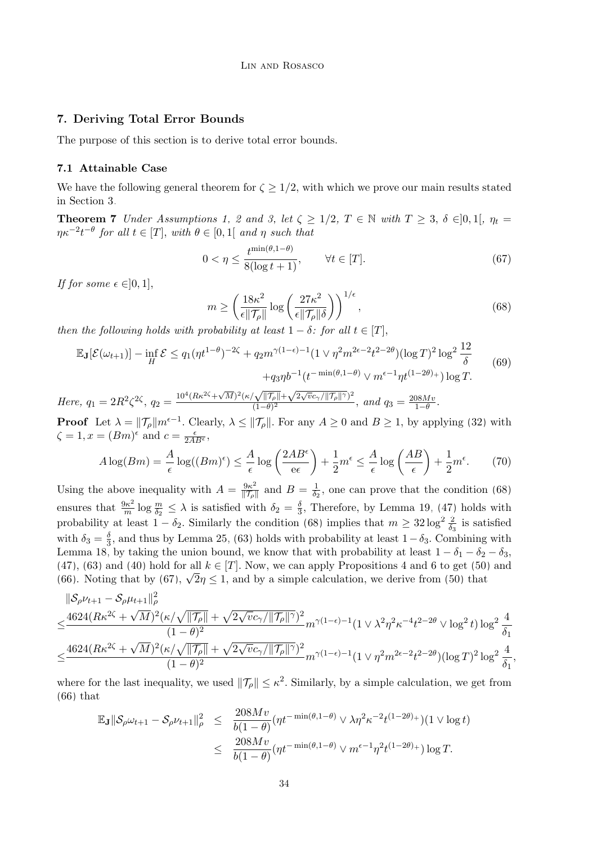## <span id="page-33-0"></span>7. Deriving Total Error Bounds

The purpose of this section is to derive total error bounds.

#### 7.1 Attainable Case

<span id="page-33-4"></span>We have the following general theorem for  $\zeta \geq 1/2$ , with which we prove our main results stated in Section [3.](#page-3-0)

**Theorem 7** Under Assumptions [1,](#page-3-3) [2](#page-4-2) and [3,](#page-4-1) let  $\zeta \geq 1/2$ ,  $T \in \mathbb{N}$  with  $T \geq 3$ ,  $\delta \in ]0,1[$ ,  $\eta_t =$  $\eta \kappa^{-2} t^{-\theta}$  for all  $t \in [T]$ , with  $\theta \in [0,1]$  and  $\eta$  such that

<span id="page-33-2"></span>
$$
0 < \eta \le \frac{t^{\min(\theta, 1 - \theta)}}{8(\log t + 1)}, \qquad \forall t \in [T]. \tag{67}
$$

If for some  $\epsilon \in ]0,1]$ ,

<span id="page-33-3"></span><span id="page-33-1"></span>
$$
m \ge \left(\frac{18\kappa^2}{\epsilon \| \mathcal{T}_{\rho} \|} \log \left(\frac{27\kappa^2}{\epsilon \| \mathcal{T}_{\rho} \| \delta}\right)\right)^{1/\epsilon},\tag{68}
$$

then the following holds with probability at least  $1 - \delta$ : for all  $t \in [T]$ ,

$$
\mathbb{E}_{\mathbf{J}}[\mathcal{E}(\omega_{t+1})] - \inf_{H} \mathcal{E} \le q_1 (\eta t^{1-\theta})^{-2\zeta} + q_2 m^{\gamma(1-\epsilon)-1} (1 \vee \eta^2 m^{2\epsilon-2} t^{2-2\theta}) (\log T)^2 \log^2 \frac{12}{\delta} + q_3 \eta b^{-1} (t^{-\min(\theta, 1-\theta)} \vee m^{\epsilon-1} \eta t^{(1-2\theta)+}) \log T.
$$
\n(69)

Here, 
$$
q_1 = 2R^2\zeta^{2\zeta}
$$
,  $q_2 = \frac{10^4 (R\kappa^{2\zeta} + \sqrt{M})^2 (\kappa/\sqrt{\|\mathcal{T}_{\rho}\|} + \sqrt{2\sqrt{v}c_{\gamma}/\|\mathcal{T}_{\rho}\|})^2}{(1-\theta)^2}$ , and  $q_3 = \frac{208Mv}{1-\theta}$ .

**Proof** Let  $\lambda = ||\mathcal{T}_{\rho}||m^{\epsilon-1}$ . Clearly,  $\lambda \le ||\mathcal{T}_{\rho}||$ . For any  $A \ge 0$  and  $B \ge 1$ , by applying [\(32\)](#page-16-4) with  $\zeta = 1, x = (Bm)^{\epsilon}$  and  $c = \frac{\epsilon}{2AB^{\epsilon}}$ ,

$$
A\log(Bm) = \frac{A}{\epsilon}\log((Bm)^{\epsilon}) \le \frac{A}{\epsilon}\log\left(\frac{2AB^{\epsilon}}{\epsilon\epsilon}\right) + \frac{1}{2}m^{\epsilon} \le \frac{A}{\epsilon}\log\left(\frac{AB}{\epsilon}\right) + \frac{1}{2}m^{\epsilon}.\tag{70}
$$

Using the above inequality with  $A = \frac{9\kappa^2}{\|\mathcal{T}\|}$  $\frac{9\kappa^2}{\|\mathcal{T}_{\rho}\|}$  and  $B = \frac{1}{\delta_2}$  $\frac{1}{\delta_2}$ , one can prove that the condition [\(68\)](#page-33-1) ensures that  $\frac{9\kappa^2}{m}$  $\frac{\partial \kappa^2}{\partial m}$  log  $\frac{m}{\delta_2} \leq \lambda$  is satisfied with  $\delta_2 = \frac{\delta_2}{3}$  $\frac{3}{3}$ , Therefore, by Lemma [19,](#page-20-3) [\(47\)](#page-20-0) holds with probability at least  $1 - \delta_2$ . Similarly the condition [\(68\)](#page-33-1) implies that  $m \geq 32 \log^2 \frac{2}{\delta_3}$  is satisfied with  $\delta_3 = \frac{\delta}{3}$  $\frac{3}{3}$ , and thus by Lemma [25,](#page-29-4) [\(63\)](#page-29-1) holds with probability at least  $1 - \delta_3$ . Combining with Lemma [18,](#page-18-4) by taking the union bound, we know that with probability at least  $1 - \delta_1 - \delta_2 - \delta_3$ , [\(47\)](#page-20-0), [\(63\)](#page-29-1) and [\(40\)](#page-18-2) hold for all  $k \in [T]$ . Now, we can apply Propositions [4](#page-22-2) and [6](#page-31-4) to get [\(50\)](#page-22-0) and (4*t*), (65) and (40) nota for all  $\kappa \in [1]$ . Now, we can apply Propositions 4 and 6 to get (50) [\(66\)](#page-31-3). Noting that by [\(67\)](#page-33-2),  $\sqrt{2}\eta \le 1$ , and by a simple calculation, we derive from [\(50\)](#page-22-0) that

$$
\begin{split} &\|\mathcal{S}_{\rho}\nu_{t+1}-\mathcal{S}_{\rho}\mu_{t+1}\|_{\rho}^{2} \\ \leq & \frac{4624(R\kappa^{2\zeta}+\sqrt{M})^{2}(\kappa/\sqrt{\|\mathcal{T}_{\rho}\|}+\sqrt{2\sqrt{v}c_{\gamma}/\|\mathcal{T}_{\rho}\|^{\gamma}})^{2}}{(1-\theta)^{2}}m^{\gamma(1-\epsilon)-1}(1\vee\lambda^{2}\eta^{2}\kappa^{-4}t^{2-2\theta}\vee\log^{2}t)\log^{2}\frac{4}{\delta_{1}} \\ \leq & \frac{4624(R\kappa^{2\zeta}+\sqrt{M})^{2}(\kappa/\sqrt{\|\mathcal{T}_{\rho}\|}+\sqrt{2\sqrt{v}c_{\gamma}/\|\mathcal{T}_{\rho}\|^{\gamma}})^{2}}{(1-\theta)^{2}}m^{\gamma(1-\epsilon)-1}(1\vee\eta^{2}m^{2\epsilon-2}t^{2-2\theta})(\log T)^{2}\log^{2}\frac{4}{\delta_{1}}, \end{split}
$$

where for the last inequality, we used  $\|\mathcal{T}_{\rho}\| \leq \kappa^2$ . Similarly, by a simple calculation, we get from [\(66\)](#page-31-3) that

$$
\mathbb{E}_{\mathbf{J}}\|\mathcal{S}_{\rho}\omega_{t+1} - \mathcal{S}_{\rho}\nu_{t+1}\|_{\rho}^{2} \leq \frac{208Mv}{b(1-\theta)}(\eta t^{-\min(\theta,1-\theta)} \vee \lambda \eta^{2}\kappa^{-2}t^{(1-2\theta)+})(1 \vee \log t)
$$
  

$$
\leq \frac{208Mv}{b(1-\theta)}(\eta t^{-\min(\theta,1-\theta)} \vee m^{\epsilon-1}\eta^{2}t^{(1-2\theta)+})\log T.
$$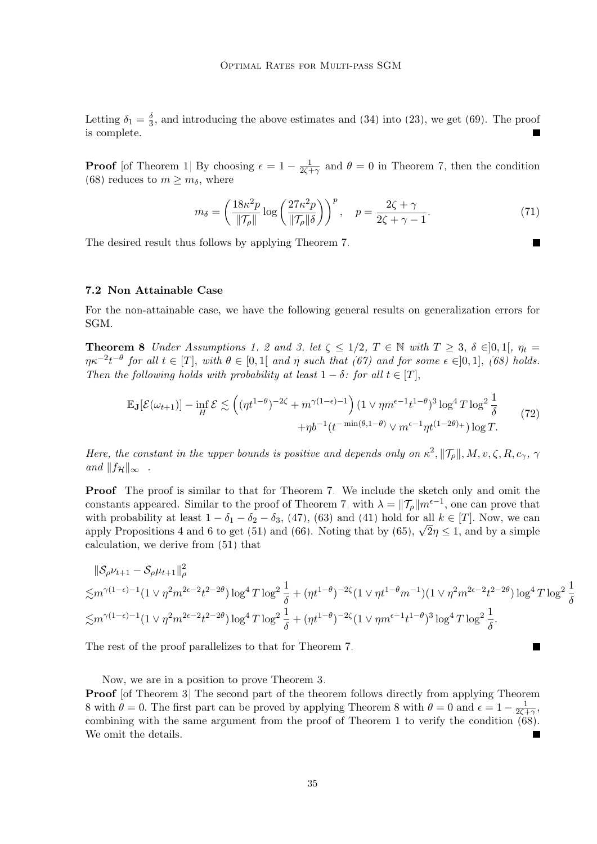Letting  $\delta_1 = \frac{\delta}{3}$  $\frac{3}{3}$ , and introducing the above estimates and [\(34\)](#page-16-5) into [\(23\)](#page-13-1), we get [\(69\)](#page-33-3). The proof is complete.  $\blacksquare$ 

**Proof** [of Theorem [1\]](#page-6-3) By choosing  $\epsilon = 1 - \frac{1}{2\epsilon}$  $\frac{1}{2\zeta+\gamma}$  and  $\theta=0$  in Theorem [7,](#page-33-4) then the condition [\(68\)](#page-33-1) reduces to  $m \geq m_{\delta}$ , where

<span id="page-34-1"></span>
$$
m_{\delta} = \left(\frac{18\kappa^2 p}{\|\mathcal{T}_{\rho}\|} \log \left(\frac{27\kappa^2 p}{\|\mathcal{T}_{\rho}\| \delta}\right)\right)^p, \quad p = \frac{2\zeta + \gamma}{2\zeta + \gamma - 1}.
$$
 (71)

The desired result thus follows by applying Theorem [7.](#page-33-4)

## 7.2 Non Attainable Case

<span id="page-34-0"></span>For the non-attainable case, we have the following general results on generalization errors for SGM.

**Theorem 8** Under Assumptions [1,](#page-3-3) [2](#page-4-2) and [3,](#page-4-1) let  $\zeta \leq 1/2$ ,  $T \in \mathbb{N}$  with  $T \geq 3$ ,  $\delta \in ]0,1[$ ,  $\eta_t =$  $\eta \kappa^{-2} t^{-\theta}$  for all  $t \in [T]$ , with  $\theta \in [0,1]$  and  $\eta$  such that [\(67\)](#page-33-2) and for some  $\epsilon \in ]0,1]$ , [\(68\)](#page-33-1) holds. Then the following holds with probability at least  $1 - \delta$ : for all  $t \in [T]$ ,

$$
\mathbb{E}_{\mathbf{J}}[\mathcal{E}(\omega_{t+1})] - \inf_{H} \mathcal{E} \lesssim \left( (\eta t^{1-\theta})^{-2\zeta} + m^{\gamma(1-\epsilon)-1} \right) (1 \vee \eta m^{\epsilon-1} t^{1-\theta})^3 \log^4 T \log^2 \frac{1}{\delta} + \eta b^{-1} (t^{-\min(\theta, 1-\theta)} \vee m^{\epsilon-1} \eta t^{(1-2\theta)+}) \log T. \tag{72}
$$

Here, the constant in the upper bounds is positive and depends only on  $\kappa^2$ ,  $||\mathcal{T}_{\rho}||$ ,  $M$ ,  $v$ ,  $\zeta$ ,  $R$ ,  $c_{\gamma}$ ,  $\gamma$ and  $||f_{\mathcal{H}}||_{\infty}$ .

Proof The proof is similar to that for Theorem [7.](#page-33-4) We include the sketch only and omit the constants appeared. Similar to the proof of Theorem [7,](#page-33-4) with  $\lambda = ||\mathcal{T}_{\rho}||m^{\epsilon-1}$ , one can prove that with probability at least  $1 - \delta_1 - \delta_2 - \delta_3$ , [\(47\)](#page-20-0), [\(63\)](#page-29-1) and [\(41\)](#page-18-3) hold for all  $k \in [T]$ . Now, we can with probability at least  $1 - \sigma_1 - \sigma_2 - \sigma_3$ , (47), [\(65\)](#page-31-1) and (41) hold for all  $\kappa \in [1]$ . Now, we can<br>apply Propositions [4](#page-22-2) and [6](#page-31-4) to get [\(51\)](#page-22-1) and [\(66\)](#page-31-3). Noting that by (65),  $\sqrt{2}\eta \le 1$ , and by a simple calculation, we derive from [\(51\)](#page-22-1) that

$$
\|\mathcal{S}_{\rho}\nu_{t+1} - \mathcal{S}_{\rho}\mu_{t+1}\|_{\rho}^{2}
$$
  
\n
$$
\lesssim m^{\gamma(1-\epsilon)-1}(1 \vee \eta^{2} m^{2\epsilon-2} t^{2-2\theta}) \log^{4} T \log^{2} \frac{1}{\delta} + (\eta t^{1-\theta})^{-2\zeta} (1 \vee \eta t^{1-\theta} m^{-1}) (1 \vee \eta^{2} m^{2\epsilon-2} t^{2-2\theta}) \log^{4} T \log^{2} \frac{1}{\delta}
$$
  
\n
$$
\lesssim m^{\gamma(1-\epsilon)-1} (1 \vee \eta^{2} m^{2\epsilon-2} t^{2-2\theta}) \log^{4} T \log^{2} \frac{1}{\delta} + (\eta t^{1-\theta})^{-2\zeta} (1 \vee \eta m^{\epsilon-1} t^{1-\theta})^{3} \log^{4} T \log^{2} \frac{1}{\delta}.
$$

The rest of the proof parallelizes to that for Theorem [7.](#page-33-4)

Now, we are in a position to prove Theorem [3.](#page-9-2)

Proof [of Theorem [3\]](#page-9-2) The second part of the theorem follows directly from applying Theorem [8](#page-34-0) with  $\theta = 0$ . The first part can be proved by applying Theorem [8](#page-34-0) with  $\theta = 0$  and  $\epsilon = 1 - \frac{1}{2\epsilon}$  $\frac{1}{2\zeta+\gamma},$ combining with the same argument from the proof of Theorem [1](#page-6-3) to verify the condition [\(68\)](#page-33-1). We omit the details.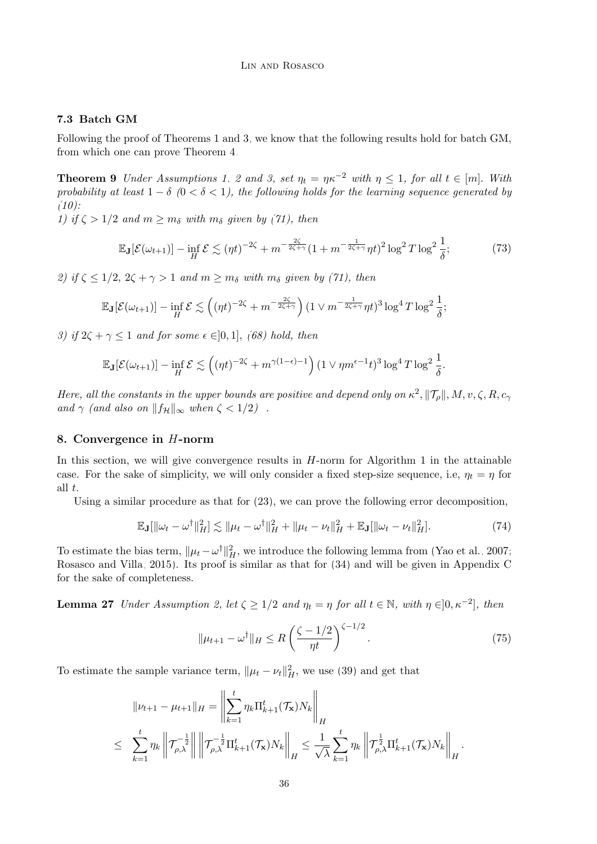## 7.3 Batch GM

Following the proof of Theorems [1](#page-6-3) and [3,](#page-9-2) we know that the following results hold for batch GM, from which one can prove Theorem [4.](#page-10-3)

**Theorem 9** Under Assumptions [1,](#page-3-3) [2](#page-4-2) and [3,](#page-4-1) set  $\eta_t = \eta \kappa^{-2}$  with  $\eta \leq 1$ , for all  $t \in [m]$ . With probability at least  $1 - \delta$  (0 <  $\delta$  < 1), the following holds for the learning sequence generated by  $(10):$  $(10):$ 

1) if  $\zeta > 1/2$  and  $m \geq m_\delta$  with  $m_\delta$  given by [\(71\)](#page-34-1), then

<span id="page-35-1"></span>
$$
\mathbb{E}_{\mathbf{J}}[\mathcal{E}(\omega_{t+1})] - \inf_{H} \mathcal{E} \lesssim (\eta t)^{-2\zeta} + m^{-\frac{2\zeta}{2\zeta + \gamma}} (1 + m^{-\frac{1}{2\zeta + \gamma}} \eta t)^2 \log^2 T \log^2 \frac{1}{\delta};\tag{73}
$$

2) if  $\zeta \leq 1/2$ ,  $2\zeta + \gamma > 1$  and  $m \geq m_{\delta}$  with  $m_{\delta}$  given by [\(71\)](#page-34-1), then

$$
\mathbb{E}_{\mathbf{J}}[\mathcal{E}(\omega_{t+1})] - \inf_{H} \mathcal{E} \lesssim \left( (\eta t)^{-2\zeta} + m^{-\frac{2\zeta}{2\zeta + \gamma}} \right) (1 \vee m^{-\frac{1}{2\zeta + \gamma}} \eta t)^3 \log^4 T \log^2 \frac{1}{\delta};
$$

3) if  $2\zeta + \gamma \leq 1$  and for some  $\epsilon \in ]0,1]$ , [\(68\)](#page-33-1) hold, then

$$
\mathbb{E}_{\mathbf{J}}[\mathcal{E}(\omega_{t+1})] - \inf_{H} \mathcal{E} \lesssim \left( (\eta t)^{-2\zeta} + m^{\gamma(1-\epsilon)-1} \right) (1 \vee \eta m^{\epsilon-1} t)^3 \log^4 T \log^2 \frac{1}{\delta}.
$$

Here, all the constants in the upper bounds are positive and depend only on  $\kappa^2$ ,  $||\mathcal{T}_{\rho}||$ ,  $M$ ,  $v$ ,  $\zeta$ ,  $R$ ,  $c$ <sub> $\gamma$ </sub> and  $\gamma$  (and also on  $||f_{\mathcal{H}}||_{\infty}$  when  $\zeta < 1/2$ ).

#### <span id="page-35-0"></span>8. Convergence in H-norm

In this section, we will give convergence results in  $H$ -norm for Algorithm [1](#page-3-2) in the attainable case. For the sake of simplicity, we will only consider a fixed step-size sequence, i.e,  $\eta_t = \eta$  for all t.

Using a similar procedure as that for [\(23\)](#page-13-1), we can prove the following error decomposition,

$$
\mathbb{E}_{\mathbf{J}}[\|\omega_t - \omega^{\dagger}\|_H^2] \lesssim \|\mu_t - \omega^{\dagger}\|_H^2 + \|\mu_t - \nu_t\|_H^2 + \mathbb{E}_{\mathbf{J}}[\|\omega_t - \nu_t\|_H^2].
$$
\n(74)

To estimate the bias term,  $\|\mu_t - \omega^{\dagger}\|_H^2$ , we introduce the following lemma from [\(Yao et al., 2007;](#page-46-2) [Rosasco and Villa, 2015\)](#page-45-8). Its proof is similar as that for [\(34\)](#page-16-5) and will be given in Appendix [C](#page-38-1) for the sake of completeness.

<span id="page-35-4"></span>**Lemma 27** Under Assumption [2,](#page-4-2) let  $\zeta \geq 1/2$  and  $\eta_t = \eta$  for all  $t \in \mathbb{N}$ , with  $\eta \in ]0, \kappa^{-2}]$ , then

<span id="page-35-3"></span><span id="page-35-2"></span>
$$
\|\mu_{t+1} - \omega^{\dagger}\|_{H} \le R\left(\frac{\zeta - 1/2}{\eta t}\right)^{\zeta - 1/2}.\tag{75}
$$

To estimate the sample variance term,  $\|\mu_t - \nu_t\|_H^2$ , we use [\(39\)](#page-17-4) and get that

$$
\|\nu_{t+1} - \mu_{t+1}\|_{H} = \left\|\sum_{k=1}^{t} \eta_k \Pi_{k+1}^{t}(\mathcal{T}_{\mathbf{x}}) N_k\right\|_{H}
$$
  
\n
$$
\leq \sum_{k=1}^{t} \eta_k \left\|\mathcal{T}_{\rho,\lambda}^{-\frac{1}{2}}\right\| \left\|\mathcal{T}_{\rho,\lambda}^{-\frac{1}{2}} \Pi_{k+1}^{t}(\mathcal{T}_{\mathbf{x}}) N_k\right\|_{H} \leq \frac{1}{\sqrt{\lambda}} \sum_{k=1}^{t} \eta_k \left\|\mathcal{T}_{\rho,\lambda}^{\frac{1}{2}} \Pi_{k+1}^{t}(\mathcal{T}_{\mathbf{x}}) N_k\right\|_{H}.
$$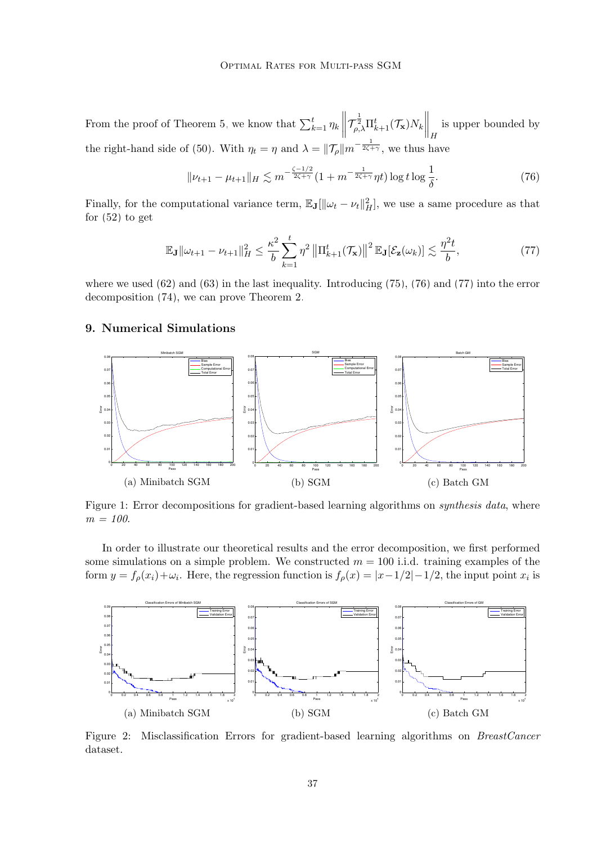From the proof of Theorem [5,](#page-23-0) we know that  $\sum_{k=1}^{t} \eta_k$  $\left\|\mathcal{T}_{\rho,\lambda}^{\frac{1}{2}}\Pi_{k+1}^{t}(\mathcal{T}_{\mathbf{x}})N_{k}\right\|_{H}$ is upper bounded by the right-hand side of [\(50\)](#page-22-0). With  $\eta_t = \eta$  and  $\lambda = ||\mathcal{T}_{\rho}||m^{-\frac{1}{2\zeta+\gamma}}$ , we thus have

<span id="page-36-1"></span>
$$
\|\nu_{t+1} - \mu_{t+1}\|_{H} \lesssim m^{-\frac{\zeta - 1/2}{2\zeta + \gamma}} (1 + m^{-\frac{1}{2\zeta + \gamma}} \eta t) \log t \log \frac{1}{\delta}.
$$
 (76)

Finally, for the computational variance term,  $\mathbb{E}_{J}[\|\omega_t - \nu_t\|_{H}^2]$ , we use a same procedure as that for  $(52)$  to get

<span id="page-36-2"></span>
$$
\mathbb{E}_{\mathbf{J}}\|\omega_{t+1}-\nu_{t+1}\|_{H}^{2} \leq \frac{\kappa^{2}}{b} \sum_{k=1}^{t} \eta^{2} \left\|\Pi_{k+1}^{t}(\mathcal{T}_{\mathbf{x}})\right\|^{2} \mathbb{E}_{\mathbf{J}}[\mathcal{E}_{\mathbf{z}}(\omega_{k})] \lesssim \frac{\eta^{2}t}{b},\tag{77}
$$

where we used  $(62)$  and  $(63)$  in the last inequality. Introducing  $(75)$ ,  $(76)$  and  $(77)$  into the error decomposition [\(74\)](#page-35-3), we can prove Theorem [2.](#page-8-4)

## <span id="page-36-0"></span>9. Numerical Simulations

<span id="page-36-3"></span>

Figure 1: Error decompositions for gradient-based learning algorithms on *synthesis data*, where  $m = 100.$ 

In order to illustrate our theoretical results and the error decomposition, we first performed some simulations on a simple problem. We constructed  $m = 100$  i.i.d. training examples of the form  $y = f_{\rho}(x_i) + \omega_i$ . Here, the regression function is  $f_{\rho}(x) = |x - 1/2| - 1/2$ , the input point  $x_i$  is

<span id="page-36-4"></span>

Figure 2: Misclassification Errors for gradient-based learning algorithms on *BreastCancer* dataset.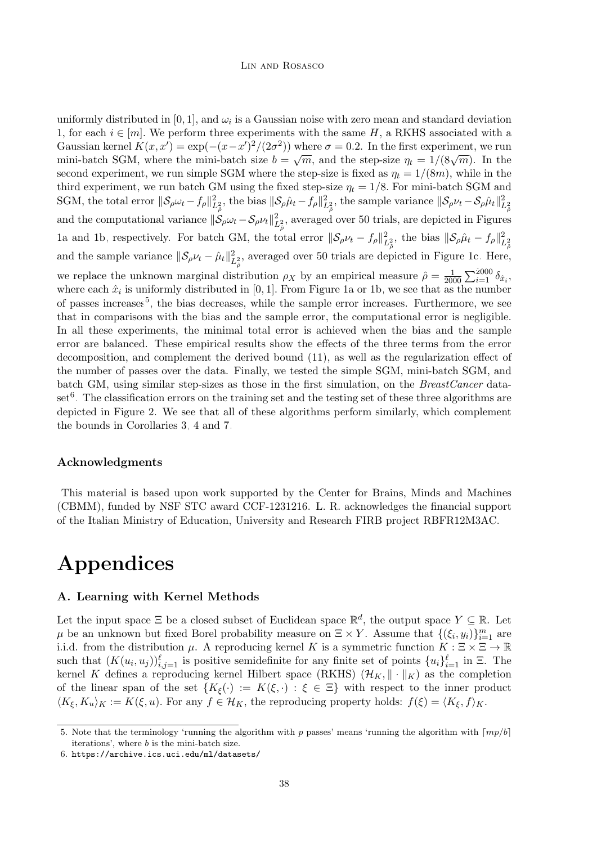#### Lin and Rosasco

uniformly distributed in [0, 1], and  $\omega_i$  is a Gaussian noise with zero mean and standard deviation 1, for each  $i \in [m]$ . We perform three experiments with the same H, a RKHS associated with a Gaussian kernel  $K(x, x') = \exp(-(x-x')^2/(2\sigma^2))$  where  $\sigma = 0.2$ . In the first experiment, we run Gaussian kerner  $K(x, y) = \exp(-\frac{x-x}{y})/(2\sigma)$  where  $\sigma = 0.2$ . In the first experiment, we full<br>mini-batch SGM, where the mini-batch size  $b = \sqrt{m}$ , and the step-size  $\eta_t = 1/(8\sqrt{m})$ . In the second experiment, we run simple SGM where the step-size is fixed as  $\eta_t = 1/(8m)$ , while in the third experiment, we run batch GM using the fixed step-size  $\eta_t = 1/8$ . For mini-batch SGM and SGM, the total error  $\|\mathcal{S}_{\rho}\omega_t - f_{\rho}\|_{L^2_{\rho}}^2$ , the bias  $\|\mathcal{S}_{\rho}\hat{\mu}_t - f_{\rho}\|_{L^2_{\rho}}^2$ , the sample variance  $\|\mathcal{S}_{\rho}\nu_t - \mathcal{S}_{\rho}\hat{\mu}_t\|_{L^2_{\rho}}^2$ and the computational variance  $\|\mathcal{S}_{\rho}\omega_t - \mathcal{S}_{\rho}\nu_t\|_{L^2_{\rho}}^2$ , averaged over 50 trials, are depicted in Figures [1a](#page-36-3) and [1b,](#page-36-3) respectively. For batch GM, the total error  $\|\mathcal{S}_{\rho}\nu_t - f_{\rho}\|_{L^2_{\hat{\rho}}}^2$ , the bias  $\|\mathcal{S}_{\rho}\hat{\mu}_t - f_{\rho}\|_{L^2_{\hat{\rho}}}^2$ and the sample variance  $\|\mathcal{S}_{\rho}\nu_t - \hat{\mu}_t\|_{L^2_{\hat{\rho}}}^2$ , averaged over 50 trials are depicted in Figure [1c.](#page-36-3) Here, we replace the unknown marginal distribution  $\rho_X$  by an empirical measure  $\hat{\rho} = \frac{1}{200}$  $\frac{1}{2000} \sum_{i=1}^{2000} \delta_{\hat{x}_i},$ where each  $\hat{x}_i$  is uniformly distributed in [0, 1]. From Figure [1a](#page-36-3) or [1b,](#page-36-3) we see that as the number of passes increases<sup>[5](#page-37-1)</sup>, the bias decreases, while the sample error increases. Furthermore, we see that in comparisons with the bias and the sample error, the computational error is negligible. In all these experiments, the minimal total error is achieved when the bias and the sample error are balanced. These empirical results show the effects of the three terms from the error decomposition, and complement the derived bound [\(11\)](#page-6-2), as well as the regularization effect of the number of passes over the data. Finally, we tested the simple SGM, mini-batch SGM, and batch GM, using similar step-sizes as those in the first simulation, on the BreastCancer data- $\operatorname{set}^6$  $\operatorname{set}^6$ . The classification errors on the training set and the testing set of these three algorithms are depicted in Figure [2.](#page-36-4) We see that all of these algorithms perform similarly, which complement the bounds in Corollaries [3,](#page-7-3) [4](#page-7-4) and [7.](#page-8-3)

## Acknowledgments

This material is based upon work supported by the Center for Brains, Minds and Machines (CBMM), funded by NSF STC award CCF-1231216. L. R. acknowledges the financial support of the Italian Ministry of Education, University and Research FIRB project RBFR12M3AC.

# Appendices

## <span id="page-37-0"></span>A. Learning with Kernel Methods

Let the input space  $\Xi$  be a closed subset of Euclidean space  $\mathbb{R}^d$ , the output space  $Y \subseteq \mathbb{R}$ . Let  $\mu$  be an unknown but fixed Borel probability measure on  $\Xi \times Y$ . Assume that  $\{(\xi_i, y_i)\}_{i=1}^m$  are i.i.d. from the distribution  $\mu$ . A reproducing kernel K is a symmetric function  $K : \Xi \times \Xi \to \mathbb{R}$ such that  $(K(u_i, u_j))_{i,j=1}^{\ell}$  is positive semidefinite for any finite set of points  $\{u_i\}_{i=1}^{\ell}$  in  $\Xi$ . The kernel K defines a reproducing kernel Hilbert space (RKHS)  $(\mathcal{H}_K, \|\cdot\|_K)$  as the completion of the linear span of the set  $\{K_{\xi}(\cdot) := K(\xi, \cdot) : \xi \in \Xi\}$  with respect to the inner product  $\langle K_{\xi}, K_u \rangle_K := K(\xi, u)$ . For any  $f \in \mathcal{H}_K$ , the reproducing property holds:  $f(\xi) = \langle K_{\xi}, f \rangle_K$ .

<span id="page-37-1"></span><sup>5.</sup> Note that the terminology 'running the algorithm with p passes' means 'running the algorithm with  $\lfloor mv/b \rfloor$ iterations', where b is the mini-batch size.

<span id="page-37-2"></span><sup>6.</sup> <https://archive.ics.uci.edu/ml/datasets/>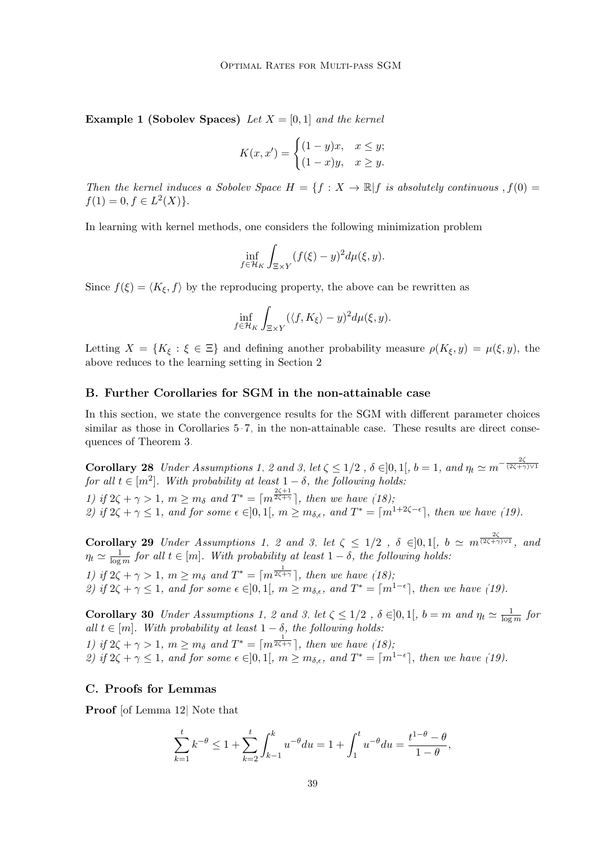**Example 1 (Sobolev Spaces)** Let  $X = [0, 1]$  and the kernel

$$
K(x, x') = \begin{cases} (1-y)x, & x \le y; \\ (1-x)y, & x \ge y. \end{cases}
$$

Then the kernel induces a Sobolev Space  $H = \{f : X \to \mathbb{R} | f$  is absolutely continuous,  $f(0) =$  $f(1) = 0, f \in L<sup>2</sup>(X)$ .

In learning with kernel methods, one considers the following minimization problem

$$
\inf_{f \in \mathcal{H}_K} \int_{\Xi \times Y} (f(\xi) - y)^2 d\mu(\xi, y).
$$

Since  $f(\xi) = \langle K_{\xi}, f \rangle$  by the reproducing property, the above can be rewritten as

$$
\inf_{f \in \mathcal{H}_K} \int_{\Xi \times Y} (\langle f, K_{\xi} \rangle - y)^2 d\mu(\xi, y).
$$

Letting  $X = \{K_{\xi} : \xi \in \Xi\}$  and defining another probability measure  $\rho(K_{\xi}, y) = \mu(\xi, y)$ , the above reduces to the learning setting in Section [2.](#page-2-0)

## <span id="page-38-0"></span>B. Further Corollaries for SGM in the non-attainable case

In this section, we state the convergence results for the SGM with different parameter choices similar as those in Corollaries [5](#page-8-0)[–7,](#page-8-3) in the non-attainable case. These results are direct consequences of Theorem [3.](#page-9-2)

**Corollary [2](#page-4-2)8** Under Assumptions [1,](#page-3-3) 2 and [3,](#page-4-1) let  $\zeta \leq 1/2$  ,  $\delta \in ]0,1[$ ,  $b=1$ , and  $\eta_t \simeq m^{-\frac{2\zeta}{(2\zeta+\gamma)\vee 1}}$ for all  $t \in [m^2]$ . With probability at least  $1 - \delta$ , the following holds: 1) if  $2\zeta + \gamma > 1$ ,  $m \geq m_\delta$  and  $T^* = \lceil m^{\frac{2\zeta + 1}{2\zeta + \gamma}} \rceil$ , then we have [\(18\)](#page-9-3); 2) if  $2\zeta + \gamma \leq 1$ , and for some  $\epsilon \in ]0,1[$ ,  $m \geq m_{\delta,\epsilon}$ , and  $T^* = \lceil m^{1+2\zeta-\epsilon} \rceil$ , then we have [\(19\)](#page-10-2).

**Corollary [2](#page-4-2)9** Under Assumptions [1,](#page-3-3) 2 and [3,](#page-4-1) let  $\zeta \leq 1/2$  ,  $\delta \in ]0,1[$ ,  $b \simeq m^{\frac{2\zeta}{(2\zeta+\gamma)\vee 1}}$ , and  $\eta_t \simeq \frac{1}{\log t}$  $\frac{1}{\log m}$  for all  $t \in [m]$ . With probability at least  $1 - \delta$ , the following holds: 1) if  $2\zeta + \gamma > 1$ ,  $m \geq m_\delta$  and  $T^* = \lceil m^{\frac{1}{2\zeta + \gamma}} \rceil$ , then we have [\(18\)](#page-9-3); 2) if  $2\zeta + \gamma \leq 1$ , and for some  $\epsilon \in ]0,1[$ ,  $m \geq m_{\delta,\epsilon}$ , and  $T^* = \lceil m^{1-\epsilon} \rceil$ , then we have [\(19\)](#page-10-2).

**Corollary 30** Under Assumptions [1,](#page-3-3) [2](#page-4-2) and [3,](#page-4-1) let  $\zeta \leq 1/2$ ,  $\delta \in ]0,1[$ ,  $b = m$  and  $\eta_t \simeq \frac{1}{\log n}$  $\frac{1}{\log m}$  for all  $t \in [m]$ . With probability at least  $1 - \delta$ , the following holds: 1) if  $2\zeta + \gamma > 1$ ,  $m \geq m_\delta$  and  $T^* = \lceil m^{\frac{1}{2\zeta + \gamma}} \rceil$ , then we have [\(18\)](#page-9-3); 2) if  $2\zeta + \gamma \leq 1$ , and for some  $\epsilon \in ]0,1[$ ,  $m \geq m_{\delta,\epsilon}$ , and  $T^* = \lceil m^{1-\epsilon} \rceil$ , then we have [\(19\)](#page-10-2).

## <span id="page-38-1"></span>C. Proofs for Lemmas

Proof [of Lemma [12\]](#page-15-2) Note that

$$
\sum_{k=1}^{t} k^{-\theta} \le 1 + \sum_{k=2}^{t} \int_{k-1}^{k} u^{-\theta} du = 1 + \int_{1}^{t} u^{-\theta} du = \frac{t^{1-\theta} - \theta}{1 - \theta},
$$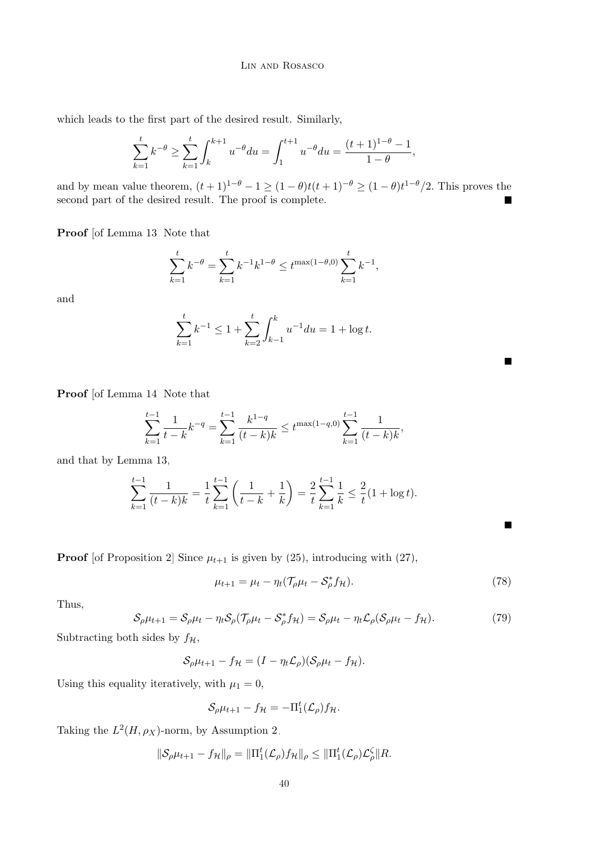#### Lin and Rosasco

which leads to the first part of the desired result. Similarly,

$$
\sum_{k=1}^{t} k^{-\theta} \ge \sum_{k=1}^{t} \int_{k}^{k+1} u^{-\theta} du = \int_{1}^{t+1} u^{-\theta} du = \frac{(t+1)^{1-\theta} - 1}{1-\theta},
$$

and by mean value theorem,  $(t+1)^{1-\theta}-1 \geq (1-\theta)t(t+1)^{-\theta} \geq (1-\theta)t^{1-\theta}/2$ . This proves the second part of the desired result. The proof is complete.

Proof [of Lemma [13\]](#page-15-5) Note that

$$
\sum_{k=1}^{t} k^{-\theta} = \sum_{k=1}^{t} k^{-1} k^{1-\theta} \le t^{\max(1-\theta,0)} \sum_{k=1}^{t} k^{-1},
$$

and

$$
\sum_{k=1}^{t} k^{-1} \le 1 + \sum_{k=2}^{t} \int_{k-1}^{k} u^{-1} du = 1 + \log t.
$$

Proof [of Lemma [14\]](#page-15-4) Note that

$$
\sum_{k=1}^{t-1} \frac{1}{t-k} k^{-q} = \sum_{k=1}^{t-1} \frac{k^{1-q}}{(t-k)k} \le t^{\max(1-q,0)} \sum_{k=1}^{t-1} \frac{1}{(t-k)k},
$$

and that by Lemma [13,](#page-15-5)

$$
\sum_{k=1}^{t-1} \frac{1}{(t-k)k} = \frac{1}{t} \sum_{k=1}^{t-1} \left( \frac{1}{t-k} + \frac{1}{k} \right) = \frac{2}{t} \sum_{k=1}^{t-1} \frac{1}{k} \le \frac{2}{t} (1 + \log t).
$$

**Proof** [of Proposition [2\]](#page-16-6) Since  $\mu_{t+1}$  is given by [\(25\)](#page-14-2), introducing with [\(27\)](#page-14-0),

$$
\mu_{t+1} = \mu_t - \eta_t (\mathcal{T}_\rho \mu_t - \mathcal{S}_\rho^* f_\mathcal{H}).\tag{78}
$$

 $\blacksquare$ 

<span id="page-39-0"></span>П

Thus,

$$
S_{\rho}\mu_{t+1} = S_{\rho}\mu_t - \eta_t S_{\rho}(\mathcal{T}_{\rho}\mu_t - S_{\rho}^*f_{\mathcal{H}}) = S_{\rho}\mu_t - \eta_t \mathcal{L}_{\rho}(S_{\rho}\mu_t - f_{\mathcal{H}}). \tag{79}
$$

Subtracting both sides by  $f_{\mathcal{H}}$ ,

 $\mathcal{S}_{\rho}\mu_{t+1} - f_{\mathcal{H}} = (I - \eta_t \mathcal{L}_{\rho})(\mathcal{S}_{\rho}\mu_t - f_{\mathcal{H}}).$ 

Using this equality iteratively, with  $\mu_1 = 0$ ,

$$
\mathcal{S}_{\rho}\mu_{t+1} - f_{\mathcal{H}} = -\Pi_1^t(\mathcal{L}_{\rho})f_{\mathcal{H}}.
$$

Taking the  $L^2(H, \rho_X)$ -norm, by Assumption [2,](#page-4-2)

$$
\|\mathcal{S}_{\rho}\mu_{t+1} - f_{\mathcal{H}}\|_{\rho} = \|\Pi_1^t(\mathcal{L}_{\rho})f_{\mathcal{H}}\|_{\rho} \le \|\Pi_1^t(\mathcal{L}_{\rho})\mathcal{L}_{\rho}^{\zeta}\| R.
$$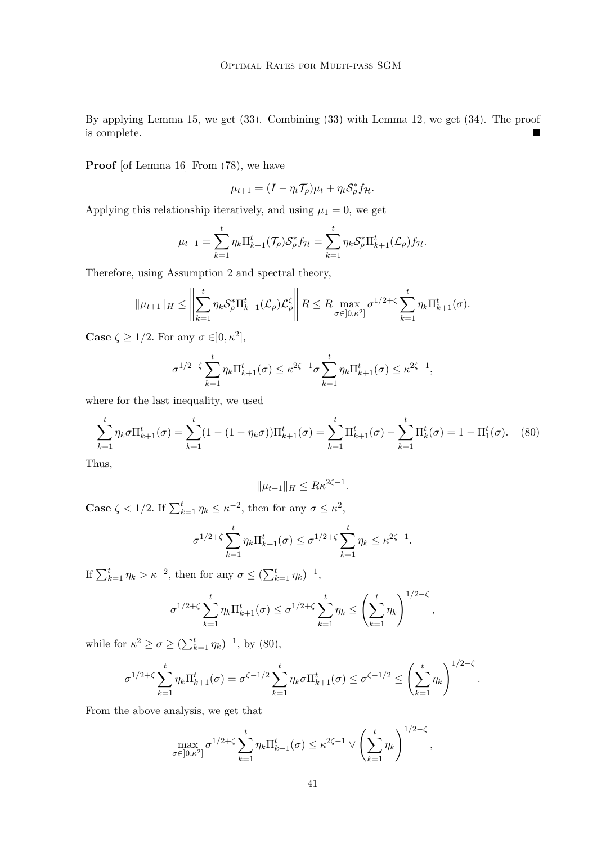By applying Lemma [15,](#page-16-3) we get [\(33\)](#page-16-2). Combining [\(33\)](#page-16-2) with Lemma [12,](#page-15-2) we get [\(34\)](#page-16-5). The proof is complete.  $\blacksquare$ 

Proof [of Lemma [16\]](#page-16-7) From [\(78\)](#page-39-0), we have

$$
\mu_{t+1} = (I - \eta_t \mathcal{T}_\rho)\mu_t + \eta_t \mathcal{S}_\rho^* f_{\mathcal{H}}.
$$

Applying this relationship iteratively, and using  $\mu_1 = 0$ , we get

$$
\mu_{t+1} = \sum_{k=1}^t \eta_k \Pi_{k+1}^t(\mathcal{T}_\rho) \mathcal{S}_\rho^* f_\mathcal{H} = \sum_{k=1}^t \eta_k \mathcal{S}_\rho^* \Pi_{k+1}^t(\mathcal{L}_\rho) f_\mathcal{H}.
$$

Therefore, using Assumption [2](#page-4-2) and spectral theory,

$$
\|\mu_{t+1}\|_H \leq \left\|\sum_{k=1}^t \eta_k \mathcal{S}_{\rho}^* \Pi_{k+1}^t(\mathcal{L}_{\rho})\mathcal{L}_{\rho}^{\zeta}\right\| R \leq R \max_{\sigma \in ]0,\kappa^2]} \sigma^{1/2+\zeta} \sum_{k=1}^t \eta_k \Pi_{k+1}^t(\sigma).
$$

**Case**  $\zeta \geq 1/2$ . For any  $\sigma \in ]0, \kappa^2]$ ,

$$
\sigma^{1/2+\zeta} \sum_{k=1}^t \eta_k \Pi_{k+1}^t(\sigma) \leq \kappa^{2\zeta-1} \sigma \sum_{k=1}^t \eta_k \Pi_{k+1}^t(\sigma) \leq \kappa^{2\zeta-1},
$$

where for the last inequality, we used

$$
\sum_{k=1}^{t} \eta_k \sigma \Pi_{k+1}^t(\sigma) = \sum_{k=1}^{t} (1 - (1 - \eta_k \sigma)) \Pi_{k+1}^t(\sigma) = \sum_{k=1}^{t} \Pi_{k+1}^t(\sigma) - \sum_{k=1}^{t} \Pi_k^t(\sigma) = 1 - \Pi_1^t(\sigma). \tag{80}
$$

Thus,

<span id="page-40-0"></span>
$$
\|\mu_{t+1}\|_H \leq R\kappa^{2\zeta - 1}.
$$

**Case**  $\zeta < 1/2$ . If  $\sum_{k=1}^{t} \eta_k \leq \kappa^{-2}$ , then for any  $\sigma \leq \kappa^2$ ,

$$
\sigma^{1/2+\zeta} \sum_{k=1}^t \eta_k \Pi_{k+1}^t(\sigma) \leq \sigma^{1/2+\zeta} \sum_{k=1}^t \eta_k \leq \kappa^{2\zeta-1}.
$$

If  $\sum_{k=1}^t \eta_k > \kappa^{-2}$ , then for any  $\sigma \leq (\sum_{k=1}^t \eta_k)^{-1}$ ,

$$
\sigma^{1/2+\zeta} \sum_{k=1}^t \eta_k \Pi_{k+1}^t(\sigma) \leq \sigma^{1/2+\zeta} \sum_{k=1}^t \eta_k \leq \left(\sum_{k=1}^t \eta_k\right)^{1/2-\zeta},
$$

while for  $\kappa^2 \ge \sigma \ge (\sum_{k=1}^t \eta_k)^{-1}$ , by [\(80\)](#page-40-0),

$$
\sigma^{1/2+\zeta} \sum_{k=1}^t \eta_k \Pi_{k+1}^t(\sigma) = \sigma^{\zeta-1/2} \sum_{k=1}^t \eta_k \sigma \Pi_{k+1}^t(\sigma) \leq \sigma^{\zeta-1/2} \leq \left(\sum_{k=1}^t \eta_k\right)^{1/2-\zeta}.
$$

From the above analysis, we get that

$$
\max_{\sigma \in ]0,\kappa^2]} \sigma^{1/2+\zeta} \sum_{k=1}^t \eta_k \Pi_{k+1}^t(\sigma) \leq \kappa^{2\zeta-1} \vee \left(\sum_{k=1}^t \eta_k\right)^{1/2-\zeta},
$$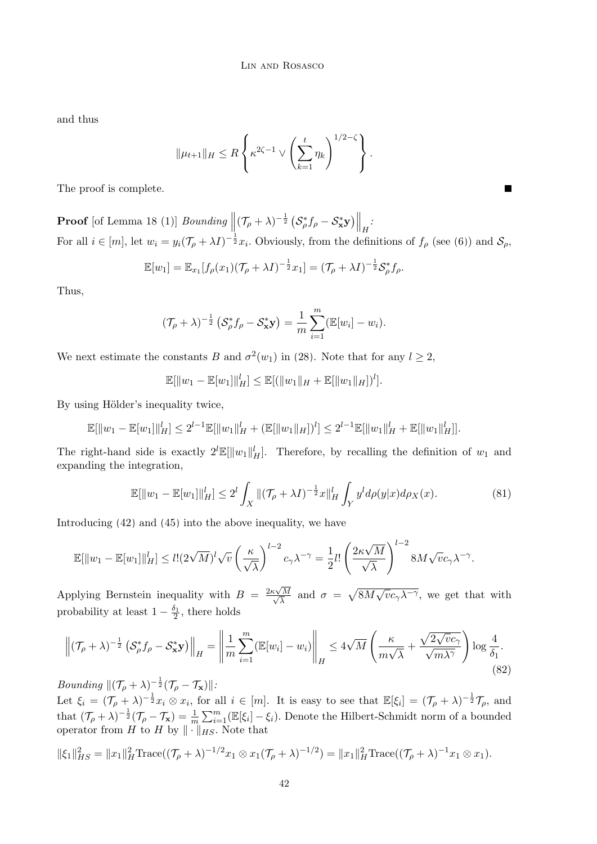and thus

$$
\|\mu_{t+1}\|_H \leq R \left\{ \kappa^{2\zeta - 1} \vee \left( \sum_{k=1}^t \eta_k \right)^{1/2 - \zeta} \right\}.
$$

The proof is complete.

**Proof** [of Lemma [18](#page-18-4) (1)] *Bounding*  $\left\| (\mathcal{T}_{\rho} + \lambda)^{-\frac{1}{2}} \left( \mathcal{S}_{\rho}^{*} f_{\rho} - \mathcal{S}_{\mathbf{x}}^{*} \mathbf{y}) \right\|_{H}$ For all  $i \in [m]$ , let  $w_i = y_i(\mathcal{T}_{\rho} + \lambda I)^{-\frac{1}{2}}x_i$ . Obviously, from the definitions of  $f_{\rho}$  (see [\(6\)](#page-4-3)) and  $\mathcal{S}_{\rho}$ ,

П

$$
\mathbb{E}[w_1] = \mathbb{E}_{x_1}[f_\rho(x_1)(\mathcal{T}_\rho + \lambda I)^{-\frac{1}{2}}x_1] = (\mathcal{T}_\rho + \lambda I)^{-\frac{1}{2}}\mathcal{S}_\rho^*f_\rho.
$$

Thus,

$$
(\mathcal{T}_{\rho}+\lambda)^{-\frac{1}{2}}\left(\mathcal{S}_{\rho}^{*}f_{\rho}-\mathcal{S}_{\mathbf{x}}^{*}\mathbf{y}\right)=\frac{1}{m}\sum_{i=1}^{m}(\mathbb{E}[w_{i}]-w_{i}).
$$

We next estimate the constants B and  $\sigma^2(w_1)$  in [\(28\)](#page-15-1). Note that for any  $l \geq 2$ ,

$$
\mathbb{E}[\|w_1 - \mathbb{E}[w_1]\|_H^l] \le \mathbb{E}[(\|w_1\|_H + \mathbb{E}[\|w_1\|_H])^l].
$$

By using Hölder's inequality twice,

$$
\mathbb{E}[\|w_1 - \mathbb{E}[w_1]\|_H^l] \le 2^{l-1} \mathbb{E}[\|w_1\|_H^l + (\mathbb{E}[\|w_1\|_H])^l] \le 2^{l-1} \mathbb{E}[\|w_1\|_H^l + \mathbb{E}[\|w_1\|_H^l]].
$$

The right-hand side is exactly  $2^l \mathbb{E}[\|w_1\|_H^l]$ . Therefore, by recalling the definition of  $w_1$  and expanding the integration,

<span id="page-41-0"></span>
$$
\mathbb{E}[\|w_1 - \mathbb{E}[w_1]\|_H^l] \le 2^l \int_X \|(\mathcal{T}_\rho + \lambda I)^{-\frac{1}{2}} x\|_H^l \int_Y y^l d\rho(y|x) d\rho_X(x). \tag{81}
$$

Introducing [\(42\)](#page-18-5) and [\(45\)](#page-19-1) into the above inequality, we have

$$
\mathbb{E}[\|w_1 - \mathbb{E}[w_1]\|_H^l] \leq l!(2\sqrt{M})^l \sqrt{v} \left(\frac{\kappa}{\sqrt{\lambda}}\right)^{l-2} c_\gamma \lambda^{-\gamma} = \frac{1}{2}l! \left(\frac{2\kappa\sqrt{M}}{\sqrt{\lambda}}\right)^{l-2} 8M\sqrt{v}c_\gamma \lambda^{-\gamma}.
$$

Applying Bernstein inequality with  $B = \frac{2\kappa\sqrt{3}}{\sqrt{3}}$ √ M  $\sqrt{\frac{M}{\lambda}}$  and  $\sigma = \sqrt{8M\sqrt{v}c_{\gamma}\lambda^{-\gamma}}$ , we get that with probability at least  $1 - \frac{\delta_1}{2}$ , there holds

$$
\left\| (\mathcal{T}_{\rho} + \lambda)^{-\frac{1}{2}} \left( \mathcal{S}_{\rho}^{*} f_{\rho} - \mathcal{S}_{\mathbf{x}}^{*} \mathbf{y} \right) \right\|_{H} = \left\| \frac{1}{m} \sum_{i=1}^{m} (\mathbb{E}[w_{i}] - w_{i}) \right\|_{H} \le 4\sqrt{M} \left( \frac{\kappa}{m\sqrt{\lambda}} + \frac{\sqrt{2\sqrt{v}c_{\gamma}}}{\sqrt{m\lambda^{\gamma}}} \right) \log \frac{4}{\delta_{1}}.
$$
\n
$$
(82)
$$

*Bounding*  $\|(\mathcal{T}_{\rho} + \lambda)^{-\frac{1}{2}}(\mathcal{T}_{\rho} - \mathcal{T}_{\mathbf{x}})\|$ :

Let  $\xi_i = (\mathcal{T}_{\rho} + \lambda)^{-\frac{1}{2}} x_i \otimes x_i$ , for all  $i \in [m]$ . It is easy to see that  $\mathbb{E}[\xi_i] = (\mathcal{T}_{\rho} + \lambda)^{-\frac{1}{2}} \mathcal{T}_{\rho}$ , and that  $(\mathcal{T}_{\rho} + \lambda)^{-\frac{1}{2}}(\mathcal{T}_{\rho} - \mathcal{T}_{\mathbf{x}}) = \frac{1}{m} \sum_{i=1}^{m} (\mathbb{E}[\xi_i] - \xi_i)$ . Denote the Hilbert-Schmidt norm of a bounded operator from H to H by  $\|\cdot\|_{HS}$ . Note that

$$
\|\xi_1\|_{HS}^2 = \|x_1\|_H^2 \operatorname{Trace}((\mathcal{T}_\rho + \lambda)^{-1/2} x_1 \otimes x_1 (\mathcal{T}_\rho + \lambda)^{-1/2}) = \|x_1\|_H^2 \operatorname{Trace}((\mathcal{T}_\rho + \lambda)^{-1} x_1 \otimes x_1).
$$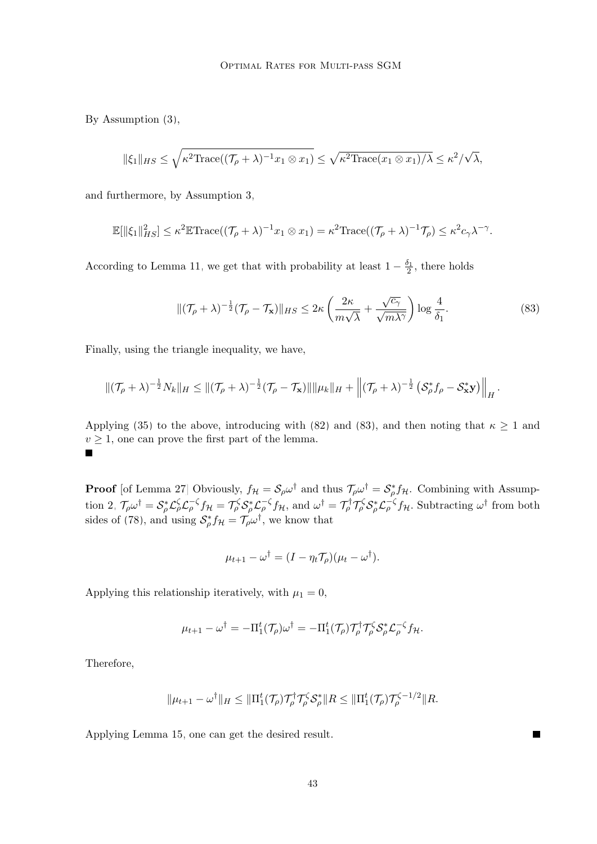By Assumption [\(3\)](#page-2-1),

$$
\|\xi_1\|_{HS} \leq \sqrt{\kappa^2 \text{Trace}((\mathcal{T}_\rho + \lambda)^{-1} x_1 \otimes x_1)} \leq \sqrt{\kappa^2 \text{Trace}(x_1 \otimes x_1)/\lambda} \leq \kappa^2/\sqrt{\lambda},
$$

and furthermore, by Assumption [3,](#page-4-1)

$$
\mathbb{E}[\|\xi_1\|_{HS}^2] \leq \kappa^2 \mathbb{E} \text{Trace}((\mathcal{T}_\rho + \lambda)^{-1} x_1 \otimes x_1) = \kappa^2 \text{Trace}((\mathcal{T}_\rho + \lambda)^{-1} \mathcal{T}_\rho) \leq \kappa^2 c_\gamma \lambda^{-\gamma}.
$$

According to Lemma [11,](#page-15-3) we get that with probability at least  $1 - \frac{\delta_1}{2}$ , there holds

<span id="page-42-0"></span>
$$
\|(\mathcal{T}_{\rho} + \lambda)^{-\frac{1}{2}} (\mathcal{T}_{\rho} - \mathcal{T}_{\mathbf{x}})\|_{HS} \le 2\kappa \left(\frac{2\kappa}{m\sqrt{\lambda}} + \frac{\sqrt{c_{\gamma}}}{\sqrt{m\lambda^{\gamma}}}\right) \log \frac{4}{\delta_{1}}.\tag{83}
$$

Finally, using the triangle inequality, we have,

$$
\|(\mathcal{T}_{\rho}+\lambda)^{-\frac{1}{2}}N_{k}\|_{H}\leq \|(\mathcal{T}_{\rho}+\lambda)^{-\frac{1}{2}}(\mathcal{T}_{\rho}-\mathcal{T}_{\mathbf{x}})\|\|\mu_{k}\|_{H}+\left\|(\mathcal{T}_{\rho}+\lambda)^{-\frac{1}{2}}\left(\mathcal{S}_{\rho}^{*}f_{\rho}-\mathcal{S}_{\mathbf{x}}^{*}\mathbf{y}\right)\right\|_{H}.
$$

Applying [\(35\)](#page-17-5) to the above, introducing with [\(82\)](#page-41-0) and [\(83\)](#page-42-0), and then noting that  $\kappa \ge 1$  and  $v \geq 1$ , one can prove the first part of the lemma. П

**Proof** [of Lemma [27\]](#page-35-4) Obviously,  $f_{\mathcal{H}} = \mathcal{S}_{\rho} \omega^{\dagger}$  and thus  $\mathcal{T}_{\rho} \omega^{\dagger} = \mathcal{S}_{\rho}^{*} f_{\mathcal{H}}$ . Combining with Assump-tion [2,](#page-4-2)  $\mathcal{T}_{\rho}\omega^{\dagger} = \mathcal{S}_{\rho}^{*}\mathcal{L}_{\rho}^{\zeta}\mathcal{L}_{\rho}^{-\zeta}f_{\mathcal{H}} = \mathcal{T}_{\rho}^{\zeta}\mathcal{S}_{\rho}^{*}\mathcal{L}_{\rho}^{-\zeta}f_{\mathcal{H}}$ , and  $\omega^{\dagger} = \mathcal{T}_{\rho}^{\dagger}\mathcal{T}_{\rho}^{\zeta}\mathcal{S}_{\rho}^{*}\mathcal{L}_{\rho}^{-\zeta}f_{\mathcal{H}}$ . Subtracting  $\omega^{\dagger}$  from bo sides of [\(78\)](#page-39-0), and using  $S_{\rho}^* f_{\mathcal{H}} = \mathcal{T}_{\rho} \omega^{\dagger}$ , we know that

$$
\mu_{t+1} - \omega^{\dagger} = (I - \eta_t \mathcal{T}_\rho)(\mu_t - \omega^{\dagger}).
$$

Applying this relationship iteratively, with  $\mu_1 = 0$ ,

$$
\mu_{t+1} - \omega^{\dagger} = -\Pi_1^t(\mathcal{T}_{\rho})\omega^{\dagger} = -\Pi_1^t(\mathcal{T}_{\rho})\mathcal{T}_{\rho}^{\dagger}\mathcal{T}_{\rho}^{\zeta}\mathcal{S}_{\rho}^*\mathcal{L}_{\rho}^{-\zeta}f_{\mathcal{H}}.
$$

Therefore,

$$
\|\mu_{t+1} - \omega^{\dagger}\|_{H} \le \|\Pi_1^t(\mathcal{T}_{\rho})\mathcal{T}_{\rho}^{\dagger}\mathcal{T}_{\rho}^{\zeta}\mathcal{S}_{\rho}^*\|_{H} \le \|\Pi_1^t(\mathcal{T}_{\rho})\mathcal{T}_{\rho}^{\zeta-1/2}\|_{H}.
$$

Applying Lemma [15,](#page-16-3) one can get the desired result.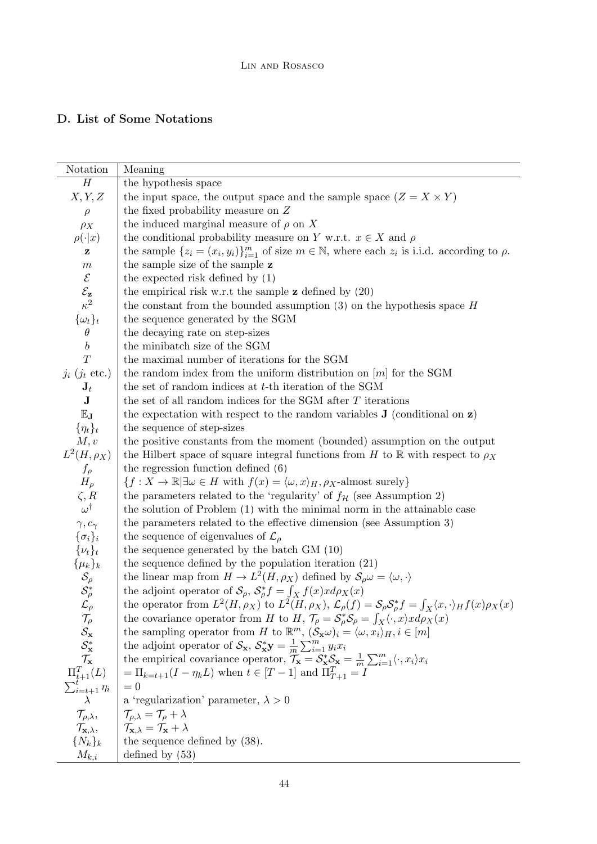# <span id="page-43-0"></span>D. List of Some Notations

| Notation                                                                                | Meaning                                                                                                                                                                         |
|-----------------------------------------------------------------------------------------|---------------------------------------------------------------------------------------------------------------------------------------------------------------------------------|
| $H_{\rm}$                                                                               | the hypothesis space                                                                                                                                                            |
| X, Y, Z                                                                                 | the input space, the output space and the sample space $(Z = X \times Y)$                                                                                                       |
| $\rho$                                                                                  | the fixed probability measure on $Z$                                                                                                                                            |
| $\rho_X$                                                                                | the induced marginal measure of $\rho$ on X                                                                                                                                     |
| $\rho(\cdot x)$                                                                         | the conditional probability measure on Y w.r.t. $x \in X$ and $\rho$                                                                                                            |
| z                                                                                       | the sample $\{z_i = (x_i, y_i)\}_{i=1}^m$ of size $m \in \mathbb{N}$ , where each $z_i$ is i.i.d. according to $\rho$ .                                                         |
| $\,m$                                                                                   | the sample size of the sample z                                                                                                                                                 |
| $\mathcal E$                                                                            | the expected risk defined by $(1)$                                                                                                                                              |
| $\mathcal{E}_{\mathbf{z}}$ $\kappa^2$                                                   | the empirical risk w.r.t the sample $z$ defined by $(20)$                                                                                                                       |
|                                                                                         | the constant from the bounded assumption $(3)$ on the hypothesis space H                                                                                                        |
| $\{\omega_t\}_t$                                                                        | the sequence generated by the SGM                                                                                                                                               |
| $\theta$                                                                                | the decaying rate on step-sizes                                                                                                                                                 |
| b                                                                                       | the minibatch size of the SGM                                                                                                                                                   |
| T                                                                                       | the maximal number of iterations for the SGM                                                                                                                                    |
| $j_i$ ( $j_t$ etc.)                                                                     | the random index from the uniform distribution on $[m]$ for the SGM                                                                                                             |
| $\mathbf{J}_t$                                                                          | the set of random indices at $t$ -th iteration of the SGM                                                                                                                       |
| $\bf J$                                                                                 | the set of all random indices for the SGM after T iterations                                                                                                                    |
| $\mathbb{E}_{\mathbf{J}}$                                                               | the expectation with respect to the random variables $J$ (conditional on $z$ )                                                                                                  |
| $\{\eta_t\}_t$                                                                          | the sequence of step-sizes                                                                                                                                                      |
| M, v                                                                                    | the positive constants from the moment (bounded) assumption on the output                                                                                                       |
| $L^2(H,\rho_X)$                                                                         | the Hilbert space of square integral functions from H to R with respect to $\rho_X$                                                                                             |
| $f_{\rho}$                                                                              | the regression function defined $(6)$                                                                                                                                           |
| $H_{\rho}$                                                                              | $\{f: X \to \mathbb{R} \mid \exists \omega \in H \text{ with } f(x) = \langle \omega, x \rangle_H, \rho_X\text{-almost surely}\}\$                                              |
| $\zeta, R$                                                                              | the parameters related to the 'regularity' of $f_{\mathcal{H}}$ (see Assumption 2)                                                                                              |
| $\omega^{\dagger}$                                                                      | the solution of Problem (1) with the minimal norm in the attainable case                                                                                                        |
| $\gamma, c_{\gamma}$                                                                    | the parameters related to the effective dimension (see Assumption 3)                                                                                                            |
| $\{\sigma_i\}_i$                                                                        | the sequence of eigenvalues of $\mathcal{L}_{\rho}$                                                                                                                             |
| $\{\nu_t\}_t$                                                                           | the sequence generated by the batch GM (10)                                                                                                                                     |
|                                                                                         | the sequence defined by the population iteration $(21)$                                                                                                                         |
| $\{\mu_k\}_k$<br>$\mathcal{S}_{\rho}$<br>$\mathcal{S}_{\rho}^*$<br>$\mathcal{L}_{\rho}$ | the linear map from $H \to L^2(H, \rho_X)$ defined by $\mathcal{S}_{\rho} \omega = \langle \omega, \cdot \rangle$                                                               |
|                                                                                         | the adjoint operator of $S_{\rho}$ , $S_{\rho}^* f = \int_X f(x) x d\rho_X(x)$                                                                                                  |
|                                                                                         | the operator from $L^2(H, \rho_X)$ to $L^2(H, \rho_X)$ , $\mathcal{L}_{\rho}(f) = \mathcal{S}_{\rho} \mathcal{S}_{\rho}^* f = \int_X \langle x, \cdot \rangle_H f(x) \rho_X(x)$ |
| $\mathcal{T}_{\rho}$<br>$\mathcal{S}_{\mathbf{x}}$<br>$\mathcal{S}_{\mathbf{x}}^{*}$    | the covariance operator from H to H, $\mathcal{T}_{\rho} = \mathcal{S}_{\rho}^{*} \mathcal{S}_{\rho} = \int_{X} \langle \cdot, x \rangle x d\rho_{X}(x)$                        |
|                                                                                         | the sampling operator from H to $\mathbb{R}^m$ , $(\mathcal{S}_{\mathbf{x}}\omega)_i = \langle \omega, x_i \rangle_H, i \in [m]$                                                |
|                                                                                         | the adjoint operator of $\mathcal{S}_{\mathbf{x}}, \mathcal{S}_{\mathbf{x}}^* \mathbf{y} = \frac{1}{m} \sum_{i=1}^m y_i x_i$                                                    |
| $\mathcal{T}_{\mathbf{x}}$                                                              | the empirical covariance operator, $\mathcal{T}_{\mathbf{x}} = \mathcal{S}_{\mathbf{x}}^* \mathcal{S}_{\mathbf{x}} = \frac{1}{m} \sum_{i=1}^m \langle \cdot, x_i \rangle x_i$   |
| $\Pi_{t+1}^T(L)$                                                                        | $=\Pi_{k=t+1}(I-\eta_k L)$ when $t\in[T-1]$ and $\Pi_{T+1}^T=I$                                                                                                                 |
| $\sum_{i=t+1}^{t} \eta_i$                                                               | $= 0$                                                                                                                                                                           |
|                                                                                         | a 'regularization' parameter, $\lambda > 0$                                                                                                                                     |
| $\mathcal{T}_{\rho,\lambda},$                                                           | $\mathcal{T}_{\rho,\lambda} = \mathcal{T}_{\rho} + \lambda$                                                                                                                     |
| $\mathcal{T}_{\mathbf{x},\lambda},$                                                     | $\mathcal{T}_{\mathbf{x},\lambda} = \mathcal{T}_{\mathbf{x}} + \lambda$                                                                                                         |
| $\{N_k\}_k$                                                                             | the sequence defined by $(38)$ .                                                                                                                                                |
| $M_{k,i}$                                                                               | defined by $(53)$                                                                                                                                                               |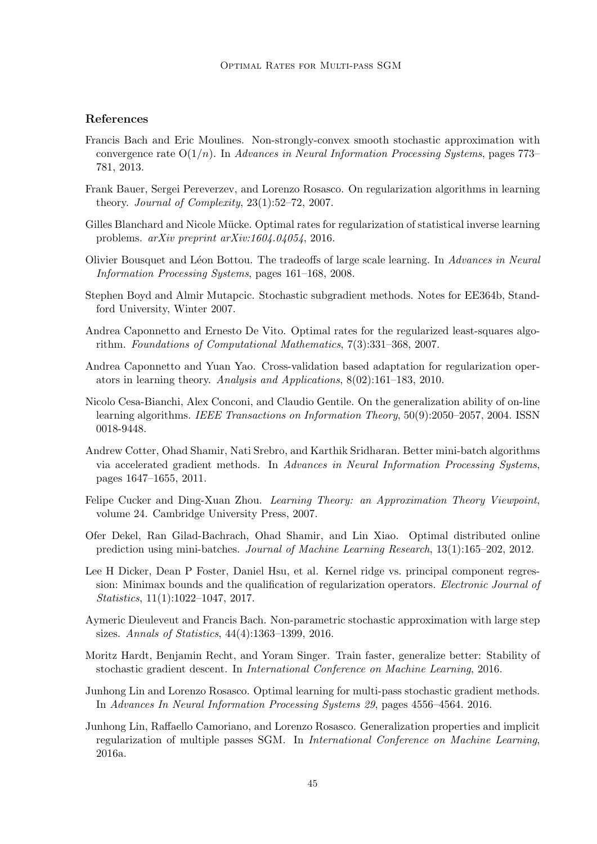## References

- <span id="page-44-12"></span>Francis Bach and Eric Moulines. Non-strongly-convex smooth stochastic approximation with convergence rate  $O(1/n)$ . In Advances in Neural Information Processing Systems, pages 773– 781, 2013.
- <span id="page-44-14"></span>Frank Bauer, Sergei Pereverzev, and Lorenzo Rosasco. On regularization algorithms in learning theory. Journal of Complexity, 23(1):52–72, 2007.
- <span id="page-44-11"></span>Gilles Blanchard and Nicole Mücke. Optimal rates for regularization of statistical inverse learning problems. arXiv preprint arXiv:1604.04054, 2016.
- <span id="page-44-0"></span>Olivier Bousquet and L´eon Bottou. The tradeoffs of large scale learning. In Advances in Neural Information Processing Systems, pages 161–168, 2008.
- <span id="page-44-4"></span>Stephen Boyd and Almir Mutapcic. Stochastic subgradient methods. Notes for EE364b, Standford University, Winter 2007.
- <span id="page-44-6"></span>Andrea Caponnetto and Ernesto De Vito. Optimal rates for the regularized least-squares algorithm. Foundations of Computational Mathematics, 7(3):331–368, 2007.
- <span id="page-44-9"></span>Andrea Caponnetto and Yuan Yao. Cross-validation based adaptation for regularization operators in learning theory. Analysis and Applications, 8(02):161–183, 2010.
- <span id="page-44-1"></span>Nicolo Cesa-Bianchi, Alex Conconi, and Claudio Gentile. On the generalization ability of on-line learning algorithms. IEEE Transactions on Information Theory, 50(9):2050–2057, 2004. ISSN 0018-9448.
- <span id="page-44-13"></span>Andrew Cotter, Ohad Shamir, Nati Srebro, and Karthik Sridharan. Better mini-batch algorithms via accelerated gradient methods. In Advances in Neural Information Processing Systems, pages 1647–1655, 2011.
- <span id="page-44-10"></span>Felipe Cucker and Ding-Xuan Zhou. Learning Theory: an Approximation Theory Viewpoint, volume 24. Cambridge University Press, 2007.
- <span id="page-44-7"></span>Ofer Dekel, Ran Gilad-Bachrach, Ohad Shamir, and Lin Xiao. Optimal distributed online prediction using mini-batches. Journal of Machine Learning Research, 13(1):165–202, 2012.
- <span id="page-44-15"></span>Lee H Dicker, Dean P Foster, Daniel Hsu, et al. Kernel ridge vs. principal component regression: Minimax bounds and the qualification of regularization operators. Electronic Journal of Statistics, 11(1):1022–1047, 2017.
- <span id="page-44-2"></span>Aymeric Dieuleveut and Francis Bach. Non-parametric stochastic approximation with large step sizes. Annals of Statistics, 44(4):1363–1399, 2016.
- <span id="page-44-5"></span>Moritz Hardt, Benjamin Recht, and Yoram Singer. Train faster, generalize better: Stability of stochastic gradient descent. In International Conference on Machine Learning, 2016.
- <span id="page-44-8"></span>Junhong Lin and Lorenzo Rosasco. Optimal learning for multi-pass stochastic gradient methods. In Advances In Neural Information Processing Systems 29, pages 4556–4564. 2016.
- <span id="page-44-3"></span>Junhong Lin, Raffaello Camoriano, and Lorenzo Rosasco. Generalization properties and implicit regularization of multiple passes SGM. In International Conference on Machine Learning, 2016a.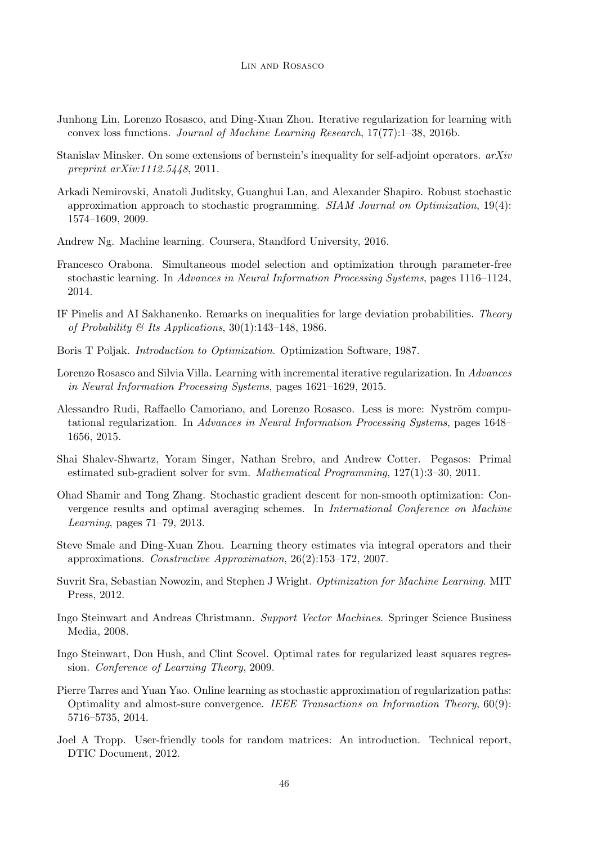- <span id="page-45-12"></span>Junhong Lin, Lorenzo Rosasco, and Ding-Xuan Zhou. Iterative regularization for learning with convex loss functions. Journal of Machine Learning Research, 17(77):1–38, 2016b.
- <span id="page-45-16"></span>Stanislav Minsker. On some extensions of bernstein's inequality for self-adjoint operators. arXiv preprint arXiv:1112.5448, 2011.
- <span id="page-45-0"></span>Arkadi Nemirovski, Anatoli Juditsky, Guanghui Lan, and Alexander Shapiro. Robust stochastic approximation approach to stochastic programming.  $SIAM$  Journal on Optimization, 19(4): 1574–1609, 2009.
- <span id="page-45-6"></span>Andrew Ng. Machine learning. Coursera, Standford University, 2016.
- <span id="page-45-2"></span>Francesco Orabona. Simultaneous model selection and optimization through parameter-free stochastic learning. In Advances in Neural Information Processing Systems, pages 1116–1124, 2014.
- <span id="page-45-14"></span>IF Pinelis and AI Sakhanenko. Remarks on inequalities for large deviation probabilities. Theory of Probability & Its Applications,  $30(1):143-148$ , 1986.
- <span id="page-45-3"></span>Boris T Poljak. Introduction to Optimization. Optimization Software, 1987.
- <span id="page-45-8"></span>Lorenzo Rosasco and Silvia Villa. Learning with incremental iterative regularization. In Advances in Neural Information Processing Systems, pages 1621–1629, 2015.
- <span id="page-45-13"></span>Alessandro Rudi, Raffaello Camoriano, and Lorenzo Rosasco. Less is more: Nyström computational regularization. In Advances in Neural Information Processing Systems, pages 1648– 1656, 2015.
- <span id="page-45-4"></span>Shai Shalev-Shwartz, Yoram Singer, Nathan Srebro, and Andrew Cotter. Pegasos: Primal estimated sub-gradient solver for svm. Mathematical Programming, 127(1):3–30, 2011.
- <span id="page-45-11"></span>Ohad Shamir and Tong Zhang. Stochastic gradient descent for non-smooth optimization: Convergence results and optimal averaging schemes. In International Conference on Machine Learning, pages 71–79, 2013.
- <span id="page-45-7"></span>Steve Smale and Ding-Xuan Zhou. Learning theory estimates via integral operators and their approximations. Constructive Approximation, 26(2):153–172, 2007.
- <span id="page-45-5"></span>Suvrit Sra, Sebastian Nowozin, and Stephen J Wright. Optimization for Machine Learning. MIT Press, 2012.
- <span id="page-45-9"></span>Ingo Steinwart and Andreas Christmann. Support Vector Machines. Springer Science Business Media, 2008.
- <span id="page-45-10"></span>Ingo Steinwart, Don Hush, and Clint Scovel. Optimal rates for regularized least squares regression. Conference of Learning Theory, 2009.
- <span id="page-45-1"></span>Pierre Tarres and Yuan Yao. Online learning as stochastic approximation of regularization paths: Optimality and almost-sure convergence. IEEE Transactions on Information Theory, 60(9): 5716–5735, 2014.
- <span id="page-45-15"></span>Joel A Tropp. User-friendly tools for random matrices: An introduction. Technical report, DTIC Document, 2012.